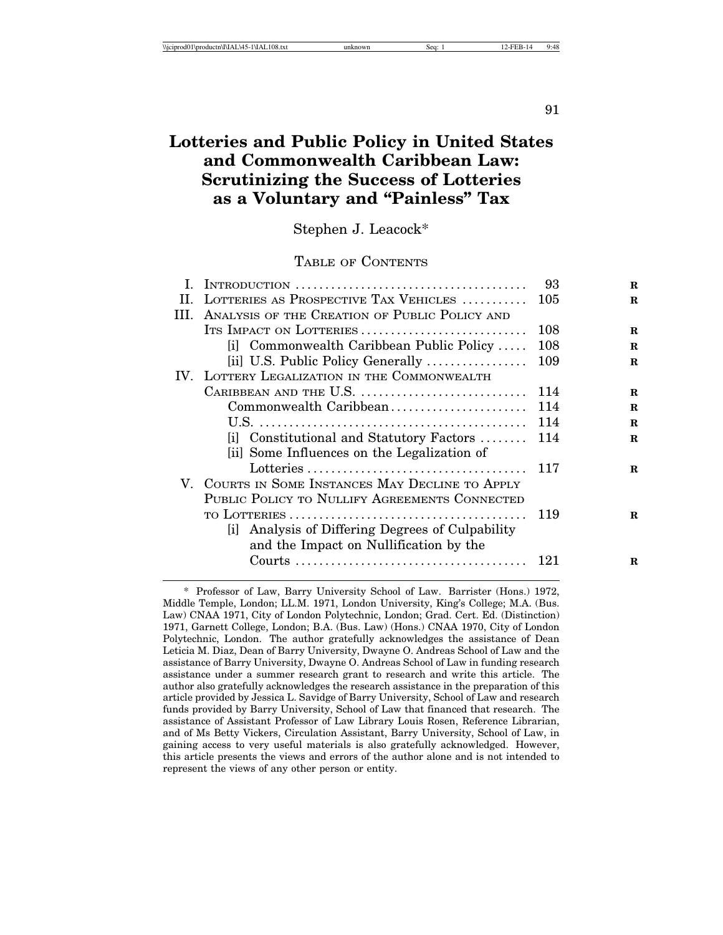91

# **Lotteries and Public Policy in United States and Commonwealth Caribbean Law: Scrutinizing the Success of Lotteries as a Voluntary and "Painless" Tax**

Stephen J. Leacock\*

#### TABLE OF CONTENTS

|         |                                                  | 93  | R        |
|---------|--------------------------------------------------|-----|----------|
| $\Pi$ . | LOTTERIES AS PROSPECTIVE TAX VEHICLES            | 105 | R        |
| III.    | ANALYSIS OF THE CREATION OF PUBLIC POLICY AND    |     |          |
|         | ITS IMPACT ON LOTTERIES                          | 108 | $\bf{R}$ |
|         | [i] Commonwealth Caribbean Public Policy         | 108 | R        |
|         | [ii] U.S. Public Policy Generally                | 109 | R        |
|         | IV. LOTTERY LEGALIZATION IN THE COMMONWEALTH     |     |          |
|         | CARIBBEAN AND THE U.S.                           | 114 | R        |
|         | Commonwealth Caribbean                           | 114 | R        |
|         |                                                  | 114 | R.       |
|         | [i] Constitutional and Statutory Factors         | 114 | R.       |
|         | [ii] Some Influences on the Legalization of      |     |          |
|         |                                                  | 117 | $\bf{R}$ |
|         | V. COURTS IN SOME INSTANCES MAY DECLINE TO APPLY |     |          |
|         | PUBLIC POLICY TO NULLIFY AGREEMENTS CONNECTED    |     |          |
|         |                                                  | 119 | R        |
|         | [i] Analysis of Differing Degrees of Culpability |     |          |
|         | and the Impact on Nullification by the           |     |          |
|         |                                                  |     | R        |
|         |                                                  |     |          |

<sup>\*</sup> Professor of Law, Barry University School of Law. Barrister (Hons.) 1972, Middle Temple, London; LL.M. 1971, London University, King's College; M.A. (Bus. Law) CNAA 1971, City of London Polytechnic, London; Grad. Cert. Ed. (Distinction) 1971, Garnett College, London; B.A. (Bus. Law) (Hons.) CNAA 1970, City of London Polytechnic, London. The author gratefully acknowledges the assistance of Dean Leticia M. Diaz, Dean of Barry University, Dwayne O. Andreas School of Law and the assistance of Barry University, Dwayne O. Andreas School of Law in funding research assistance under a summer research grant to research and write this article. The author also gratefully acknowledges the research assistance in the preparation of this article provided by Jessica L. Savidge of Barry University, School of Law and research funds provided by Barry University, School of Law that financed that research. The assistance of Assistant Professor of Law Library Louis Rosen, Reference Librarian, and of Ms Betty Vickers, Circulation Assistant, Barry University, School of Law, in gaining access to very useful materials is also gratefully acknowledged. However, this article presents the views and errors of the author alone and is not intended to represent the views of any other person or entity.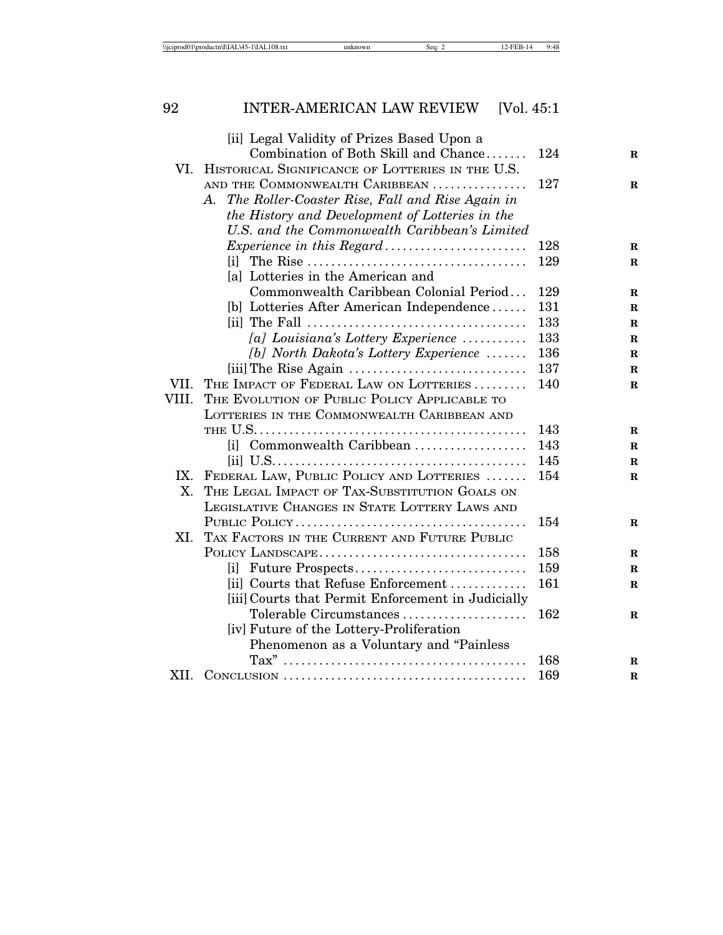| \\iciprod01\productn\I\IAL\45-1\IAL108.txt<br>Sea: | 9:48 |
|----------------------------------------------------|------|
|----------------------------------------------------|------|

# [ii] Legal Validity of Prizes Based Upon a Combination of Both Skill and Chance....... 124 R VI. HISTORICAL SIGNIFICANCE OF LOTTERIES IN THE U.S. AND THE COMMONWEALTH CARIBBEAN . . . . . . . . . . . . . . . . 127 **R** *A. The Roller-Coaster Rise, Fall and Rise Again in the History and Development of Lotteries in the U.S. and the Commonwealth Caribbean's Limited Experience in this Regard*. . . . . . . . . . . . . . . . . . . . . . . . 128 **R** [i] The Rise . . . . . . . . . . . . . . . . . . . . . . . . . . . . . . . . . . . . . 129 **R** [a] Lotteries in the American and Commonwealth Caribbean Colonial Period. . . 129 **R** [b] Lotteries After American Independence . . . . . . 131 **R** [ii] The Fall . . . . . . . . . . . . . . . . . . . . . . . . . . . . . . . . . . . . . 133 **R** *[a] Louisiana's Lottery Experience* . . . . . . . . . . . 133 **R** *[b] North Dakota's Lottery Experience* . . . . . . . 136 **R** [iii]The Rise Again . . . . . . . . . . . . . . . . . . . . . . . . . . . . . . 137 **R** VII. THE IMPACT OF FEDERAL LAW ON LOTTERIES . . . . . . . . . 140 **R** VIII. THE EVOLUTION OF PUBLIC POLICY APPLICABLE TO LOTTERIES IN THE COMMONWEALTH CARIBBEAN AND THE U.S. . . . . . . . . . . . . . . . . . . . . . . . . . . . . . . . . . . . . . . . . . . . . . 143 **R** [i] Commonwealth Caribbean . . . . . . . . . . . . . . . . . . . 143 **R** [ii] U.S. . . . . . . . . . . . . . . . . . . . . . . . . . . . . . . . . . . . . . . . . . . 145 **R** IX. FEDERAL LAW, PUBLIC POLICY AND LOTTERIES . . . . . . . 154 **R** X. THE LEGAL IMPACT OF TAX-SUBSTITUTION GOALS ON LEGISLATIVE CHANGES IN STATE LOTTERY LAWS AND PUBLIC POLICY . . . . . . . . . . . . . . . . . . . . . . . . . . . . . . . . . . . . . . . 154 **R** XI. TAX FACTORS IN THE CURRENT AND FUTURE PUBLIC

POLICY LANDSCAPE. . . . . . . . . . . . . . . . . . . . . . . . . . . . . . . . . . . 158 **R** [i] Future Prospects. . . . . . . . . . . . . . . . . . . . . . . . . . . . . 159 **R** [ii] Courts that Refuse Enforcement . . . . . . . . . . . . . 161 **R**

Tolerable Circumstances . . . . . . . . . . . . . . . . . . 162 **R** 

Tax" . . . . . . . . . . . . . . . . . . . . . . . . . . . . . . . . . . . . . . . . . 168 **R**

[iii]Courts that Permit Enforcement in Judicially

Phenomenon as a Voluntary and "Painless

XII. CONCLUSION . . . . . . . . . . . . . . . . . . . . . . . . . . . . . . . . . . . . . . . . . 169 **R**

[iv] Future of the Lottery-Proliferation

# 92 INTER-AMERICAN LAW REVIEW [Vol. 45:1]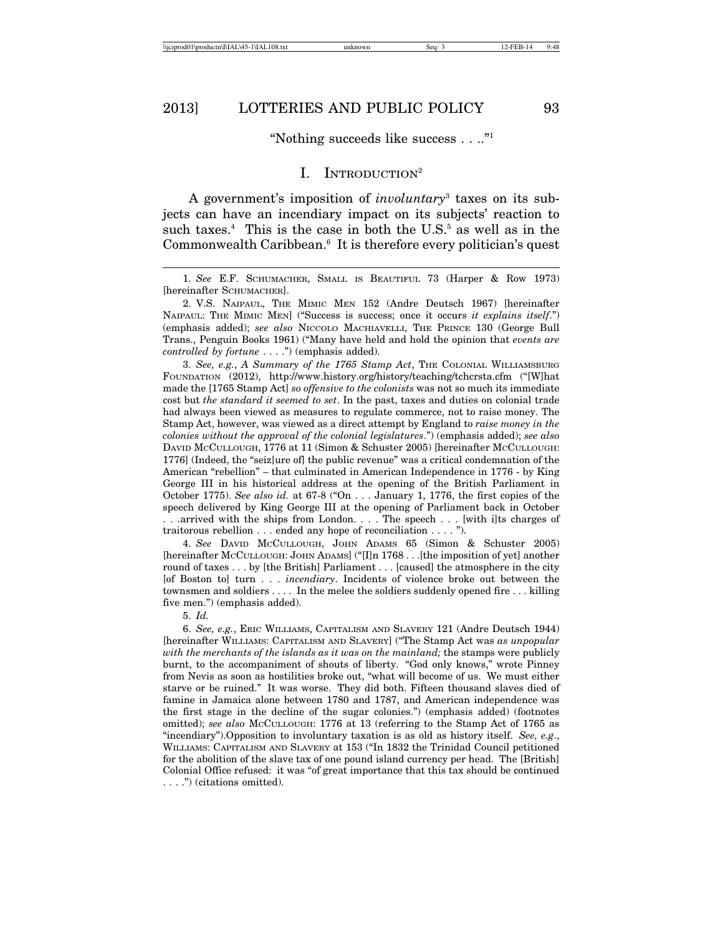#### "Nothing succeeds like success . . .."1

### I. INTRODUCTION<sup>2</sup>

A government's imposition of *involuntary*<sup>3</sup> taxes on its subjects can have an incendiary impact on its subjects' reaction to such taxes.<sup>4</sup> This is the case in both the U.S.<sup>5</sup> as well as in the Commonwealth Caribbean.<sup>6</sup> It is therefore every politician's quest

2. V.S. NAIPAUL, THE MIMIC MEN 152 (Andre Deutsch 1967) [hereinafter NAIPAUL: THE MIMIC MEN] ("Success is success; once it occurs *it explains itself*.") (emphasis added); *see also* NICCOLO MACHIAVELLI, THE PRINCE 130 (George Bull Trans., Penguin Books 1961) ("Many have held and hold the opinion that *events are controlled by fortune* . . . .") (emphasis added).

3. *See, e.g.*, *A Summary of the 1765 Stamp Act*, THE COLONIAL WILLIAMSBURG FOUNDATION (2012), http://www.history.org/history/teaching/tchcrsta.cfm ("[W]hat made the [1765 Stamp Act] *so offensive to the colonists* was not so much its immediate cost but *the standard it seemed to set*. In the past, taxes and duties on colonial trade had always been viewed as measures to regulate commerce, not to raise money. The Stamp Act, however, was viewed as a direct attempt by England to *raise money in the colonies without the approval of the colonial legislatures*.") (emphasis added); *see also* DAVID MCCULLOUGH, 1776 at 11 (Simon & Schuster 2005) [hereinafter MCCULLOUGH: 1776] (Indeed, the "seiz[ure of] the public revenue" was a critical condemnation of the American "rebellion" – that culminated in American Independence in 1776 - by King George III in his historical address at the opening of the British Parliament in October 1775). *See also id.* at 67-8 ("On . . . January 1, 1776, the first copies of the speech delivered by King George III at the opening of Parliament back in October . . .arrived with the ships from London. . . . The speech . . . [with i]ts charges of traitorous rebellion . . . ended any hope of reconciliation . . . . ").

4. *See* DAVID MCCULLOUGH, JOHN ADAMS 65 (Simon & Schuster 2005) [hereinafter MCCULLOUGH: JOHN ADAMS] ("[I]n 1768 . . .[the imposition of yet] another round of taxes . . . by [the British] Parliament . . . [caused] the atmosphere in the city [of Boston to] turn . . . *incendiary*. Incidents of violence broke out between the townsmen and soldiers . . . . In the melee the soldiers suddenly opened fire . . . killing five men.") (emphasis added).

5. *Id.*

6. *See, e.g.*, ERIC WILLIAMS, CAPITALISM AND SLAVERY 121 (Andre Deutsch 1944) [hereinafter WILLIAMS: CAPITALISM AND SLAVERY] ("The Stamp Act was *as unpopular with the merchants of the islands as it was on the mainland;* the stamps were publicly burnt, to the accompaniment of shouts of liberty. "God only knows," wrote Pinney from Nevis as soon as hostilities broke out, "what will become of us. We must either starve or be ruined." It was worse. They did both. Fifteen thousand slaves died of famine in Jamaica alone between 1780 and 1787, and American independence was the first stage in the decline of the sugar colonies.") (emphasis added) (footnotes omitted); *see also* MCCULLOUGH: 1776 at 13 (referring to the Stamp Act of 1765 as "incendiary").Opposition to involuntary taxation is as old as history itself. *See, e.g*., WILLIAMS: CAPITALISM AND SLAVERY at 153 ("In 1832 the Trinidad Council petitioned for the abolition of the slave tax of one pound island currency per head. The [British] Colonial Office refused: it was "of great importance that this tax should be continued . . . .") (citations omitted).

<sup>1.</sup> *See* E.F. SCHUMACHER, SMALL IS BEAUTIFUL 73 (Harper & Row 1973) [hereinafter SCHUMACHER].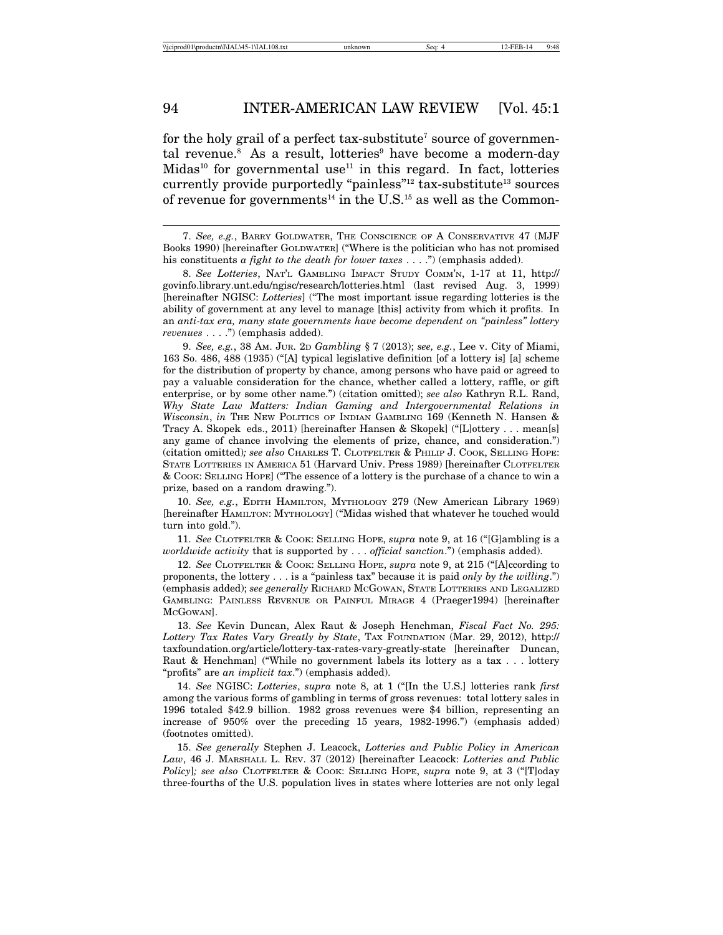for the holy grail of a perfect tax-substitute<sup>7</sup> source of governmental revenue.<sup>8</sup> As a result, lotteries<sup>9</sup> have become a modern-day Midas<sup>10</sup> for governmental use<sup>11</sup> in this regard. In fact, lotteries currently provide purportedly "painless"<sup>12</sup> tax-substitute<sup>13</sup> sources of revenue for governments<sup>14</sup> in the U.S.<sup>15</sup> as well as the Common-

9. *See, e.g.*, 38 AM. JUR. 2D *Gambling* § 7 (2013); *see, e.g.*, Lee v. City of Miami, 163 So. 486, 488 (1935) ("[A] typical legislative definition [of a lottery is] [a] scheme for the distribution of property by chance, among persons who have paid or agreed to pay a valuable consideration for the chance, whether called a lottery, raffle, or gift enterprise, or by some other name.") (citation omitted); *see also* Kathryn R.L. Rand, *Why State Law Matters: Indian Gaming and Intergovernmental Relations in Wisconsin*, *in* THE NEW POLITICS OF INDIAN GAMBLING 169 (Kenneth N. Hansen & Tracy A. Skopek eds., 2011) [hereinafter Hansen & Skopek] ("[L]ottery . . . mean[s] any game of chance involving the elements of prize, chance, and consideration.") (citation omitted)*; see also* CHARLES T. CLOTFELTER & PHILIP J. COOK, SELLING HOPE: STATE LOTTERIES IN AMERICA 51 (Harvard Univ. Press 1989) [hereinafter CLOTFELTER & COOK: SELLING HOPE] ("The essence of a lottery is the purchase of a chance to win a prize, based on a random drawing.").

10. *See, e.g.*, EDITH HAMILTON, MYTHOLOGY 279 (New American Library 1969) [hereinafter HAMILTON: MYTHOLOGY] ("Midas wished that whatever he touched would turn into gold.").

11. *See* CLOTFELTER & COOK: SELLING HOPE, *supra* note 9, at 16 ("[G]ambling is a *worldwide activity* that is supported by . . . *official sanction*.") (emphasis added).

12. *See* CLOTFELTER & COOK: SELLING HOPE, *supra* note 9, at 215 ("[A]ccording to proponents, the lottery . . . is a "painless tax" because it is paid *only by the willing*.") (emphasis added); *see generally* RICHARD MCGOWAN, STATE LOTTERIES AND LEGALIZED GAMBLING: PAINLESS REVENUE OR PAINFUL MIRAGE 4 (Praeger1994) [hereinafter MCGOWAN].

13. *See* Kevin Duncan, Alex Raut & Joseph Henchman, *Fiscal Fact No. 295: Lottery Tax Rates Vary Greatly by State*, TAX FOUNDATION (Mar. 29, 2012), http:// taxfoundation.org/article/lottery-tax-rates-vary-greatly-state [hereinafter Duncan, Raut & Henchman] ("While no government labels its lottery as a tax . . . lottery "profits" are *an implicit tax*.") (emphasis added).

14. *See* NGISC: *Lotteries*, *supra* note 8, at 1 ("[In the U.S.] lotteries rank *first* among the various forms of gambling in terms of gross revenues: total lottery sales in 1996 totaled \$42.9 billion. 1982 gross revenues were \$4 billion, representing an increase of 950% over the preceding 15 years, 1982-1996.") (emphasis added) (footnotes omitted).

15. *See generally* Stephen J. Leacock, *Lotteries and Public Policy in American Law*, 46 J. MARSHALL L. REV. 37 (2012) [hereinafter Leacock: *Lotteries and Public Policy*]*; see also* CLOTFELTER & COOK: SELLING HOPE, *supra* note 9, at 3 ("[T]oday three-fourths of the U.S. population lives in states where lotteries are not only legal

<sup>7.</sup> *See, e.g.*, BARRY GOLDWATER, THE CONSCIENCE OF A CONSERVATIVE 47 (MJF Books 1990) [hereinafter GOLDWATER] ("Where is the politician who has not promised his constituents *a fight to the death for lower taxes* . . . .") (emphasis added).

<sup>8.</sup> *See Lotteries*, NAT'L GAMBLING IMPACT STUDY COMM'N, 1-17 at 11, http:// govinfo.library.unt.edu/ngisc/research/lotteries.html (last revised Aug. 3, 1999) [hereinafter NGISC: *Lotteries*] ("The most important issue regarding lotteries is the ability of government at any level to manage [this] activity from which it profits. In an *anti-tax era, many state governments have become dependent on "painless" lottery revenues* . . . .") (emphasis added).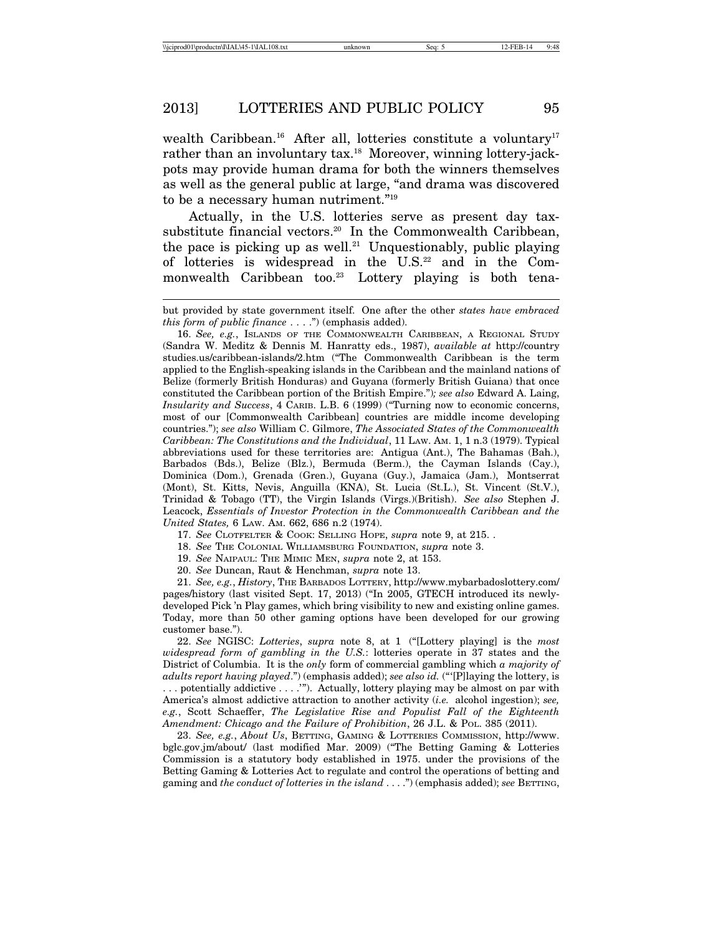wealth Caribbean.<sup>16</sup> After all, lotteries constitute a voluntary<sup>17</sup> rather than an involuntary tax.<sup>18</sup> Moreover, winning lottery-jackpots may provide human drama for both the winners themselves as well as the general public at large, "and drama was discovered to be a necessary human nutriment."19

Actually, in the U.S. lotteries serve as present day taxsubstitute financial vectors.<sup>20</sup> In the Commonwealth Caribbean, the pace is picking up as well.<sup>21</sup> Unquestionably, public playing of lotteries is widespread in the  $U.S.<sup>22</sup>$  and in the Commonwealth Caribbean too.<sup>23</sup> Lottery playing is both tena-

17. *See* CLOTFELTER & COOK: SELLING HOPE, *supra* note 9, at 215. .

18. *See* THE COLONIAL WILLIAMSBURG FOUNDATION, *supra* note 3.

19. *See* NAIPAUL: THE MIMIC MEN, *supra* note 2, at 153.

20. *See* Duncan, Raut & Henchman, *supra* note 13.

21. *See, e.g.*, *History*, THE BARBADOS LOTTERY, http://www.mybarbadoslottery.com/ pages/history (last visited Sept. 17, 2013) ("In 2005, GTECH introduced its newlydeveloped Pick 'n Play games, which bring visibility to new and existing online games. Today, more than 50 other gaming options have been developed for our growing customer base.").

22. *See* NGISC: *Lotteries*, *supra* note 8, at 1 ("[Lottery playing] is the *most widespread form of gambling in the U.S.*: lotteries operate in 37 states and the District of Columbia. It is the *only* form of commercial gambling which *a majority of adults report having played*.") (emphasis added); *see also id.* ("'[P]laying the lottery, is . . . potentially addictive . . . .'"). Actually, lottery playing may be almost on par with America's almost addictive attraction to another activity (*i.e.* alcohol ingestion); *see, e.g.*, Scott Schaeffer, *The Legislative Rise and Populist Fall of the Eighteenth Amendment: Chicago and the Failure of Prohibition*, 26 J.L. & POL. 385 (2011).

23. *See, e.g.*, *About Us*, BETTING, GAMING & LOTTERIES COMMISSION, http://www. bglc.gov.jm/about/ (last modified Mar. 2009) ("The Betting Gaming & Lotteries Commission is a statutory body established in 1975. under the provisions of the Betting Gaming & Lotteries Act to regulate and control the operations of betting and gaming and *the conduct of lotteries in the island* . . . .") (emphasis added); *see* BETTING,

but provided by state government itself. One after the other *states have embraced this form of public finance* . . . .") (emphasis added).

<sup>16.</sup> See, e.g., ISLANDS OF THE COMMONWEALTH CARIBBEAN, A REGIONAL STUDY (Sandra W. Meditz & Dennis M. Hanratty eds., 1987), *available at* http://country studies.us/caribbean-islands/2.htm ("The Commonwealth Caribbean is the term applied to the English-speaking islands in the Caribbean and the mainland nations of Belize (formerly British Honduras) and Guyana (formerly British Guiana) that once constituted the Caribbean portion of the British Empire.")*; see also* Edward A. Laing, *Insularity and Success*, 4 CARIB. L.B. 6 (1999) ("Turning now to economic concerns, most of our [Commonwealth Caribbean] countries are middle income developing countries."); *see also* William C. Gilmore, *The Associated States of the Commonwealth Caribbean: The Constitutions and the Individual*, 11 LAW. AM. 1, 1 n.3 (1979). Typical abbreviations used for these territories are: Antigua (Ant.), The Bahamas (Bah.), Barbados (Bds.), Belize (Blz.), Bermuda (Berm.), the Cayman Islands (Cay.), Dominica (Dom.), Grenada (Gren.), Guyana (Guy.), Jamaica (Jam.), Montserrat (Mont), St. Kitts, Nevis, Anguilla (KNA), St. Lucia (St.L.), St. Vincent (St.V.), Trinidad & Tobago (TT), the Virgin Islands (Virgs.)(British). *See also* Stephen J. Leacock, *Essentials of Investor Protection in the Commonwealth Caribbean and the United States,* 6 LAW. AM. 662, 686 n.2 (1974).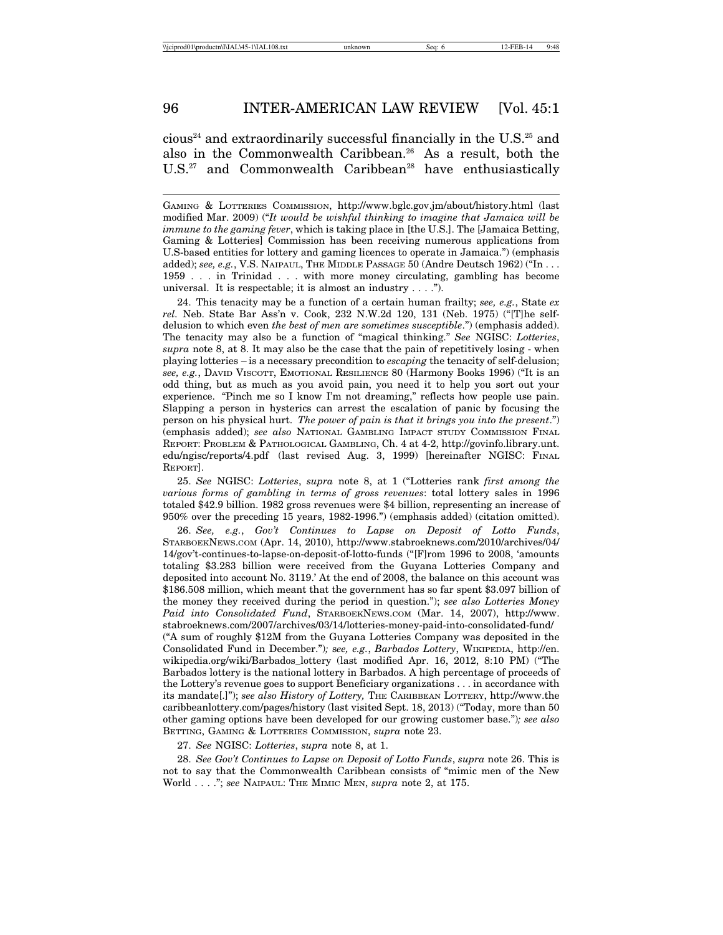cious<sup>24</sup> and extraordinarily successful financially in the U.S.<sup>25</sup> and also in the Commonwealth Caribbean.26 As a result, both the U.S.<sup>27</sup> and Commonwealth Caribbean<sup>28</sup> have enthusiastically

GAMING & LOTTERIES COMMISSION, http://www.bglc.gov.jm/about/history.html (last modified Mar. 2009) ("*It would be wishful thinking to imagine that Jamaica will be immune to the gaming fever*, which is taking place in [the U.S.]. The [Jamaica Betting, Gaming & Lotteries] Commission has been receiving numerous applications from U.S-based entities for lottery and gaming licences to operate in Jamaica.") (emphasis added); see, e.g., V.S. NAIPAUL, THE MIDDLE PASSAGE 50 (Andre Deutsch 1962) ("In . . . 1959 . . . in Trinidad . . . with more money circulating, gambling has become universal. It is respectable; it is almost an industry . . . .").

24. This tenacity may be a function of a certain human frailty; *see, e.g.*, State *ex rel.* Neb. State Bar Ass'n v. Cook, 232 N.W.2d 120, 131 (Neb. 1975) ("[T]he selfdelusion to which even *the best of men are sometimes susceptible*.") (emphasis added). The tenacity may also be a function of "magical thinking." *See* NGISC: *Lotteries*, *supra* note 8, at 8. It may also be the case that the pain of repetitively losing - when playing lotteries – is a necessary precondition to *escaping* the tenacity of self-delusion; *see, e.g.*, DAVID VISCOTT, EMOTIONAL RESILIENCE 80 (Harmony Books 1996) ("It is an odd thing, but as much as you avoid pain, you need it to help you sort out your experience. "Pinch me so I know I'm not dreaming," reflects how people use pain. Slapping a person in hysterics can arrest the escalation of panic by focusing the person on his physical hurt. *The power of pain is that it brings you into the present*.") (emphasis added); *see also* NATIONAL GAMBLING IMPACT STUDY COMMISSION FINAL REPORT: PROBLEM & PATHOLOGICAL GAMBLING, Ch. 4 at 4-2, http://govinfo.library.unt. edu/ngisc/reports/4.pdf (last revised Aug. 3, 1999) [hereinafter NGISC: FINAL REPORT].

25. *See* NGISC: *Lotteries*, *supra* note 8, at 1 ("Lotteries rank *first among the various forms of gambling in terms of gross revenues*: total lottery sales in 1996 totaled \$42.9 billion. 1982 gross revenues were \$4 billion, representing an increase of 950% over the preceding 15 years, 1982-1996.") (emphasis added) (citation omitted).

26. *See, e.g.*, *Gov't Continues to Lapse on Deposit of Lotto Funds*, STARBOEKNEWS.COM (Apr. 14, 2010), http://www.stabroeknews.com/2010/archives/04/ 14/gov't-continues-to-lapse-on-deposit-of-lotto-funds ("[F]rom 1996 to 2008, 'amounts totaling \$3.283 billion were received from the Guyana Lotteries Company and deposited into account No. 3119.' At the end of 2008, the balance on this account was \$186.508 million, which meant that the government has so far spent \$3.097 billion of the money they received during the period in question."); *see also Lotteries Money Paid into Consolidated Fund*, STARBOEKNEWS.COM (Mar. 14, 2007), http://www. stabroeknews.com/2007/archives/03/14/lotteries-money-paid-into-consolidated-fund/ ("A sum of roughly \$12M from the Guyana Lotteries Company was deposited in the Consolidated Fund in December.")*;* s*ee, e.g.*, *Barbados Lottery*, WIKIPEDIA, http://en. wikipedia.org/wiki/Barbados\_lottery (last modified Apr. 16, 2012, 8:10 PM) ("The Barbados lottery is the national lottery in Barbados. A high percentage of proceeds of the Lottery's revenue goes to support Beneficiary organizations . . . in accordance with its mandate[.]"); *see also History of Lottery,* THE CARIBBEAN LOTTERY, http://www.the caribbeanlottery.com/pages/history (last visited Sept. 18, 2013) ("Today, more than 50 other gaming options have been developed for our growing customer base.")*; see also* BETTING, GAMING & LOTTERIES COMMISSION, *supra* note 23.

27. *See* NGISC: *Lotteries*, *supra* note 8, at 1.

28. *See Gov't Continues to Lapse on Deposit of Lotto Funds*, *supra* note 26. This is not to say that the Commonwealth Caribbean consists of "mimic men of the New World . . . ."; *see* NAIPAUL: THE MIMIC MEN, *supra* note 2, at 175.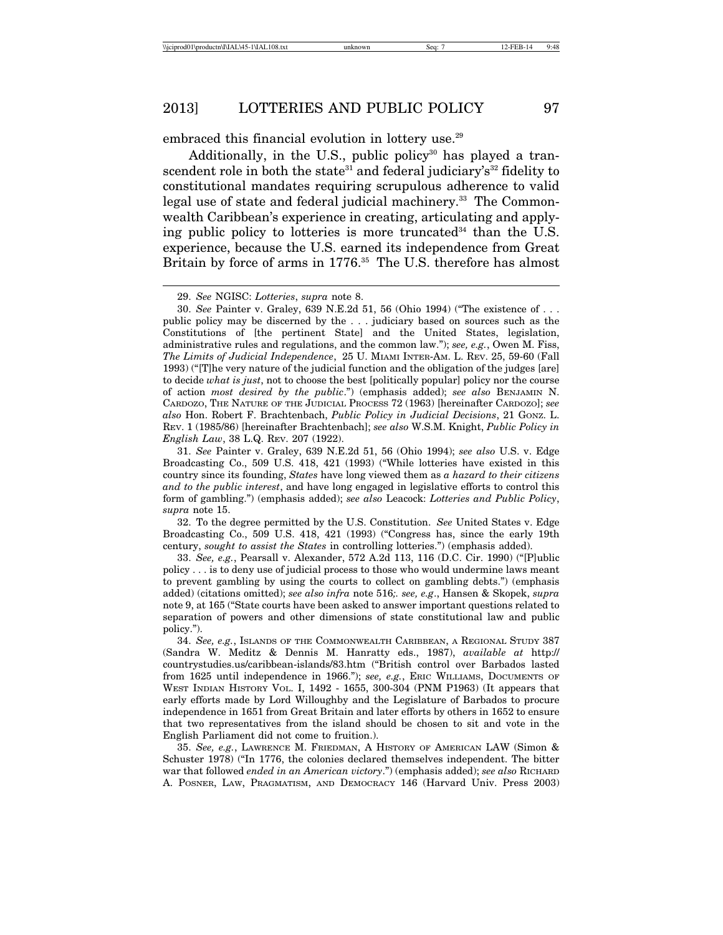embraced this financial evolution in lottery use.<sup>29</sup>

Additionally, in the U.S., public policy<sup>30</sup> has played a transcendent role in both the state<sup>31</sup> and federal judiciary's<sup>32</sup> fidelity to constitutional mandates requiring scrupulous adherence to valid legal use of state and federal judicial machinery.<sup>33</sup> The Commonwealth Caribbean's experience in creating, articulating and applying public policy to lotteries is more truncated<sup>34</sup> than the U.S. experience, because the U.S. earned its independence from Great Britain by force of arms in 1776.<sup>35</sup> The U.S. therefore has almost

32. To the degree permitted by the U.S. Constitution. *See* United States v. Edge Broadcasting Co., 509 U.S. 418, 421 (1993) ("Congress has, since the early 19th century, *sought to assist the States* in controlling lotteries.") (emphasis added).

35. *See, e.g.*, LAWRENCE M. FRIEDMAN, A HISTORY OF AMERICAN LAW (Simon & Schuster 1978) ("In 1776, the colonies declared themselves independent. The bitter war that followed *ended in an American victory*.") (emphasis added); *see also* RICHARD A. POSNER, LAW, PRAGMATISM, AND DEMOCRACY 146 (Harvard Univ. Press 2003)

<sup>29.</sup> *See* NGISC: *Lotteries*, *supra* note 8.

<sup>30.</sup> *See* Painter v. Graley, 639 N.E.2d 51, 56 (Ohio 1994) ("The existence of . . . public policy may be discerned by the . . . judiciary based on sources such as the Constitutions of [the pertinent State] and the United States, legislation, administrative rules and regulations, and the common law."); *see, e.g.*, Owen M. Fiss, *The Limits of Judicial Independence*, 25 U. MIAMI INTER-AM. L. REV. 25, 59-60 (Fall 1993) ("[T]he very nature of the judicial function and the obligation of the judges [are] to decide *what is just*, not to choose the best [politically popular] policy nor the course of action *most desired by the public*.") (emphasis added); *see also* BENJAMIN N. CARDOZO, THE NATURE OF THE JUDICIAL PROCESS 72 (1963) [hereinafter CARDOZO]; *see also* Hon. Robert F. Brachtenbach, *Public Policy in Judicial Decisions*, 21 GONZ. L. REV. 1 (1985/86) [hereinafter Brachtenbach]; *see also* W.S.M. Knight, *Public Policy in English Law*, 38 L.Q. REV. 207 (1922).

<sup>31.</sup> *See* Painter v. Graley, 639 N.E.2d 51, 56 (Ohio 1994); *see also* U.S. v. Edge Broadcasting Co., 509 U.S. 418, 421 (1993) ("While lotteries have existed in this country since its founding, *States* have long viewed them as *a hazard to their citizens and to the public interest*, and have long engaged in legislative efforts to control this form of gambling.") (emphasis added); *see also* Leacock: *Lotteries and Public Policy*, *supra* note 15.

<sup>33.</sup> *See, e.g.*, Pearsall v. Alexander, 572 A.2d 113, 116 (D.C. Cir. 1990) ("[P]ublic policy . . . is to deny use of judicial process to those who would undermine laws meant to prevent gambling by using the courts to collect on gambling debts.") (emphasis added) (citations omitted); *see also infra* note 516*;. see, e.g*., Hansen & Skopek, *supra* note 9, at 165 ("State courts have been asked to answer important questions related to separation of powers and other dimensions of state constitutional law and public policy.").

<sup>34.</sup> *See, e.g.*, ISLANDS OF THE COMMONWEALTH CARIBBEAN, A REGIONAL STUDY 387 (Sandra W. Meditz & Dennis M. Hanratty eds., 1987), *available at* http:// countrystudies.us/caribbean-islands/83.htm ("British control over Barbados lasted from 1625 until independence in 1966."); *see, e.g.*, ERIC WILLIAMS, DOCUMENTS OF WEST INDIAN HISTORY VOL. I, 1492 - 1655, 300-304 (PNM P1963) (It appears that early efforts made by Lord Willoughby and the Legislature of Barbados to procure independence in 1651 from Great Britain and later efforts by others in 1652 to ensure that two representatives from the island should be chosen to sit and vote in the English Parliament did not come to fruition.).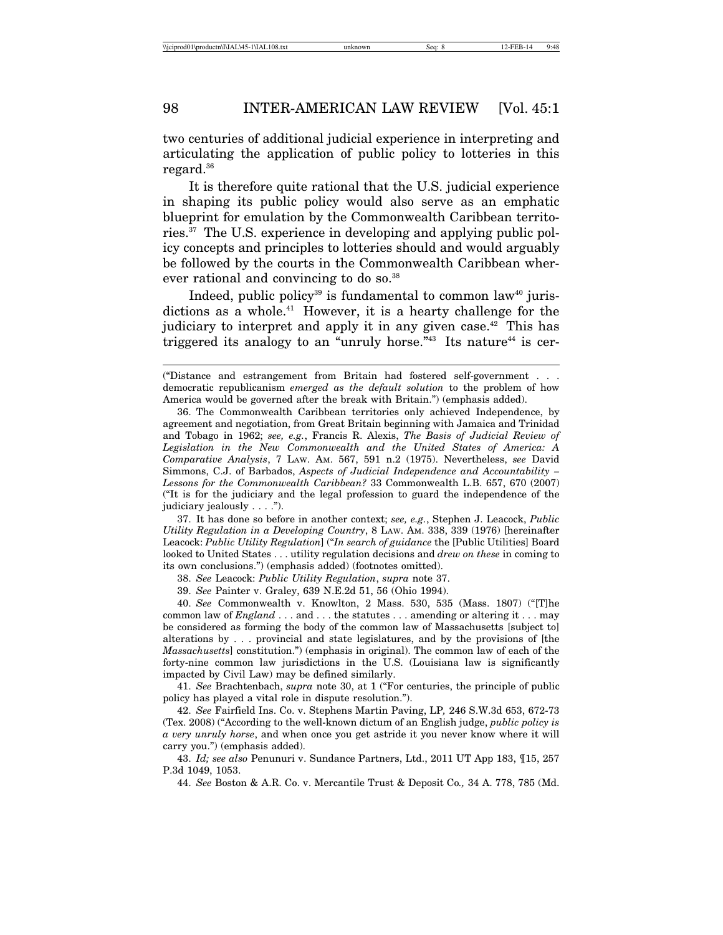two centuries of additional judicial experience in interpreting and articulating the application of public policy to lotteries in this regard.36

It is therefore quite rational that the U.S. judicial experience in shaping its public policy would also serve as an emphatic blueprint for emulation by the Commonwealth Caribbean territories.37 The U.S. experience in developing and applying public policy concepts and principles to lotteries should and would arguably be followed by the courts in the Commonwealth Caribbean wherever rational and convincing to do so.<sup>38</sup>

Indeed, public policy<sup>39</sup> is fundamental to common law<sup>40</sup> jurisdictions as a whole.<sup>41</sup> However, it is a hearty challenge for the judiciary to interpret and apply it in any given case.<sup>42</sup> This has triggered its analogy to an "unruly horse."<sup>43</sup> Its nature<sup>44</sup> is cer-

37. It has done so before in another context; *see, e.g.*, Stephen J. Leacock, *Public Utility Regulation in a Developing Country*, 8 LAW. AM. 338, 339 (1976) [hereinafter Leacock: *Public Utility Regulation*] ("*In search of guidance* the [Public Utilities] Board looked to United States . . . utility regulation decisions and *drew on these* in coming to its own conclusions.") (emphasis added) (footnotes omitted).

38. *See* Leacock: *Public Utility Regulation*, *supra* note 37.

39. *See* Painter v. Graley, 639 N.E.2d 51, 56 (Ohio 1994).

40. *See* Commonwealth v. Knowlton, 2 Mass. 530, 535 (Mass. 1807) ("[T]he common law of *England* . . . and . . . the statutes . . . amending or altering it . . . may be considered as forming the body of the common law of Massachusetts [subject to] alterations by . . . provincial and state legislatures, and by the provisions of [the *Massachusetts*] constitution.") (emphasis in original). The common law of each of the forty-nine common law jurisdictions in the U.S. (Louisiana law is significantly impacted by Civil Law) may be defined similarly.

41. *See* Brachtenbach, *supra* note 30, at 1 ("For centuries, the principle of public policy has played a vital role in dispute resolution.").

42. *See* Fairfield Ins. Co. v. Stephens Martin Paving, LP*,* 246 S.W.3d 653, 672-73 (Tex. 2008) ("According to the well-known dictum of an English judge, *public policy is a very unruly horse*, and when once you get astride it you never know where it will carry you.") (emphasis added).

43. *Id; see also* Penunuri v. Sundance Partners, Ltd., 2011 UT App 183, ¶15, 257 P.3d 1049, 1053.

44. *See* Boston & A.R. Co. v. Mercantile Trust & Deposit Co*.,* 34 A. 778, 785 (Md.

<sup>(&</sup>quot;Distance and estrangement from Britain had fostered self-government . . . democratic republicanism *emerged as the default solution* to the problem of how America would be governed after the break with Britain.") (emphasis added).

<sup>36.</sup> The Commonwealth Caribbean territories only achieved Independence, by agreement and negotiation, from Great Britain beginning with Jamaica and Trinidad and Tobago in 1962; *see, e.g.*, Francis R. Alexis, *The Basis of Judicial Review of Legislation in the New Commonwealth and the United States of America: A Comparative Analysis*, 7 LAW. AM. 567, 591 n.2 (1975). Nevertheless, *see* David Simmons, C.J. of Barbados, *Aspects of Judicial Independence and Accountability – Lessons for the Commonwealth Caribbean?* 33 Commonwealth L.B. 657, 670 (2007) ("It is for the judiciary and the legal profession to guard the independence of the judiciary jealously . . . .").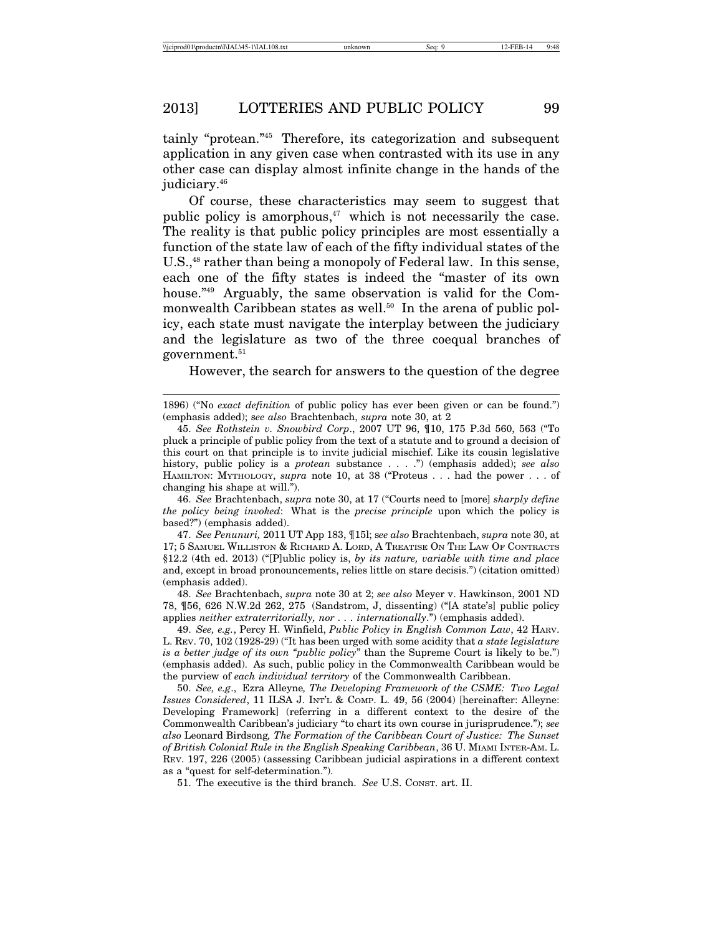tainly "protean."45 Therefore, its categorization and subsequent application in any given case when contrasted with its use in any other case can display almost infinite change in the hands of the judiciary.<sup>46</sup>

Of course, these characteristics may seem to suggest that public policy is amorphous, $47$  which is not necessarily the case. The reality is that public policy principles are most essentially a function of the state law of each of the fifty individual states of the U.S.,<sup>48</sup> rather than being a monopoly of Federal law. In this sense, each one of the fifty states is indeed the "master of its own house."<sup>49</sup> Arguably, the same observation is valid for the Commonwealth Caribbean states as well.<sup>50</sup> In the arena of public policy, each state must navigate the interplay between the judiciary and the legislature as two of the three coequal branches of government.<sup>51</sup>

However, the search for answers to the question of the degree

46. *See* Brachtenbach, *supra* note 30, at 17 ("Courts need to [more] *sharply define the policy being invoked*: What is the *precise principle* upon which the policy is based?") (emphasis added).

47. *See Penunuri,* 2011 UT App 183, ¶15l; s*ee also* Brachtenbach, *supra* note 30, at 17; 5 SAMUEL WILLISTON & RICHARD A. LORD, A TREATISE ON THE LAW OF CONTRACTS §12.2 (4th ed. 2013) ("[P]ublic policy is, *by its nature, variable with time and place* and, except in broad pronouncements, relies little on stare decisis.") (citation omitted) (emphasis added).

48. *See* Brachtenbach, *supra* note 30 at 2; *see also* Meyer v. Hawkinson, 2001 ND 78, ¶56, 626 N.W.2d 262, 275 (Sandstrom, J, dissenting) ("[A state's] public policy applies *neither extraterritorially, nor . . . internationally*.") (emphasis added).

49. *See, e.g.*, Percy H. Winfield, *Public Policy in English Common Law*, 42 HARV. L. REV. 70, 102 (1928-29) ("It has been urged with some acidity that *a state legislature is a better judge of its own "public policy*" than the Supreme Court is likely to be.") (emphasis added). As such, public policy in the Commonwealth Caribbean would be the purview of *each individual territory* of the Commonwealth Caribbean.

50. *See, e.g*., Ezra Alleyne*, The Developing Framework of the CSME: Two Legal Issues Considered*, 11 ILSA J. INT'L & COMP. L. 49, 56 (2004) [hereinafter: Alleyne: Developing Framework] (referring in a different context to the desire of the Commonwealth Caribbean's judiciary "to chart its own course in jurisprudence."); *see also* Leonard Birdsong*, The Formation of the Caribbean Court of Justice: The Sunset of British Colonial Rule in the English Speaking Caribbean*, 36 U. MIAMI INTER-AM. L. REV. 197, 226 (2005) (assessing Caribbean judicial aspirations in a different context as a "quest for self-determination.").

51. The executive is the third branch. *See* U.S. CONST. art. II.

<sup>1896) (&</sup>quot;No *exact definition* of public policy has ever been given or can be found.") (emphasis added); s*ee also* Brachtenbach, *supra* note 30, at 2

<sup>45.</sup> *See Rothstein v. Snowbird Corp*., 2007 UT 96, ¶10, 175 P.3d 560, 563 ("To pluck a principle of public policy from the text of a statute and to ground a decision of this court on that principle is to invite judicial mischief. Like its cousin legislative history, public policy is a *protean* substance . . . .") (emphasis added); *see also* HAMILTON: MYTHOLOGY, *supra* note 10, at 38 ("Proteus . . . had the power . . . of changing his shape at will.").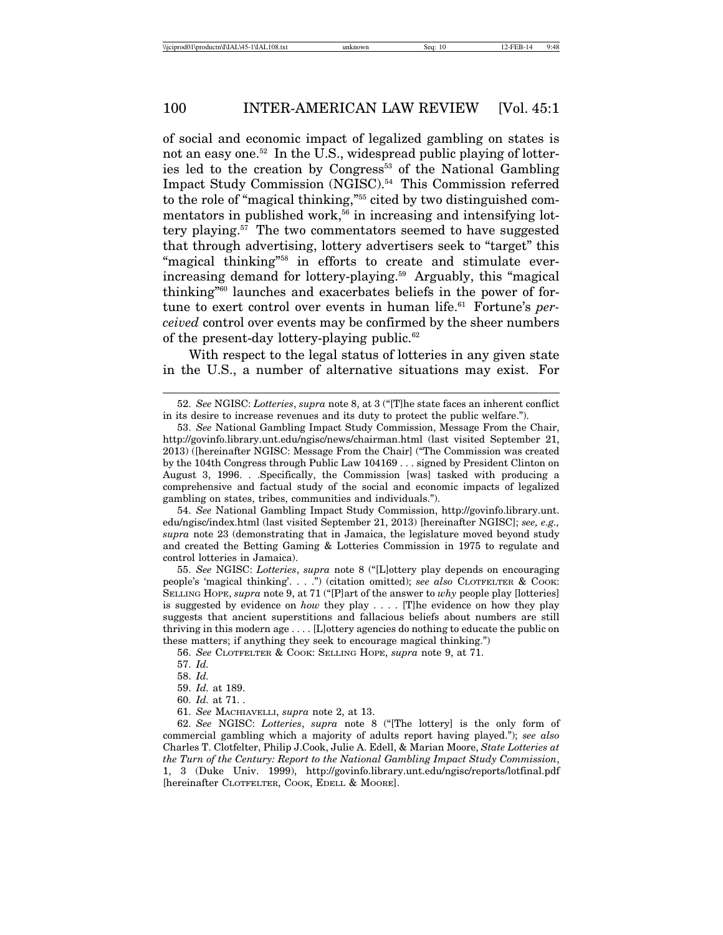of social and economic impact of legalized gambling on states is not an easy one.<sup>52</sup> In the U.S., widespread public playing of lotteries led to the creation by Congress<sup>53</sup> of the National Gambling Impact Study Commission (NGISC).54 This Commission referred to the role of "magical thinking,"55 cited by two distinguished commentators in published work,<sup> $56$ </sup> in increasing and intensifying lottery playing.57 The two commentators seemed to have suggested that through advertising, lottery advertisers seek to "target" this "magical thinking"<sup>58</sup> in efforts to create and stimulate everincreasing demand for lottery-playing.<sup>59</sup> Arguably, this "magical thinking"60 launches and exacerbates beliefs in the power of fortune to exert control over events in human life.61 Fortune's *perceived* control over events may be confirmed by the sheer numbers of the present-day lottery-playing public.62

With respect to the legal status of lotteries in any given state in the U.S., a number of alternative situations may exist. For

54. *See* National Gambling Impact Study Commission, http://govinfo.library.unt. edu/ngisc/index.html (last visited September 21, 2013) [hereinafter NGISC]; *see, e.g., supra* note 23 (demonstrating that in Jamaica, the legislature moved beyond study and created the Betting Gaming & Lotteries Commission in 1975 to regulate and control lotteries in Jamaica).

55. *See* NGISC: *Lotteries*, *supra* note 8 ("[L]ottery play depends on encouraging people's 'magical thinking'. . . .") (citation omitted); *see also* CLOTFELTER & COOK: SELLING HOPE, *supra* note 9, at 71 ("[P]art of the answer to *why* people play [lotteries] is suggested by evidence on *how* they play . . . . [T]he evidence on how they play suggests that ancient superstitions and fallacious beliefs about numbers are still thriving in this modern age . . . . [L]ottery agencies do nothing to educate the public on these matters; if anything they seek to encourage magical thinking.")

56. *See* CLOTFELTER & COOK: SELLING HOPE, *supra* note 9, at 71.

61. *See* MACHIAVELLI, *supra* note 2, at 13.

62. *See* NGISC: *Lotteries*, *supra* note 8 ("[The lottery] is the only form of commercial gambling which a majority of adults report having played."); *see also* Charles T. Clotfelter, Philip J.Cook, Julie A. Edell, & Marian Moore, *State Lotteries at the Turn of the Century: Report to the National Gambling Impact Study Commission*, 1, 3 (Duke Univ. 1999), http://govinfo.library.unt.edu/ngisc/reports/lotfinal.pdf [hereinafter CLOTFELTER, COOK, EDELL & MOORE].

<sup>52.</sup> *See* NGISC: *Lotteries*, *supra* note 8, at 3 ("[T]he state faces an inherent conflict in its desire to increase revenues and its duty to protect the public welfare.").

<sup>53.</sup> *See* National Gambling Impact Study Commission, Message From the Chair, http://govinfo.library.unt.edu/ngisc/news/chairman.html (last visited September 21, 2013) ([hereinafter NGISC: Message From the Chair] ("The Commission was created by the 104th Congress through Public Law 104169 . . . signed by President Clinton on August 3, 1996. . .Specifically, the Commission [was] tasked with producing a comprehensive and factual study of the social and economic impacts of legalized gambling on states, tribes, communities and individuals.").

<sup>57.</sup> *Id.*

<sup>58.</sup> *Id.*

<sup>59.</sup> *Id.* at 189.

<sup>60.</sup> *Id.* at 71. *.*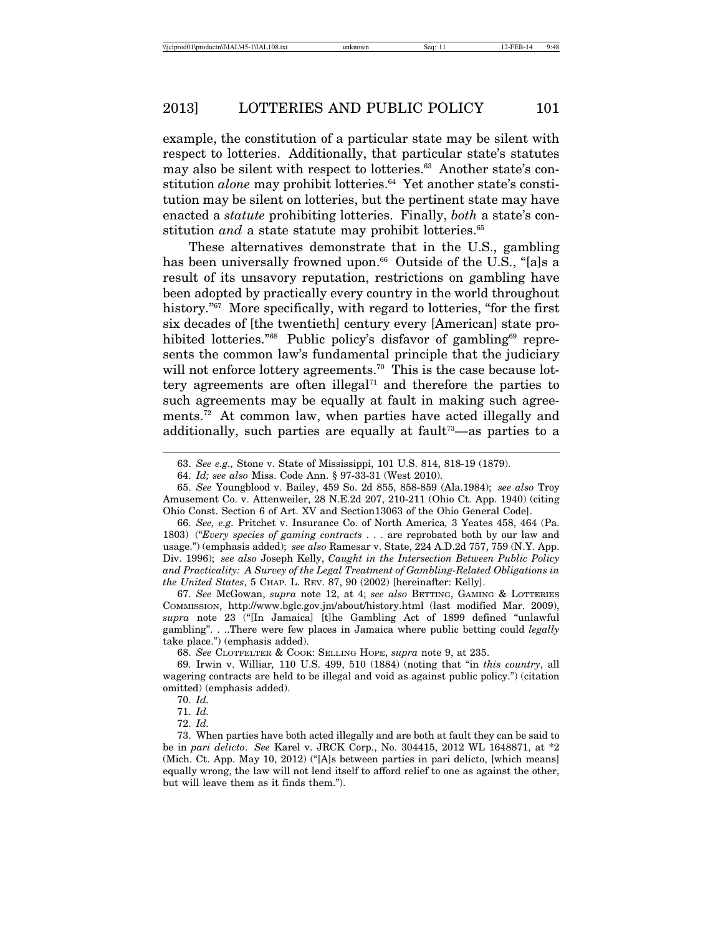example, the constitution of a particular state may be silent with respect to lotteries. Additionally, that particular state's statutes may also be silent with respect to lotteries.<sup>63</sup> Another state's constitution *alone* may prohibit lotteries.<sup>64</sup> Yet another state's constitution may be silent on lotteries, but the pertinent state may have enacted a *statute* prohibiting lotteries. Finally, *both* a state's constitution *and* a state statute may prohibit lotteries.<sup>65</sup>

These alternatives demonstrate that in the U.S., gambling has been universally frowned upon.<sup>66</sup> Outside of the U.S., "[a]s a result of its unsavory reputation, restrictions on gambling have been adopted by practically every country in the world throughout history.<sup>"67</sup> More specifically, with regard to lotteries, "for the first six decades of [the twentieth] century every [American] state prohibited lotteries."<sup>68</sup> Public policy's disfavor of gambling<sup>69</sup> represents the common law's fundamental principle that the judiciary will not enforce lottery agreements.<sup>70</sup> This is the case because lottery agreements are often illegal $^{71}$  and therefore the parties to such agreements may be equally at fault in making such agreements.72 At common law, when parties have acted illegally and additionally, such parties are equally at fault<sup> $73$ </sup>—as parties to a

67. *See* McGowan, *supra* note 12, at 4; *see also* BETTING, GAMING & LOTTERIES COMMISSION, http://www.bglc.gov.jm/about/history.html (last modified Mar. 2009), *supra* note 23 ("[In Jamaica] [t]he Gambling Act of 1899 defined "unlawful gambling". . ..There were few places in Jamaica where public betting could *legally* take place.") (emphasis added).

68. *See* CLOTFELTER & COOK: SELLING HOPE, *supra* note 9, at 235.

<sup>63.</sup> *See e.g.,* Stone v. State of Mississippi, 101 U.S. 814, 818-19 (1879).

<sup>64.</sup> *Id; see also* Miss. Code Ann. § 97-33-31 (West 2010).

<sup>65.</sup> *See* Youngblood v. Bailey, 459 So. 2d 855, 858-859 (Ala.1984); *see also* Troy Amusement Co. v. Attenweiler, 28 N.E.2d 207, 210-211 (Ohio Ct. App. 1940) (citing Ohio Const. Section 6 of Art. XV and Section13063 of the Ohio General Code].

<sup>66.</sup> *See, e.g.* Pritchet v. Insurance Co. of North America*,* 3 Yeates 458, 464 (Pa. 1803) ("*Every species of gaming contracts* . . . are reprobated both by our law and usage.") (emphasis added); *see also* Ramesar v. State, 224 A.D.2d 757, 759 (N.Y. App. Div. 1996); *see also* Joseph Kelly, *Caught in the Intersection Between Public Policy and Practicality: A Survey of the Legal Treatment of Gambling-Related Obligations in the United States*, 5 CHAP. L. REV. 87, 90 (2002) [hereinafter: Kelly].

<sup>69.</sup> Irwin v. Williar*,* 110 U.S. 499, 510 (1884) (noting that "in *this country*, all wagering contracts are held to be illegal and void as against public policy.") (citation omitted) (emphasis added).

<sup>70.</sup> *Id.*

<sup>71.</sup> *Id.*

<sup>72.</sup> *Id.*

<sup>73.</sup> When parties have both acted illegally and are both at fault they can be said to be in *pari delicto*. *See* Karel v. JRCK Corp., No. 304415, 2012 WL 1648871, at \*2 (Mich. Ct. App. May 10, 2012) ("[A]s between parties in pari delicto, [which means] equally wrong, the law will not lend itself to afford relief to one as against the other, but will leave them as it finds them.").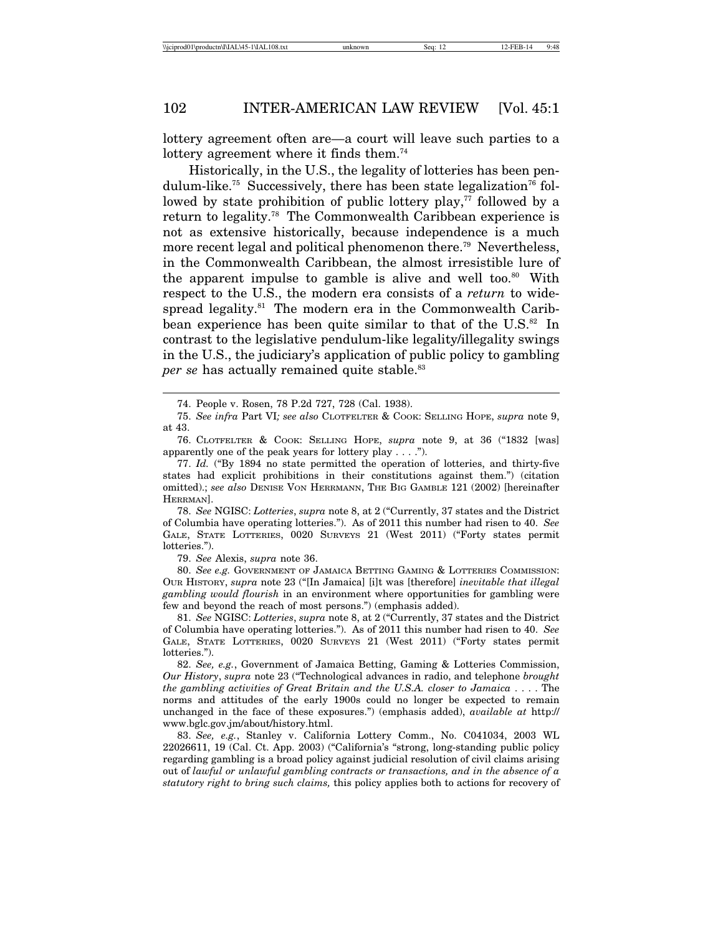lottery agreement often are—a court will leave such parties to a lottery agreement where it finds them.<sup>74</sup>

Historically, in the U.S., the legality of lotteries has been pendulum-like.<sup>75</sup> Successively, there has been state legalization<sup>76</sup> followed by state prohibition of public lottery play, $77$  followed by a return to legality.78 The Commonwealth Caribbean experience is not as extensive historically, because independence is a much more recent legal and political phenomenon there.<sup>79</sup> Nevertheless, in the Commonwealth Caribbean, the almost irresistible lure of the apparent impulse to gamble is alive and well too.<sup>80</sup> With respect to the U.S., the modern era consists of a *return* to widespread legality.<sup>81</sup> The modern era in the Commonwealth Caribbean experience has been quite similar to that of the  $\rm U.S.^{\rm s2}$  In contrast to the legislative pendulum-like legality/illegality swings in the U.S., the judiciary's application of public policy to gambling *per se* has actually remained quite stable.<sup>83</sup>

78. *See* NGISC: *Lotteries*, *supra* note 8, at 2 ("Currently, 37 states and the District of Columbia have operating lotteries."). As of 2011 this number had risen to 40. *See* GALE, STATE LOTTERIES, 0020 SURVEYS 21 (West 2011) ("Forty states permit lotteries.").

79. *See* Alexis, *supra* note 36.

80. *See e.g.* GOVERNMENT OF JAMAICA BETTING GAMING & LOTTERIES COMMISSION: OUR HISTORY, *supra* note 23 ("[In Jamaica] [i]t was [therefore] *inevitable that illegal gambling would flourish* in an environment where opportunities for gambling were few and beyond the reach of most persons.") (emphasis added).

81. *See* NGISC: *Lotteries*, *supra* note 8, at 2 ("Currently, 37 states and the District of Columbia have operating lotteries."). As of 2011 this number had risen to 40. *See* GALE, STATE LOTTERIES, 0020 SURVEYS 21 (West 2011) ("Forty states permit lotteries.").

82. *See, e.g.*, Government of Jamaica Betting, Gaming & Lotteries Commission, *Our History*, *supra* note 23 ("Technological advances in radio, and telephone *brought the gambling activities of Great Britain and the U.S.A. closer to Jamaica* . . . . The norms and attitudes of the early 1900s could no longer be expected to remain unchanged in the face of these exposures.") (emphasis added), *available at* http:// www.bglc.gov.jm/about/history.html.

83. *See, e.g.*, Stanley v. California Lottery Comm., No. C041034, 2003 WL 22026611, 19 (Cal. Ct. App. 2003) ("California's "strong, long-standing public policy regarding gambling is a broad policy against judicial resolution of civil claims arising out of *lawful or unlawful gambling contracts or transactions, and in the absence of a statutory right to bring such claims,* this policy applies both to actions for recovery of

<sup>74.</sup> People v. Rosen, 78 P.2d 727, 728 (Cal. 1938).

<sup>75.</sup> *See infra* Part VI*; see also* CLOTFELTER & COOK: SELLING HOPE, *supra* note 9, at 43.

<sup>76.</sup> CLOTFELTER & COOK: SELLING HOPE, *supra* note 9, at 36 ("1832 [was] apparently one of the peak years for lottery play  $\dots$ .

<sup>77.</sup> *Id.* ("By 1894 no state permitted the operation of lotteries, and thirty-five states had explicit prohibitions in their constitutions against them.") (citation omitted).; *see also* DENISE VON HERRMANN, THE BIG GAMBLE 121 (2002) [hereinafter HERRMAN].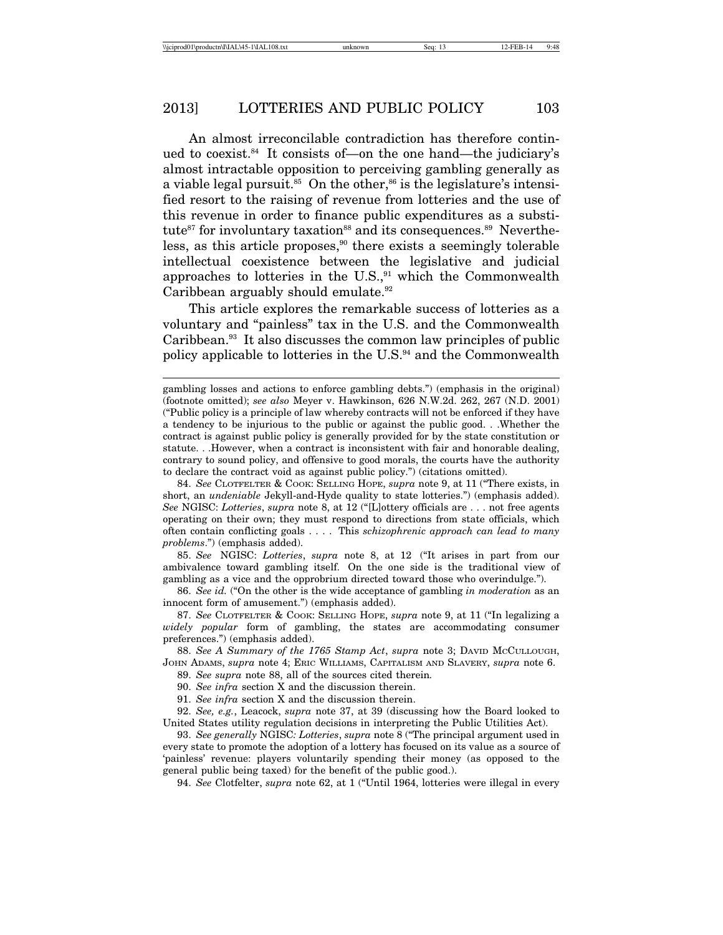An almost irreconcilable contradiction has therefore continued to coexist.84 It consists of—on the one hand—the judiciary's almost intractable opposition to perceiving gambling generally as a viable legal pursuit.<sup>85</sup> On the other,<sup>86</sup> is the legislature's intensified resort to the raising of revenue from lotteries and the use of this revenue in order to finance public expenditures as a substitute<sup>87</sup> for involuntary taxation<sup>88</sup> and its consequences.<sup>89</sup> Nevertheless, as this article proposes,<sup>90</sup> there exists a seemingly tolerable intellectual coexistence between the legislative and judicial approaches to lotteries in the U.S., $91$  which the Commonwealth Caribbean arguably should emulate.92

This article explores the remarkable success of lotteries as a voluntary and "painless" tax in the U.S. and the Commonwealth Caribbean.93 It also discusses the common law principles of public policy applicable to lotteries in the U.S. $94$  and the Commonwealth

85. *See* NGISC: *Lotteries*, *supra* note 8, at 12 ("It arises in part from our ambivalence toward gambling itself. On the one side is the traditional view of gambling as a vice and the opprobrium directed toward those who overindulge.").

86. *See id.* ("On the other is the wide acceptance of gambling *in moderation* as an innocent form of amusement.") (emphasis added).

87. *See* CLOTFELTER & COOK: SELLING HOPE, *supra* note 9, at 11 ("In legalizing a *widely popular* form of gambling, the states are accommodating consumer preferences.") (emphasis added).

88. *See A Summary of the 1765 Stamp Act*, *supra* note 3; DAVID MCCULLOUGH, JOHN ADAMS, *supra* note 4; ERIC WILLIAMS, CAPITALISM AND SLAVERY, *supra* note 6.

89. *See supra* note 88, all of the sources cited therein*.*

90. *See infra* section X and the discussion therein.

91. *See infra* section X and the discussion therein.

92. *See, e.g.*, Leacock, *supra* note 37, at 39 (discussing how the Board looked to United States utility regulation decisions in interpreting the Public Utilities Act).

93. *See generally* NGISC*: Lotteries*, *supra* note 8 ("The principal argument used in every state to promote the adoption of a lottery has focused on its value as a source of 'painless' revenue: players voluntarily spending their money (as opposed to the general public being taxed) for the benefit of the public good.).

94. *See* Clotfelter, *supra* note 62, at 1 ("Until 1964, lotteries were illegal in every

gambling losses and actions to enforce gambling debts.") (emphasis in the original) (footnote omitted); *see also* Meyer v. Hawkinson, 626 N.W.2d. 262, 267 (N.D. 2001) ("Public policy is a principle of law whereby contracts will not be enforced if they have a tendency to be injurious to the public or against the public good. . .Whether the contract is against public policy is generally provided for by the state constitution or statute. . .However, when a contract is inconsistent with fair and honorable dealing, contrary to sound policy, and offensive to good morals, the courts have the authority to declare the contract void as against public policy.") (citations omitted).

<sup>84.</sup> *See* CLOTFELTER & COOK: SELLING HOPE, *supra* note 9, at 11 ("There exists, in short, an *undeniable* Jekyll-and-Hyde quality to state lotteries.") (emphasis added). *See* NGISC: *Lotteries*, *supra* note 8, at 12 ("[L]ottery officials are . . . not free agents operating on their own; they must respond to directions from state officials, which often contain conflicting goals . . . . This *schizophrenic approach can lead to many problems*.") (emphasis added).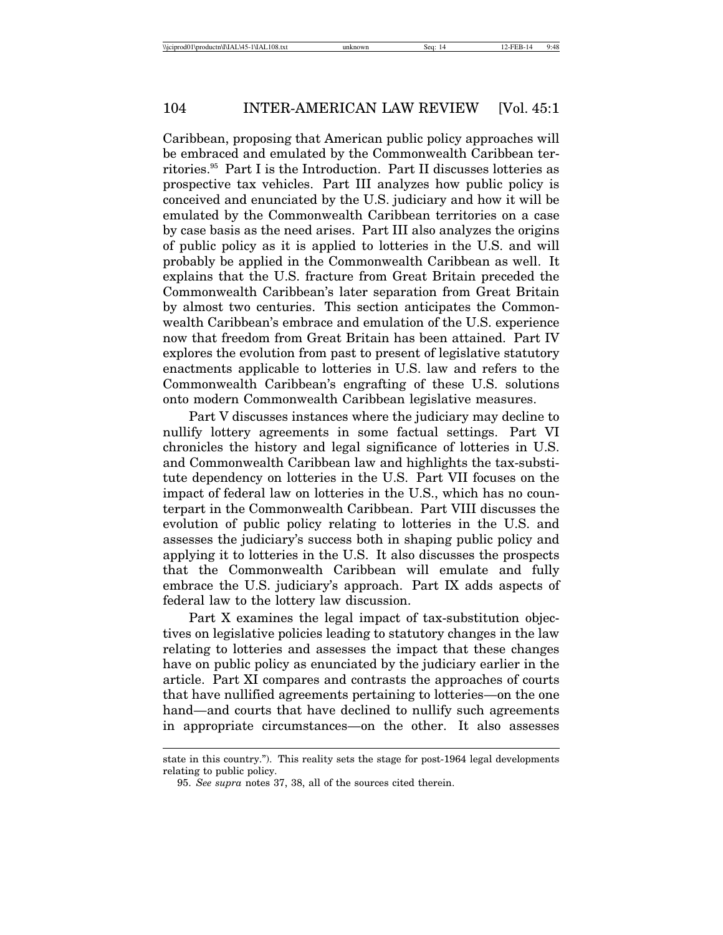Caribbean, proposing that American public policy approaches will be embraced and emulated by the Commonwealth Caribbean territories.95 Part I is the Introduction. Part II discusses lotteries as prospective tax vehicles. Part III analyzes how public policy is conceived and enunciated by the U.S. judiciary and how it will be emulated by the Commonwealth Caribbean territories on a case by case basis as the need arises. Part III also analyzes the origins of public policy as it is applied to lotteries in the U.S. and will probably be applied in the Commonwealth Caribbean as well. It explains that the U.S. fracture from Great Britain preceded the Commonwealth Caribbean's later separation from Great Britain by almost two centuries. This section anticipates the Commonwealth Caribbean's embrace and emulation of the U.S. experience now that freedom from Great Britain has been attained. Part IV explores the evolution from past to present of legislative statutory enactments applicable to lotteries in U.S. law and refers to the Commonwealth Caribbean's engrafting of these U.S. solutions onto modern Commonwealth Caribbean legislative measures.

Part V discusses instances where the judiciary may decline to nullify lottery agreements in some factual settings. Part VI chronicles the history and legal significance of lotteries in U.S. and Commonwealth Caribbean law and highlights the tax-substitute dependency on lotteries in the U.S. Part VII focuses on the impact of federal law on lotteries in the U.S., which has no counterpart in the Commonwealth Caribbean. Part VIII discusses the evolution of public policy relating to lotteries in the U.S. and assesses the judiciary's success both in shaping public policy and applying it to lotteries in the U.S. It also discusses the prospects that the Commonwealth Caribbean will emulate and fully embrace the U.S. judiciary's approach. Part IX adds aspects of federal law to the lottery law discussion.

Part X examines the legal impact of tax-substitution objectives on legislative policies leading to statutory changes in the law relating to lotteries and assesses the impact that these changes have on public policy as enunciated by the judiciary earlier in the article. Part XI compares and contrasts the approaches of courts that have nullified agreements pertaining to lotteries—on the one hand—and courts that have declined to nullify such agreements in appropriate circumstances—on the other. It also assesses

state in this country."). This reality sets the stage for post-1964 legal developments relating to public policy.

<sup>95.</sup> *See supra* notes 37, 38, all of the sources cited therein.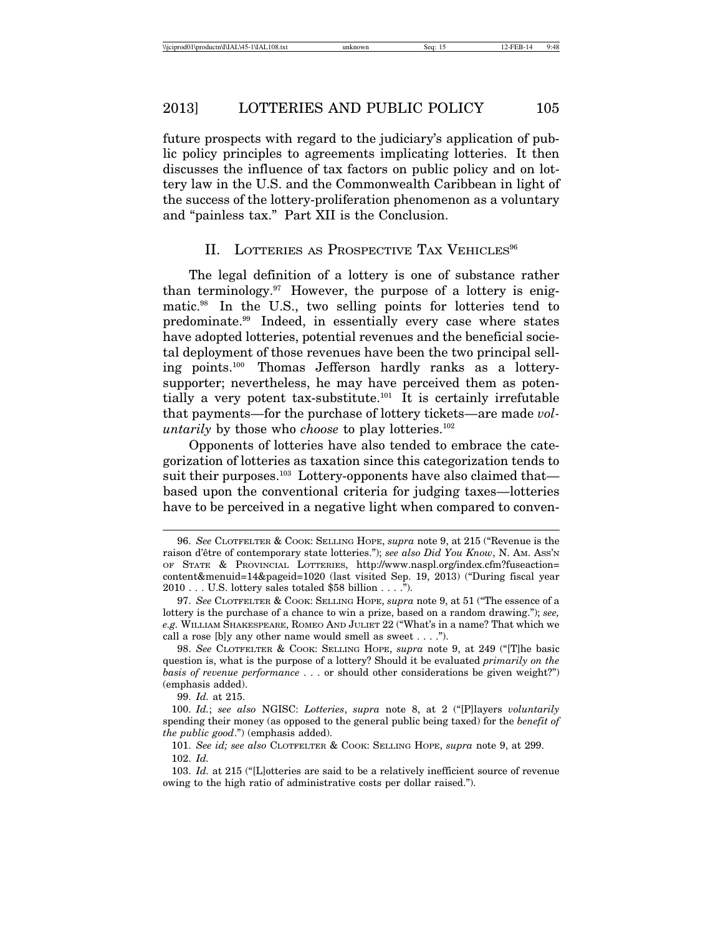future prospects with regard to the judiciary's application of public policy principles to agreements implicating lotteries. It then discusses the influence of tax factors on public policy and on lottery law in the U.S. and the Commonwealth Caribbean in light of the success of the lottery-proliferation phenomenon as a voluntary and "painless tax." Part XII is the Conclusion.

#### II. LOTTERIES AS PROSPECTIVE TAX VEHICLES<sup>96</sup>

The legal definition of a lottery is one of substance rather than terminology. $97$  However, the purpose of a lottery is enigmatic.98 In the U.S., two selling points for lotteries tend to predominate.99 Indeed, in essentially every case where states have adopted lotteries, potential revenues and the beneficial societal deployment of those revenues have been the two principal selling points.100 Thomas Jefferson hardly ranks as a lotterysupporter; nevertheless, he may have perceived them as potentially a very potent tax-substitute.<sup>101</sup> It is certainly irrefutable that payments—for the purchase of lottery tickets—are made *voluntarily* by those who *choose* to play lotteries.<sup>102</sup>

Opponents of lotteries have also tended to embrace the categorization of lotteries as taxation since this categorization tends to suit their purposes.<sup>103</sup> Lottery-opponents have also claimed that based upon the conventional criteria for judging taxes—lotteries have to be perceived in a negative light when compared to conven-

99. *Id.* at 215.

<sup>96.</sup> *See* CLOTFELTER & COOK: SELLING HOPE, *supra* note 9, at 215 ("Revenue is the raison d'être of contemporary state lotteries."); see also Did You Know, N. AM. Ass'N OF STATE & PROVINCIAL LOTTERIES, http://www.naspl.org/index.cfm?fuseaction= content&menuid=14&pageid=1020 (last visited Sep. 19, 2013) ("During fiscal year 2010 . . . U.S. lottery sales totaled \$58 billion . . . .").

<sup>97.</sup> *See* CLOTFELTER & COOK: SELLING HOPE, *supra* note 9, at 51 ("The essence of a lottery is the purchase of a chance to win a prize, based on a random drawing."); *see, e.g.* WILLIAM SHAKESPEARE, ROMEO AND JULIET 22 ("What's in a name? That which we call a rose [b]y any other name would smell as sweet . . . .").

<sup>98.</sup> *See* CLOTFELTER & COOK: SELLING HOPE, *supra* note 9, at 249 ("[T]he basic question is, what is the purpose of a lottery? Should it be evaluated *primarily on the basis of revenue performance* . . . or should other considerations be given weight?") (emphasis added).

<sup>100.</sup> *Id.*; *see also* NGISC: *Lotteries*, *supra* note 8, at 2 ("[P]layers *voluntarily* spending their money (as opposed to the general public being taxed) for the *benefit of the public good*.") (emphasis added).

<sup>101.</sup> *See id; see also* CLOTFELTER & COOK: SELLING HOPE, *supra* note 9, at 299. 102. *Id.*

<sup>103.</sup> *Id.* at 215 ("[L]otteries are said to be a relatively inefficient source of revenue owing to the high ratio of administrative costs per dollar raised.").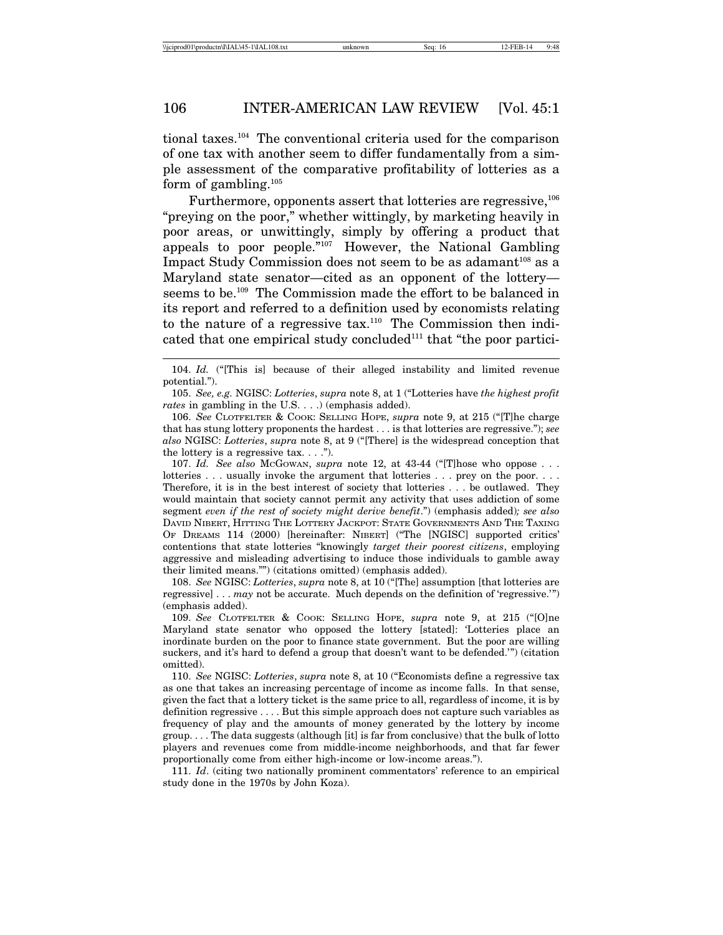tional taxes.104 The conventional criteria used for the comparison of one tax with another seem to differ fundamentally from a simple assessment of the comparative profitability of lotteries as a form of gambling. $105$ 

Furthermore, opponents assert that lotteries are regressive.<sup>106</sup> "preying on the poor," whether wittingly, by marketing heavily in poor areas, or unwittingly, simply by offering a product that appeals to poor people."107 However, the National Gambling Impact Study Commission does not seem to be as adamant<sup>108</sup> as a Maryland state senator—cited as an opponent of the lottery seems to be.109 The Commission made the effort to be balanced in its report and referred to a definition used by economists relating to the nature of a regressive tax.110 The Commission then indicated that one empirical study concluded<sup>111</sup> that "the poor partici-

105. *See, e.g.* NGISC: *Lotteries*, *supra* note 8, at 1 ("Lotteries have *the highest profit rates* in gambling in the U.S. . . .) (emphasis added).

106. *See* CLOTFELTER & COOK: SELLING HOPE, *supra* note 9, at 215 ("[T]he charge that has stung lottery proponents the hardest . . . is that lotteries are regressive."); *see also* NGISC: *Lotteries*, *supra* note 8, at 9 ("[There] is the widespread conception that the lottery is a regressive tax.  $\ldots$ .").

107. *Id. See also* MCGOWAN, *supra* note 12, at 43-44 ("[T]hose who oppose . . . lotteries . . . usually invoke the argument that lotteries . . . prey on the poor. . . . Therefore, it is in the best interest of society that lotteries . . . be outlawed. They would maintain that society cannot permit any activity that uses addiction of some segment *even if the rest of society might derive benefit*.") (emphasis added)*; see also* DAVID NIBERT, HITTING THE LOTTERY JACKPOT: STATE GOVERNMENTS AND THE TAXING OF DREAMS 114 (2000) [hereinafter: NIBERT] ("The [NGISC] supported critics' contentions that state lotteries "knowingly *target their poorest citizens*, employing aggressive and misleading advertising to induce those individuals to gamble away their limited means."") (citations omitted) (emphasis added).

108. *See* NGISC: *Lotteries*, *supra* note 8, at 10 ("[The] assumption [that lotteries are regressive] . . . *may* not be accurate. Much depends on the definition of 'regressive.'") (emphasis added).

109. *See* CLOTFELTER & COOK: SELLING HOPE, *supra* note 9, at 215 ("[O]ne Maryland state senator who opposed the lottery [stated]: 'Lotteries place an inordinate burden on the poor to finance state government. But the poor are willing suckers, and it's hard to defend a group that doesn't want to be defended.'") (citation omitted).

110. *See* NGISC: *Lotteries*, *supra* note 8, at 10 ("Economists define a regressive tax as one that takes an increasing percentage of income as income falls. In that sense, given the fact that a lottery ticket is the same price to all, regardless of income, it is by definition regressive . . . . But this simple approach does not capture such variables as frequency of play and the amounts of money generated by the lottery by income group. . . . The data suggests (although [it] is far from conclusive) that the bulk of lotto players and revenues come from middle-income neighborhoods, and that far fewer proportionally come from either high-income or low-income areas.").

111. *Id*. (citing two nationally prominent commentators' reference to an empirical study done in the 1970s by John Koza).

<sup>104.</sup> *Id.* ("[This is] because of their alleged instability and limited revenue potential.").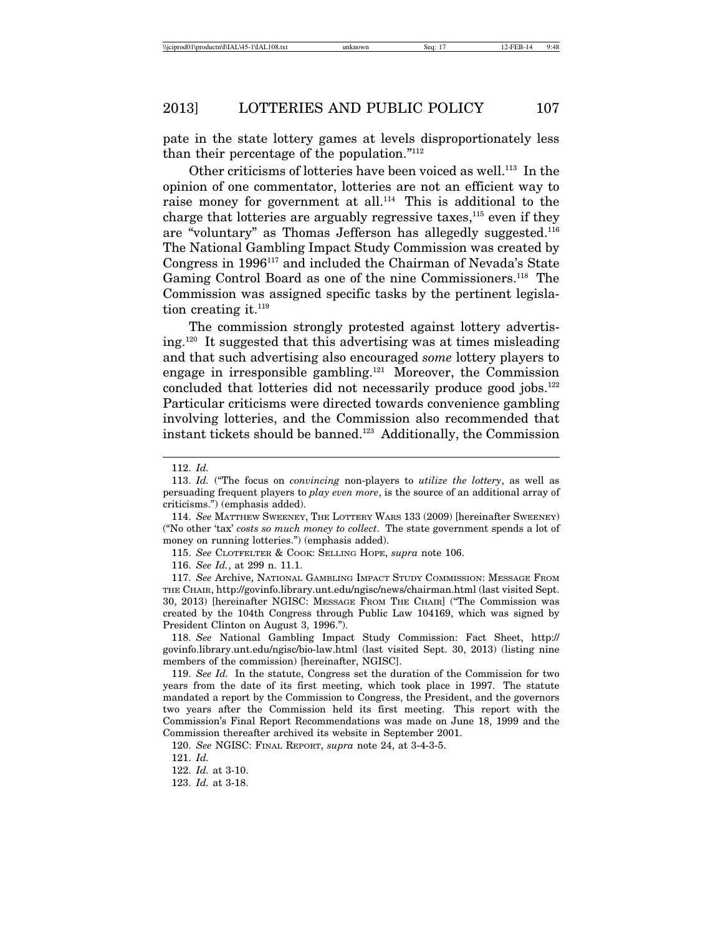pate in the state lottery games at levels disproportionately less than their percentage of the population."112

Other criticisms of lotteries have been voiced as well.<sup>113</sup> In the opinion of one commentator, lotteries are not an efficient way to raise money for government at all.<sup>114</sup> This is additional to the charge that lotteries are arguably regressive taxes,  $115$  even if they are "voluntary" as Thomas Jefferson has allegedly suggested.116 The National Gambling Impact Study Commission was created by Congress in 1996117 and included the Chairman of Nevada's State Gaming Control Board as one of the nine Commissioners.<sup>118</sup> The Commission was assigned specific tasks by the pertinent legislation creating it.<sup>119</sup>

The commission strongly protested against lottery advertising.120 It suggested that this advertising was at times misleading and that such advertising also encouraged *some* lottery players to engage in irresponsible gambling.121 Moreover, the Commission concluded that lotteries did not necessarily produce good jobs.<sup>122</sup> Particular criticisms were directed towards convenience gambling involving lotteries, and the Commission also recommended that instant tickets should be banned.123 Additionally, the Commission

<sup>112.</sup> *Id.*

<sup>113.</sup> *Id.* ("The focus on *convincing* non-players to *utilize the lottery*, as well as persuading frequent players to *play even more*, is the source of an additional array of criticisms.") (emphasis added).

<sup>114.</sup> *See* MATTHEW SWEENEY, THE LOTTERY WARS 133 (2009) [hereinafter SWEENEY) ("No other 'tax' *costs so much money to collect*. The state government spends a lot of money on running lotteries.") (emphasis added).

<sup>115.</sup> *See* CLOTFELTER & COOK: SELLING HOPE, *supra* note 106.

<sup>116.</sup> *See Id.*, at 299 n. 11.1.

<sup>117.</sup> *See* Archive, NATIONAL GAMBLING IMPACT STUDY COMMISSION: MESSAGE FROM THE CHAIR, http://govinfo.library.unt.edu/ngisc/news/chairman.html (last visited Sept. 30, 2013) [hereinafter NGISC: MESSAGE FROM THE CHAIR] ("The Commission was created by the 104th Congress through Public Law 104169, which was signed by President Clinton on August 3, 1996.").

<sup>118.</sup> *See* National Gambling Impact Study Commission: Fact Sheet, http:// govinfo.library.unt.edu/ngisc/bio-law.html (last visited Sept. 30, 2013) (listing nine members of the commission) [hereinafter, NGISC].

<sup>119.</sup> *See Id.* In the statute, Congress set the duration of the Commission for two years from the date of its first meeting, which took place in 1997. The statute mandated a report by the Commission to Congress, the President, and the governors two years after the Commission held its first meeting. This report with the Commission's Final Report Recommendations was made on June 18, 1999 and the Commission thereafter archived its website in September 2001.

<sup>120.</sup> *See* NGISC: FINAL REPORT, *supra* note 24, at 3-4-3-5.

<sup>121.</sup> *Id.*

<sup>122.</sup> *Id.* at 3-10.

<sup>123.</sup> *Id.* at 3-18.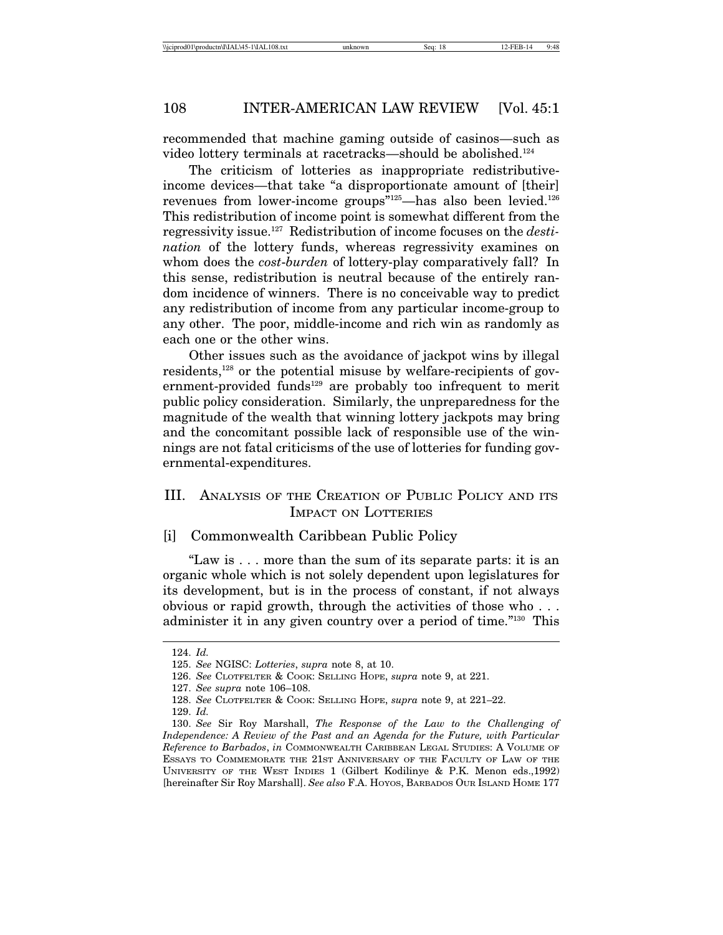recommended that machine gaming outside of casinos—such as video lottery terminals at racetracks—should be abolished.124

The criticism of lotteries as inappropriate redistributiveincome devices—that take "a disproportionate amount of [their] revenues from lower-income groups"<sup>125</sup>—has also been levied.<sup>126</sup> This redistribution of income point is somewhat different from the regressivity issue.127 Redistribution of income focuses on the *destination* of the lottery funds, whereas regressivity examines on whom does the *cost*-*burden* of lottery-play comparatively fall? In this sense, redistribution is neutral because of the entirely random incidence of winners. There is no conceivable way to predict any redistribution of income from any particular income-group to any other. The poor, middle-income and rich win as randomly as each one or the other wins.

Other issues such as the avoidance of jackpot wins by illegal residents,<sup>128</sup> or the potential misuse by welfare-recipients of government-provided funds<sup>129</sup> are probably too infrequent to merit public policy consideration. Similarly, the unpreparedness for the magnitude of the wealth that winning lottery jackpots may bring and the concomitant possible lack of responsible use of the winnings are not fatal criticisms of the use of lotteries for funding governmental-expenditures.

# III. ANALYSIS OF THE CREATION OF PUBLIC POLICY AND ITS IMPACT ON LOTTERIES

### [i] Commonwealth Caribbean Public Policy

"Law is . . . more than the sum of its separate parts: it is an organic whole which is not solely dependent upon legislatures for its development, but is in the process of constant, if not always obvious or rapid growth, through the activities of those who . . . administer it in any given country over a period of time."130 This

<sup>124.</sup> *Id.*

<sup>125.</sup> *See* NGISC: *Lotteries*, *supra* note 8, at 10.

<sup>126.</sup> *See* CLOTFELTER & COOK: SELLING HOPE, *supra* note 9, at 221.

<sup>127.</sup> *See supra* note 106–108.

<sup>128.</sup> *See* CLOTFELTER & COOK: SELLING HOPE, *supra* note 9, at 221–22.

<sup>129.</sup> *Id.*

<sup>130.</sup> *See* Sir Roy Marshall, *The Response of the Law to the Challenging of Independence: A Review of the Past and an Agenda for the Future, with Particular Reference to Barbados*, *in* COMMONWEALTH CARIBBEAN LEGAL STUDIES: A VOLUME OF ESSAYS TO COMMEMORATE THE 21ST ANNIVERSARY OF THE FACULTY OF LAW OF THE UNIVERSITY OF THE WEST INDIES 1 (Gilbert Kodilinye & P.K. Menon eds.,1992) [hereinafter Sir Roy Marshall]. *See also* F.A. HOYOS, BARBADOS OUR ISLAND HOME 177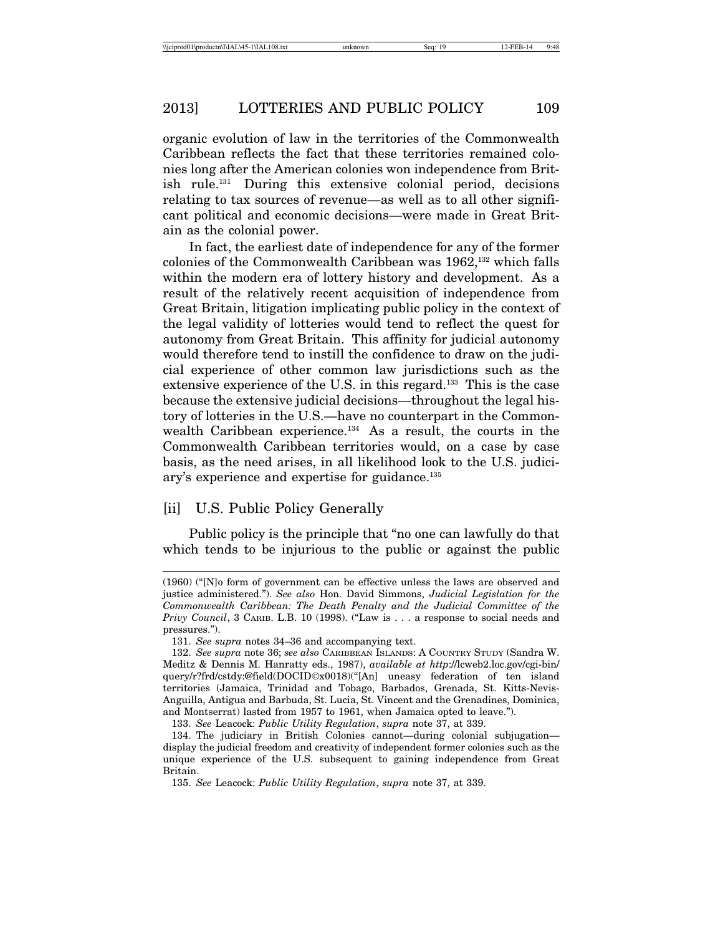organic evolution of law in the territories of the Commonwealth Caribbean reflects the fact that these territories remained colonies long after the American colonies won independence from British rule.<sup>131</sup> During this extensive colonial period, decisions relating to tax sources of revenue—as well as to all other significant political and economic decisions—were made in Great Britain as the colonial power.

In fact, the earliest date of independence for any of the former colonies of the Commonwealth Caribbean was  $1962$ ,<sup>132</sup> which falls within the modern era of lottery history and development. As a result of the relatively recent acquisition of independence from Great Britain, litigation implicating public policy in the context of the legal validity of lotteries would tend to reflect the quest for autonomy from Great Britain. This affinity for judicial autonomy would therefore tend to instill the confidence to draw on the judicial experience of other common law jurisdictions such as the extensive experience of the U.S. in this regard.<sup>133</sup> This is the case because the extensive judicial decisions—throughout the legal history of lotteries in the U.S.—have no counterpart in the Commonwealth Caribbean experience.<sup>134</sup> As a result, the courts in the Commonwealth Caribbean territories would, on a case by case basis, as the need arises, in all likelihood look to the U.S. judiciary's experience and expertise for guidance.<sup>135</sup>

## [ii] U.S. Public Policy Generally

Public policy is the principle that "no one can lawfully do that which tends to be injurious to the public or against the public

<sup>(1960) (&</sup>quot;[N]o form of government can be effective unless the laws are observed and justice administered."). *See also* Hon. David Simmons, *Judicial Legislation for the Commonwealth Caribbean: The Death Penalty and the Judicial Committee of the Privy Council*, 3 CARIB. L.B. 10 (1998). ("Law is . . . a response to social needs and pressures.").

<sup>131.</sup> *See supra* notes 34–36 and accompanying text.

<sup>132.</sup> *See supra* note 36; *see also* CARIBBEAN ISLANDS: A COUNTRY STUDY (Sandra W. Meditz & Dennis M. Hanratty eds., 1987), *available at http*://lcweb2.loc.gov/cgi-bin/ query/r?frd/cstdy:@field(DOCID©x0018)("[An] uneasy federation of ten island territories (Jamaica, Trinidad and Tobago, Barbados, Grenada, St. Kitts-Nevis-Anguilla, Antigua and Barbuda, St. Lucia, St. Vincent and the Grenadines, Dominica, and Montserrat) lasted from 1957 to 1961, when Jamaica opted to leave.").

<sup>133.</sup> *See* Leacock: *Public Utility Regulation*, *supra* note 37, at 339.

<sup>134.</sup> The judiciary in British Colonies cannot—during colonial subjugation display the judicial freedom and creativity of independent former colonies such as the unique experience of the U.S. subsequent to gaining independence from Great Britain.

<sup>135.</sup> *See* Leacock: *Public Utility Regulation*, *supra* note 37, at 339.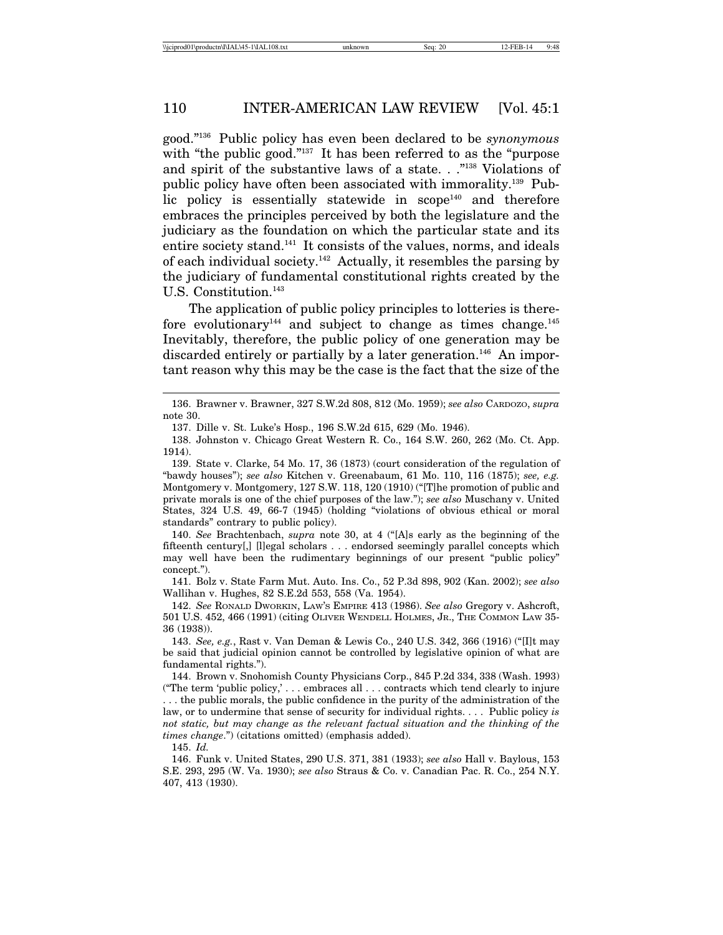good."136 Public policy has even been declared to be *synonymous* with "the public good."<sup>137</sup> It has been referred to as the "purpose" and spirit of the substantive laws of a state. . ."138 Violations of public policy have often been associated with immorality.139 Public policy is essentially statewide in  $\text{scope}^{140}$  and therefore embraces the principles perceived by both the legislature and the judiciary as the foundation on which the particular state and its entire society stand.141 It consists of the values, norms, and ideals of each individual society.<sup>142</sup> Actually, it resembles the parsing by the judiciary of fundamental constitutional rights created by the U.S. Constitution.<sup>143</sup>

The application of public policy principles to lotteries is therefore evolutionary<sup>144</sup> and subject to change as times change.<sup>145</sup> Inevitably, therefore, the public policy of one generation may be discarded entirely or partially by a later generation.<sup>146</sup> An important reason why this may be the case is the fact that the size of the

141. Bolz v. State Farm Mut. Auto. Ins. Co., 52 P.3d 898, 902 (Kan. 2002); *see also* Wallihan v. Hughes, 82 S.E.2d 553, 558 (Va. 1954).

142. *See* RONALD DWORKIN, LAW'S EMPIRE 413 (1986). *See also* Gregory v. Ashcroft, 501 U.S. 452, 466 (1991) (citing OLIVER WENDELL HOLMES, JR., THE COMMON LAW 35- 36 (1938)).

143. *See, e.g.*, Rast v. Van Deman & Lewis Co., 240 U.S. 342, 366 (1916) ("[I]t may be said that judicial opinion cannot be controlled by legislative opinion of what are fundamental rights.").

144. Brown v. Snohomish County Physicians Corp., 845 P.2d 334, 338 (Wash. 1993) ("The term 'public policy,' . . . embraces all . . . contracts which tend clearly to injure . . . the public morals, the public confidence in the purity of the administration of the law, or to undermine that sense of security for individual rights. . . . Public policy *is not static, but may change as the relevant factual situation and the thinking of the times change*.") (citations omitted) (emphasis added).

145. *Id.*

146. Funk v. United States, 290 U.S. 371, 381 (1933); *see also* Hall v. Baylous, 153 S.E. 293, 295 (W. Va. 1930); *see also* Straus & Co. v. Canadian Pac. R. Co., 254 N.Y. 407, 413 (1930).

<sup>136.</sup> Brawner v. Brawner, 327 S.W.2d 808, 812 (Mo. 1959); *see also* CARDOZO, *supra* note 30.

<sup>137.</sup> Dille v. St. Luke's Hosp., 196 S.W.2d 615, 629 (Mo. 1946).

<sup>138.</sup> Johnston v. Chicago Great Western R. Co., 164 S.W. 260, 262 (Mo. Ct. App. 1914).

<sup>139.</sup> State v. Clarke, 54 Mo. 17, 36 (1873) (court consideration of the regulation of "bawdy houses"); *see also* Kitchen v. Greenabaum, 61 Mo. 110, 116 (1875); *see, e.g.* Montgomery v. Montgomery, 127 S.W. 118, 120 (1910) ("[T]he promotion of public and private morals is one of the chief purposes of the law."); *see also* Muschany v. United States, 324 U.S. 49, 66-7 (1945) (holding "violations of obvious ethical or moral standards" contrary to public policy).

<sup>140.</sup> *See* Brachtenbach, *supra* note 30, at 4 ("[A]s early as the beginning of the fifteenth century[,] [l]egal scholars . . . endorsed seemingly parallel concepts which may well have been the rudimentary beginnings of our present "public policy" concept.").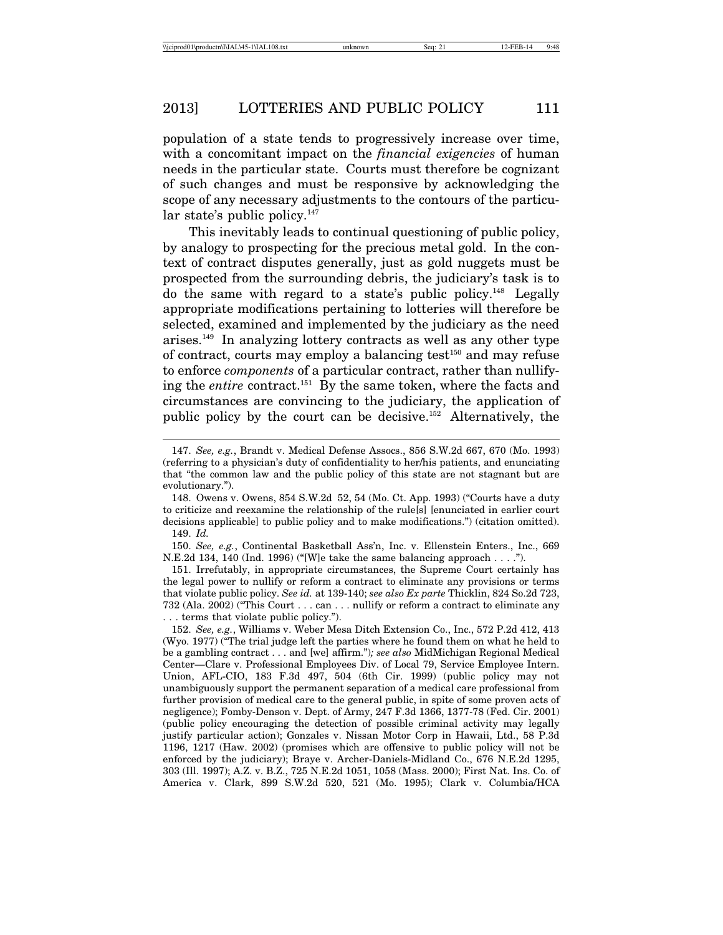population of a state tends to progressively increase over time, with a concomitant impact on the *financial exigencies* of human needs in the particular state. Courts must therefore be cognizant of such changes and must be responsive by acknowledging the scope of any necessary adjustments to the contours of the particular state's public policy. $147$ 

This inevitably leads to continual questioning of public policy, by analogy to prospecting for the precious metal gold. In the context of contract disputes generally, just as gold nuggets must be prospected from the surrounding debris, the judiciary's task is to do the same with regard to a state's public policy.148 Legally appropriate modifications pertaining to lotteries will therefore be selected, examined and implemented by the judiciary as the need arises.149 In analyzing lottery contracts as well as any other type of contract, courts may employ a balancing test $150$  and may refuse to enforce *components* of a particular contract, rather than nullifying the *entire* contract.151 By the same token, where the facts and circumstances are convincing to the judiciary, the application of public policy by the court can be decisive.152 Alternatively, the

150. *See, e.g.*, Continental Basketball Ass'n, Inc. v. Ellenstein Enters., Inc., 669 N.E.2d 134, 140 (Ind. 1996) ("[W]e take the same balancing approach . . . .").

151. Irrefutably, in appropriate circumstances, the Supreme Court certainly has the legal power to nullify or reform a contract to eliminate any provisions or terms that violate public policy. *See id.* at 139-140; *see also Ex parte* Thicklin, 824 So.2d 723, 732 (Ala. 2002) ("This Court . . . can . . . nullify or reform a contract to eliminate any . . . terms that violate public policy.").

152. *See, e.g.*, Williams v. Weber Mesa Ditch Extension Co., Inc., 572 P.2d 412, 413 (Wyo. 1977) ("The trial judge left the parties where he found them on what he held to be a gambling contract . . . and [we] affirm.")*; see also* MidMichigan Regional Medical Center—Clare v. Professional Employees Div. of Local 79, Service Employee Intern. Union, AFL-CIO, 183 F.3d 497, 504 (6th Cir. 1999) (public policy may not unambiguously support the permanent separation of a medical care professional from further provision of medical care to the general public, in spite of some proven acts of negligence); Fomby-Denson v. Dept. of Army, 247 F.3d 1366, 1377-78 (Fed. Cir. 2001) (public policy encouraging the detection of possible criminal activity may legally justify particular action); Gonzales v. Nissan Motor Corp in Hawaii, Ltd., 58 P.3d 1196, 1217 (Haw. 2002) (promises which are offensive to public policy will not be enforced by the judiciary); Braye v. Archer-Daniels-Midland Co., 676 N.E.2d 1295, 303 (Ill. 1997); A.Z. v. B.Z., 725 N.E.2d 1051, 1058 (Mass. 2000); First Nat. Ins. Co. of America v. Clark, 899 S.W.2d 520, 521 (Mo. 1995); Clark v. Columbia/HCA

<sup>147.</sup> *See, e.g.*, Brandt v. Medical Defense Assocs., 856 S.W.2d 667, 670 (Mo. 1993) (referring to a physician's duty of confidentiality to her/his patients, and enunciating that "the common law and the public policy of this state are not stagnant but are evolutionary.").

<sup>148.</sup> Owens v. Owens, 854 S.W.2d 52, 54 (Mo. Ct. App. 1993) ("Courts have a duty to criticize and reexamine the relationship of the rule[s] [enunciated in earlier court decisions applicable] to public policy and to make modifications.") (citation omitted). 149. *Id.*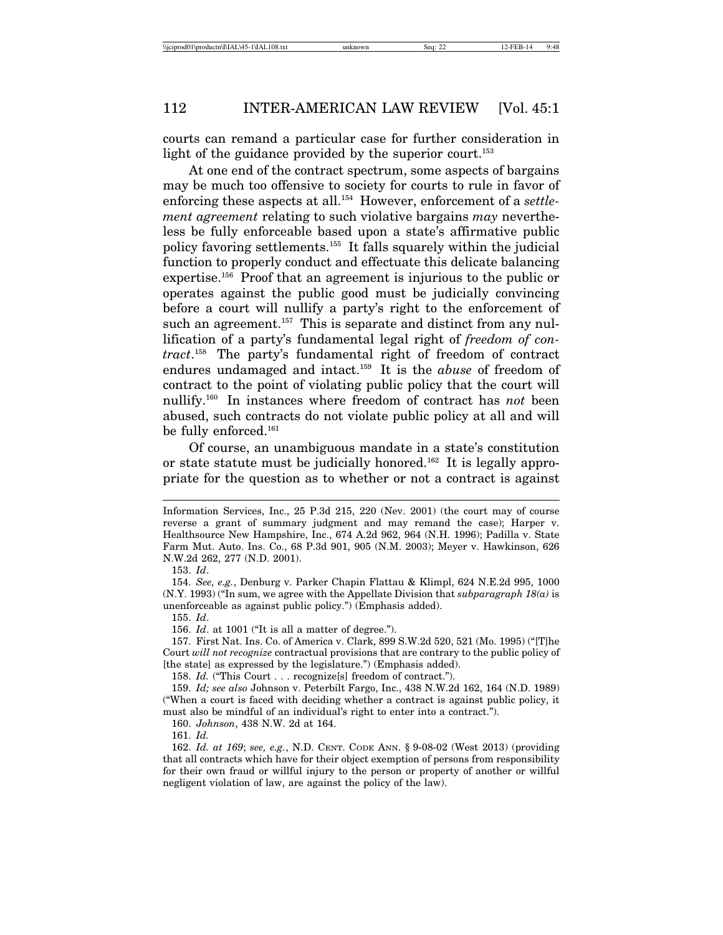courts can remand a particular case for further consideration in light of the guidance provided by the superior court.<sup>153</sup>

At one end of the contract spectrum, some aspects of bargains may be much too offensive to society for courts to rule in favor of enforcing these aspects at all.154 However, enforcement of a *settlement agreement* relating to such violative bargains *may* nevertheless be fully enforceable based upon a state's affirmative public policy favoring settlements.155 It falls squarely within the judicial function to properly conduct and effectuate this delicate balancing expertise.156 Proof that an agreement is injurious to the public or operates against the public good must be judicially convincing before a court will nullify a party's right to the enforcement of such an agreement.<sup>157</sup> This is separate and distinct from any nullification of a party's fundamental legal right of *freedom of contract*. 158 The party's fundamental right of freedom of contract endures undamaged and intact.159 It is the *abuse* of freedom of contract to the point of violating public policy that the court will nullify.160 In instances where freedom of contract has *not* been abused, such contracts do not violate public policy at all and will be fully enforced.<sup>161</sup>

Of course, an unambiguous mandate in a state's constitution or state statute must be judicially honored.<sup>162</sup> It is legally appropriate for the question as to whether or not a contract is against

156. *Id*. at 1001 ("It is all a matter of degree.").

157. First Nat. Ins. Co. of America v. Clark, 899 S.W.2d 520, 521 (Mo. 1995) ("[T]he Court *will not recognize* contractual provisions that are contrary to the public policy of [the state] as expressed by the legislature.") (Emphasis added).

158. *Id.* ("This Court . . . recognize[s] freedom of contract.").

159. *Id; see also* Johnson v. Peterbilt Fargo, Inc., 438 N.W.2d 162, 164 (N.D. 1989) ("When a court is faced with deciding whether a contract is against public policy, it must also be mindful of an individual's right to enter into a contract.").

160. *Johnson*, 438 N.W. 2d at 164.

161. *Id.*

Information Services, Inc., 25 P.3d 215, 220 (Nev. 2001) (the court may of course reverse a grant of summary judgment and may remand the case); Harper v. Healthsource New Hampshire, Inc., 674 A.2d 962, 964 (N.H. 1996); Padilla v. State Farm Mut. Auto. Ins. Co., 68 P.3d 901, 905 (N.M. 2003); Meyer v. Hawkinson, 626 N.W.2d 262, 277 (N.D. 2001).

<sup>153.</sup> *Id*.

<sup>154.</sup> *See, e.g.*, Denburg v. Parker Chapin Flattau & Klimpl, 624 N.E.2d 995, 1000 (N.Y. 1993) ("In sum, we agree with the Appellate Division that *subparagraph 18(a)* is unenforceable as against public policy.") (Emphasis added).

<sup>155.</sup> *Id*.

<sup>162.</sup> *Id. at 169*; *see, e.g.*, N.D. CENT. CODE ANN. § 9-08-02 (West 2013) (providing that all contracts which have for their object exemption of persons from responsibility for their own fraud or willful injury to the person or property of another or willful negligent violation of law, are against the policy of the law).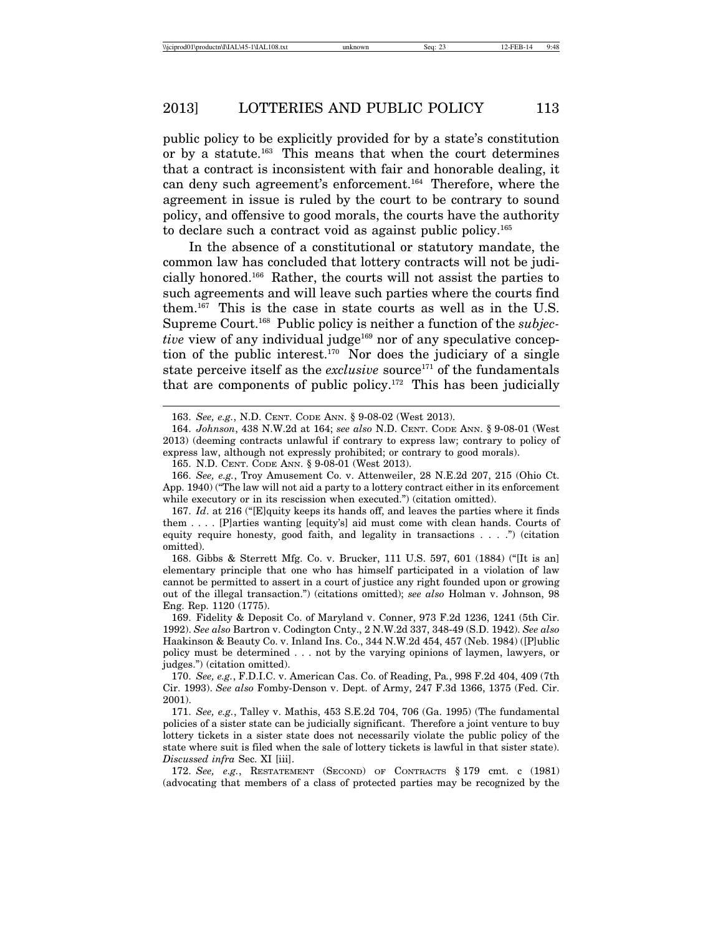public policy to be explicitly provided for by a state's constitution or by a statute.163 This means that when the court determines that a contract is inconsistent with fair and honorable dealing, it can deny such agreement's enforcement.164 Therefore, where the agreement in issue is ruled by the court to be contrary to sound policy, and offensive to good morals, the courts have the authority to declare such a contract void as against public policy.165

In the absence of a constitutional or statutory mandate, the common law has concluded that lottery contracts will not be judicially honored.166 Rather, the courts will not assist the parties to such agreements and will leave such parties where the courts find them.167 This is the case in state courts as well as in the U.S. Supreme Court.168 Public policy is neither a function of the *subjective* view of any individual judge<sup>169</sup> nor of any speculative conception of the public interest.170 Nor does the judiciary of a single state perceive itself as the *exclusive* source<sup>171</sup> of the fundamentals that are components of public policy.<sup>172</sup> This has been judicially

169. Fidelity & Deposit Co. of Maryland v. Conner, 973 F.2d 1236, 1241 (5th Cir. 1992). *See also* Bartron v. Codington Cnty., 2 N.W.2d 337, 348-49 (S.D. 1942). *See also* Haakinson & Beauty Co. v. Inland Ins. Co., 344 N.W.2d 454, 457 (Neb. 1984) ([P]ublic policy must be determined . . . not by the varying opinions of laymen, lawyers, or judges.") (citation omitted).

170. *See, e.g.*, F.D.I.C. v. American Cas. Co. of Reading, Pa*.*, 998 F.2d 404, 409 (7th Cir. 1993). *See also* Fomby-Denson v. Dept. of Army, 247 F.3d 1366, 1375 (Fed. Cir. 2001).

171. *See, e.g.*, Talley v. Mathis, 453 S.E.2d 704, 706 (Ga. 1995) (The fundamental policies of a sister state can be judicially significant. Therefore a joint venture to buy lottery tickets in a sister state does not necessarily violate the public policy of the state where suit is filed when the sale of lottery tickets is lawful in that sister state). *Discussed infra* Sec. XI [iii].

172. *See, e.g.*, RESTATEMENT (SECOND) OF CONTRACTS § 179 cmt. c (1981) (advocating that members of a class of protected parties may be recognized by the

<sup>163.</sup> *See, e.g.*, N.D. CENT. CODE ANN. § 9-08-02 (West 2013).

<sup>164.</sup> *Johnson*, 438 N.W.2d at 164; *see also* N.D. CENT. CODE ANN. § 9-08-01 (West 2013) (deeming contracts unlawful if contrary to express law; contrary to policy of express law, although not expressly prohibited; or contrary to good morals).

<sup>165.</sup> N.D. CENT. CODE ANN. § 9-08-01 (West 2013).

<sup>166.</sup> *See, e.g.*, Troy Amusement Co. v. Attenweiler, 28 N.E.2d 207, 215 (Ohio Ct. App. 1940) ("The law will not aid a party to a lottery contract either in its enforcement while executory or in its rescission when executed.") (citation omitted).

<sup>167.</sup> *Id*. at 216 ("[E]quity keeps its hands off, and leaves the parties where it finds them . . . . [P]arties wanting [equity's] aid must come with clean hands. Courts of equity require honesty, good faith, and legality in transactions  $\dots$  .") (citation omitted).

<sup>168.</sup> Gibbs & Sterrett Mfg. Co. v. Brucker, 111 U.S. 597, 601 (1884) ("[It is an] elementary principle that one who has himself participated in a violation of law cannot be permitted to assert in a court of justice any right founded upon or growing out of the illegal transaction.") (citations omitted); *see also* Holman v. Johnson, 98 Eng. Rep. 1120 (1775).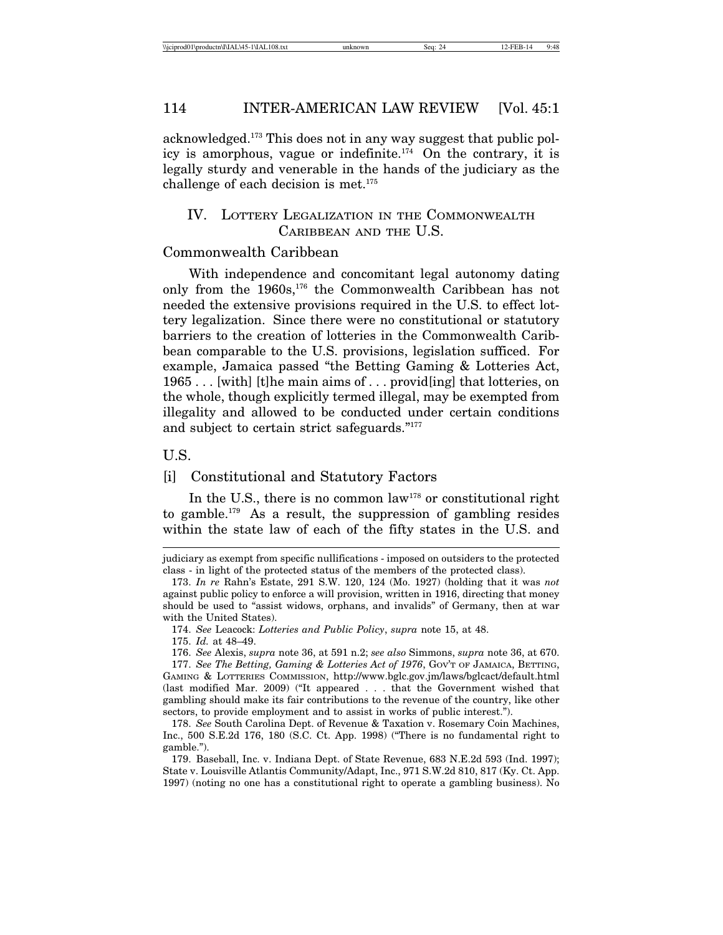acknowledged.173 This does not in any way suggest that public policy is amorphous, vague or indefinite.174 On the contrary, it is legally sturdy and venerable in the hands of the judiciary as the challenge of each decision is met. $175$ 

## IV. LOTTERY LEGALIZATION IN THE COMMONWEALTH CARIBBEAN AND THE U.S.

#### Commonwealth Caribbean

With independence and concomitant legal autonomy dating only from the 1960s,176 the Commonwealth Caribbean has not needed the extensive provisions required in the U.S. to effect lottery legalization. Since there were no constitutional or statutory barriers to the creation of lotteries in the Commonwealth Caribbean comparable to the U.S. provisions, legislation sufficed. For example, Jamaica passed "the Betting Gaming & Lotteries Act, 1965 . . . [with] [t]he main aims of . . . provid[ing] that lotteries, on the whole, though explicitly termed illegal, may be exempted from illegality and allowed to be conducted under certain conditions and subject to certain strict safeguards."177

#### U.S.

#### [i] Constitutional and Statutory Factors

In the U.S., there is no common law<sup>178</sup> or constitutional right to gamble.179 As a result, the suppression of gambling resides within the state law of each of the fifty states in the U.S. and

judiciary as exempt from specific nullifications - imposed on outsiders to the protected class - in light of the protected status of the members of the protected class).

<sup>173.</sup> *In re* Rahn's Estate, 291 S.W. 120, 124 (Mo. 1927) (holding that it was *not* against public policy to enforce a will provision, written in 1916, directing that money should be used to "assist widows, orphans, and invalids" of Germany, then at war with the United States).

<sup>174.</sup> *See* Leacock: *Lotteries and Public Policy*, *supra* note 15, at 48.

<sup>175.</sup> *Id.* at 48–49.

<sup>176.</sup> *See* Alexis, *supra* note 36, at 591 n.2; *see also* Simmons, *supra* note 36, at 670.

<sup>177.</sup> *See The Betting, Gaming & Lotteries Act of 1976*, GOV'T OF JAMAICA, BETTING, GAMING & LOTTERIES COMMISSION, http://www.bglc.gov.jm/laws/bglcact/default.html (last modified Mar. 2009) ("It appeared . . . that the Government wished that gambling should make its fair contributions to the revenue of the country, like other sectors, to provide employment and to assist in works of public interest.").

<sup>178.</sup> *See* South Carolina Dept. of Revenue & Taxation v. Rosemary Coin Machines, Inc., 500 S.E.2d 176, 180 (S.C. Ct. App. 1998) ("There is no fundamental right to gamble.").

<sup>179.</sup> Baseball, Inc. v. Indiana Dept. of State Revenue, 683 N.E.2d 593 (Ind. 1997); State v. Louisville Atlantis Community/Adapt, Inc., 971 S.W.2d 810, 817 (Ky. Ct. App. 1997) (noting no one has a constitutional right to operate a gambling business). No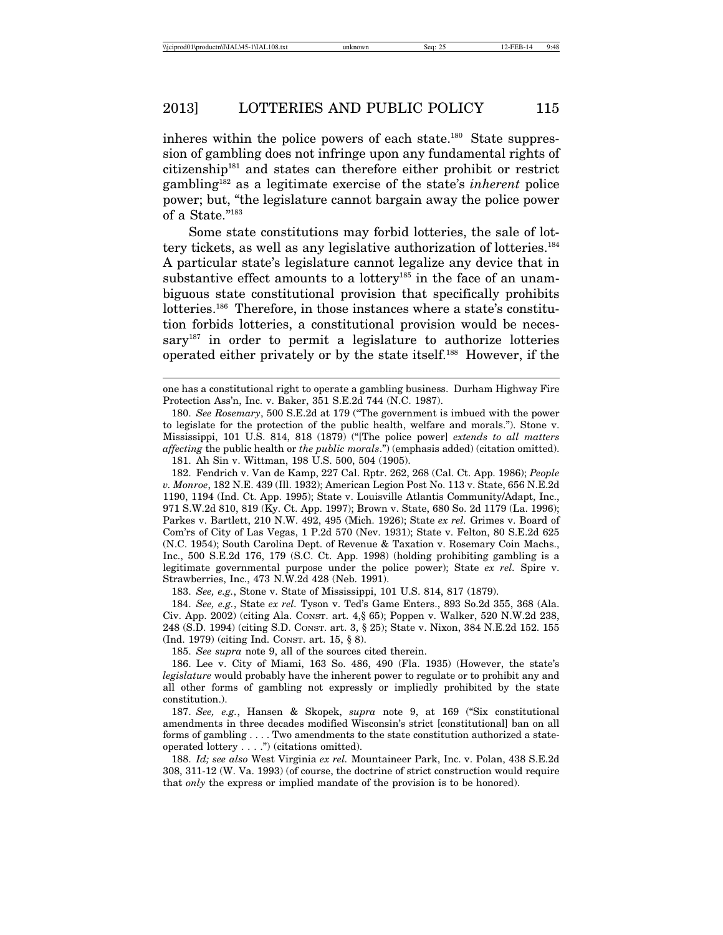inheres within the police powers of each state.<sup>180</sup> State suppression of gambling does not infringe upon any fundamental rights of citizenship181 and states can therefore either prohibit or restrict gambling182 as a legitimate exercise of the state's *inherent* police power; but, "the legislature cannot bargain away the police power of a State."183

Some state constitutions may forbid lotteries, the sale of lottery tickets, as well as any legislative authorization of lotteries.184 A particular state's legislature cannot legalize any device that in substantive effect amounts to a lottery<sup>185</sup> in the face of an unambiguous state constitutional provision that specifically prohibits lotteries.<sup>186</sup> Therefore, in those instances where a state's constitution forbids lotteries, a constitutional provision would be necessary<sup>187</sup> in order to permit a legislature to authorize lotteries operated either privately or by the state itself.188 However, if the

181. Ah Sin v. Wittman, 198 U.S. 500, 504 (1905).

182. Fendrich v. Van de Kamp, 227 Cal. Rptr. 262, 268 (Cal. Ct. App. 1986); *People v. Monroe*, 182 N.E. 439 (Ill. 1932); American Legion Post No. 113 v. State, 656 N.E.2d 1190, 1194 (Ind. Ct. App. 1995); State v. Louisville Atlantis Community/Adapt, Inc., 971 S.W.2d 810, 819 (Ky. Ct. App. 1997); Brown v. State, 680 So. 2d 1179 (La. 1996); Parkes v. Bartlett, 210 N.W. 492, 495 (Mich. 1926); State *ex rel.* Grimes v. Board of Com'rs of City of Las Vegas, 1 P.2d 570 (Nev. 1931); State v. Felton, 80 S.E.2d 625 (N.C. 1954); South Carolina Dept. of Revenue & Taxation v. Rosemary Coin Machs., Inc., 500 S.E.2d 176, 179 (S.C. Ct. App. 1998) (holding prohibiting gambling is a legitimate governmental purpose under the police power); State *ex rel.* Spire v. Strawberries, Inc., 473 N.W.2d 428 (Neb. 1991).

183. *See, e.g.*, Stone v. State of Mississippi, 101 U.S. 814, 817 (1879).

184. *See, e.g.*, State *ex rel.* Tyson v. Ted's Game Enters., 893 So.2d 355, 368 (Ala. Civ. App. 2002) (citing Ala. CONST. art. 4,§ 65); Poppen v. Walker, 520 N.W.2d 238, 248 (S.D. 1994) (citing S.D. CONST. art. 3, § 25); State v. Nixon, 384 N.E.2d 152. 155 (Ind. 1979) (citing Ind. CONST. art. 15, § 8).

185. *See supra* note 9, all of the sources cited therein.

186. Lee v. City of Miami, 163 So. 486, 490 (Fla. 1935) (However, the state's *legislature* would probably have the inherent power to regulate or to prohibit any and all other forms of gambling not expressly or impliedly prohibited by the state constitution.).

187. *See, e.g.*, Hansen & Skopek, *supra* note 9, at 169 ("Six constitutional amendments in three decades modified Wisconsin's strict [constitutional] ban on all forms of gambling . . . . Two amendments to the state constitution authorized a stateoperated lottery . . . .") (citations omitted).

188. *Id; see also* West Virginia *ex rel.* Mountaineer Park, Inc. v. Polan, 438 S.E.2d 308, 311-12 (W. Va. 1993) (of course, the doctrine of strict construction would require that *only* the express or implied mandate of the provision is to be honored).

one has a constitutional right to operate a gambling business. Durham Highway Fire Protection Ass'n, Inc. v. Baker, 351 S.E.2d 744 (N.C. 1987).

<sup>180.</sup> *See Rosemary*, 500 S.E.2d at 179 ("The government is imbued with the power to legislate for the protection of the public health, welfare and morals."). Stone v. Mississippi, 101 U.S. 814, 818 (1879) ("[The police power] *extends to all matters affecting* the public health or *the public morals*.") (emphasis added) (citation omitted).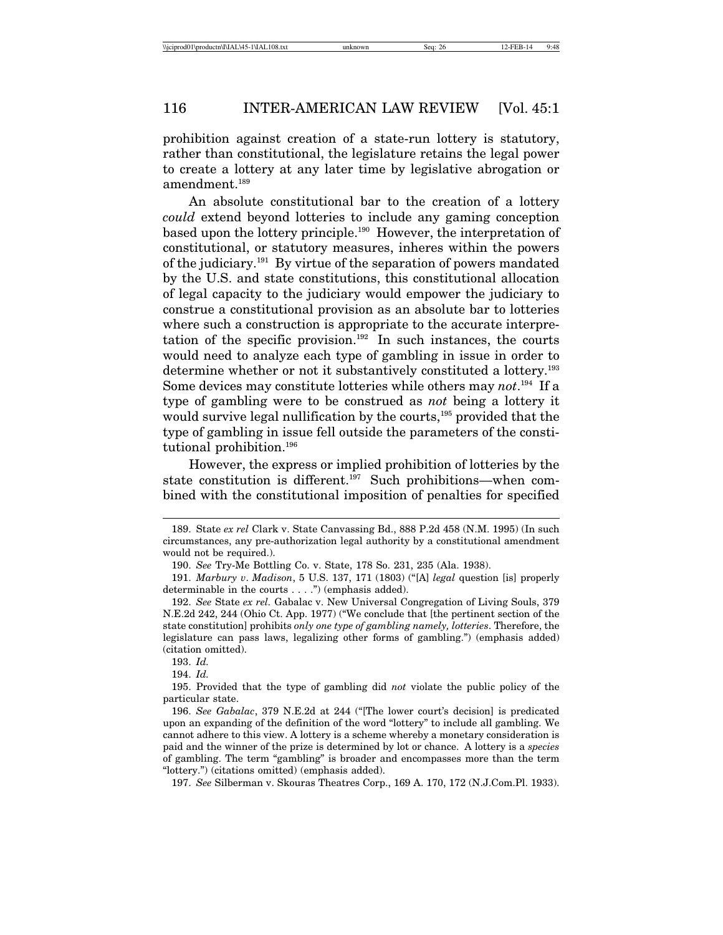prohibition against creation of a state-run lottery is statutory, rather than constitutional, the legislature retains the legal power to create a lottery at any later time by legislative abrogation or amendment.189

An absolute constitutional bar to the creation of a lottery *could* extend beyond lotteries to include any gaming conception based upon the lottery principle.190 However, the interpretation of constitutional, or statutory measures, inheres within the powers of the judiciary.191 By virtue of the separation of powers mandated by the U.S. and state constitutions, this constitutional allocation of legal capacity to the judiciary would empower the judiciary to construe a constitutional provision as an absolute bar to lotteries where such a construction is appropriate to the accurate interpretation of the specific provision.<sup>192</sup> In such instances, the courts would need to analyze each type of gambling in issue in order to determine whether or not it substantively constituted a lottery.<sup>193</sup> Some devices may constitute lotteries while others may *not*. 194 If a type of gambling were to be construed as *not* being a lottery it would survive legal nullification by the courts,<sup>195</sup> provided that the type of gambling in issue fell outside the parameters of the constitutional prohibition.196

However, the express or implied prohibition of lotteries by the state constitution is different.197 Such prohibitions—when combined with the constitutional imposition of penalties for specified

<sup>189.</sup> State *ex rel* Clark v. State Canvassing Bd., 888 P.2d 458 (N.M. 1995) (In such circumstances, any pre-authorization legal authority by a constitutional amendment would not be required.).

<sup>190.</sup> *See* Try-Me Bottling Co. v. State, 178 So. 231, 235 (Ala. 1938).

<sup>191.</sup> *Marbury v*. *Madison*, 5 U.S. 137, 171 (1803) ("[A] *legal* question [is] properly determinable in the courts  $\ldots$  .") (emphasis added).

<sup>192.</sup> *See* State *ex rel.* Gabalac v. New Universal Congregation of Living Souls, 379 N.E.2d 242, 244 (Ohio Ct. App. 1977) ("We conclude that [the pertinent section of the state constitution] prohibits *only one type of gambling namely, lotteries*. Therefore, the legislature can pass laws, legalizing other forms of gambling.") (emphasis added) (citation omitted).

<sup>193.</sup> *Id.*

<sup>194.</sup> *Id.*

<sup>195.</sup> Provided that the type of gambling did *not* violate the public policy of the particular state.

<sup>196.</sup> *See Gabalac*, 379 N.E.2d at 244 ("[The lower court's decision] is predicated upon an expanding of the definition of the word "lottery" to include all gambling. We cannot adhere to this view. A lottery is a scheme whereby a monetary consideration is paid and the winner of the prize is determined by lot or chance. A lottery is a *species* of gambling. The term "gambling" is broader and encompasses more than the term "lottery.") (citations omitted) (emphasis added).

<sup>197.</sup> *See* Silberman v. Skouras Theatres Corp., 169 A. 170, 172 (N.J.Com.Pl. 1933).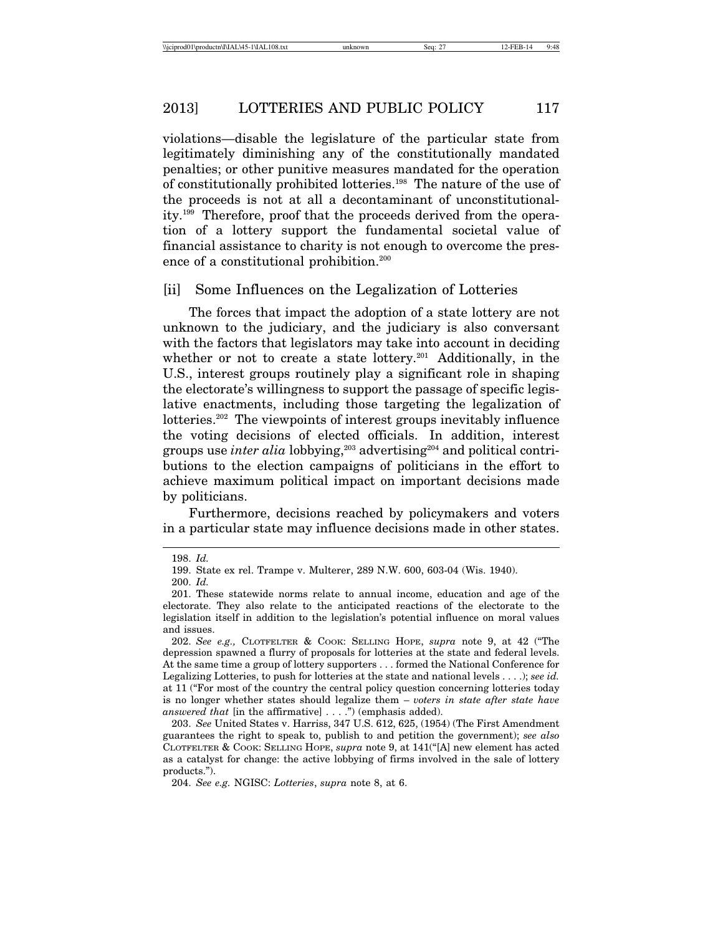violations—disable the legislature of the particular state from legitimately diminishing any of the constitutionally mandated penalties; or other punitive measures mandated for the operation of constitutionally prohibited lotteries.198 The nature of the use of the proceeds is not at all a decontaminant of unconstitutionality.199 Therefore, proof that the proceeds derived from the operation of a lottery support the fundamental societal value of financial assistance to charity is not enough to overcome the presence of a constitutional prohibition.<sup>200</sup>

#### [ii] Some Influences on the Legalization of Lotteries

The forces that impact the adoption of a state lottery are not unknown to the judiciary, and the judiciary is also conversant with the factors that legislators may take into account in deciding whether or not to create a state lottery.<sup>201</sup> Additionally, in the U.S., interest groups routinely play a significant role in shaping the electorate's willingness to support the passage of specific legislative enactments, including those targeting the legalization of lotteries.<sup>202</sup> The viewpoints of interest groups inevitably influence the voting decisions of elected officials. In addition, interest groups use *inter alia* lobbying,<sup>203</sup> advertising<sup>204</sup> and political contributions to the election campaigns of politicians in the effort to achieve maximum political impact on important decisions made by politicians.

Furthermore, decisions reached by policymakers and voters in a particular state may influence decisions made in other states.

<sup>198.</sup> *Id.*

<sup>199.</sup> State ex rel. Trampe v. Multerer, 289 N.W. 600, 603-04 (Wis. 1940).

<sup>200.</sup> *Id.*

<sup>201.</sup> These statewide norms relate to annual income, education and age of the electorate. They also relate to the anticipated reactions of the electorate to the legislation itself in addition to the legislation's potential influence on moral values and issues.

<sup>202.</sup> *See e.g.,* CLOTFELTER & COOK: SELLING HOPE, *supra* note 9, at 42 ("The depression spawned a flurry of proposals for lotteries at the state and federal levels. At the same time a group of lottery supporters . . . formed the National Conference for Legalizing Lotteries, to push for lotteries at the state and national levels . . . .); *see id.* at 11 ("For most of the country the central policy question concerning lotteries today is no longer whether states should legalize them – *voters in state after state have answered that* [in the affirmative] . . . .") (emphasis added).

<sup>203.</sup> *See* United States v. Harriss, 347 U.S. 612, 625, (1954) (The First Amendment guarantees the right to speak to, publish to and petition the government); *see also* CLOTFELTER & COOK: SELLING HOPE, *supra* note 9, at 141("[A] new element has acted as a catalyst for change: the active lobbying of firms involved in the sale of lottery products.").

<sup>204.</sup> *See e.g.* NGISC: *Lotteries*, *supra* note 8, at 6.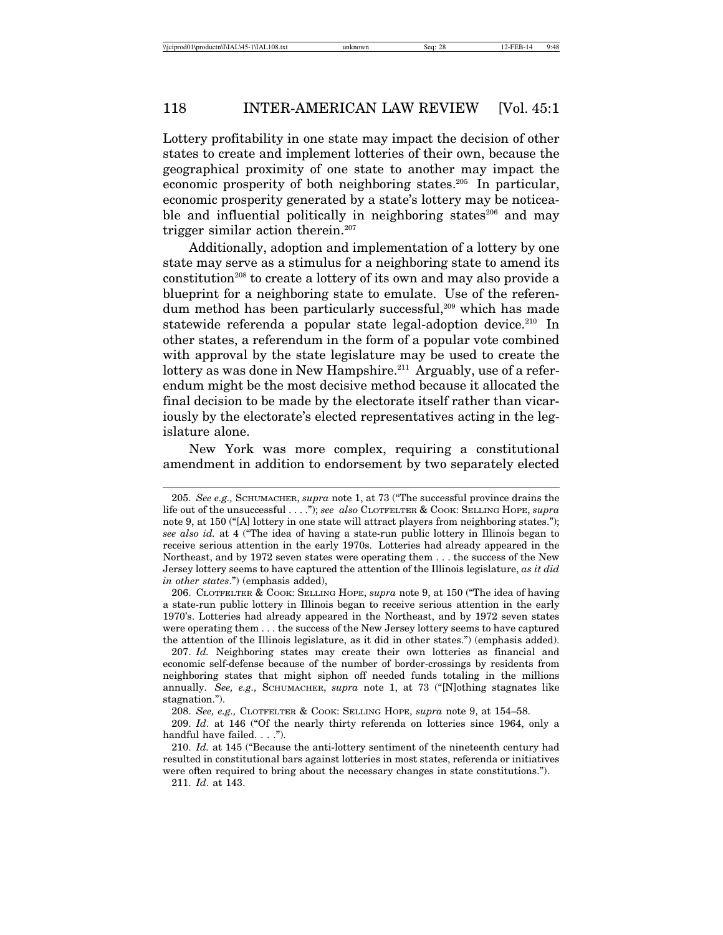Lottery profitability in one state may impact the decision of other states to create and implement lotteries of their own, because the geographical proximity of one state to another may impact the economic prosperity of both neighboring states.205 In particular, economic prosperity generated by a state's lottery may be noticeable and influential politically in neighboring states<sup>206</sup> and may trigger similar action therein.207

Additionally, adoption and implementation of a lottery by one state may serve as a stimulus for a neighboring state to amend its constitution<sup>208</sup> to create a lottery of its own and may also provide a blueprint for a neighboring state to emulate. Use of the referendum method has been particularly successful,<sup>209</sup> which has made statewide referenda a popular state legal-adoption device.<sup>210</sup> In other states, a referendum in the form of a popular vote combined with approval by the state legislature may be used to create the lottery as was done in New Hampshire.<sup>211</sup> Arguably, use of a referendum might be the most decisive method because it allocated the final decision to be made by the electorate itself rather than vicariously by the electorate's elected representatives acting in the legislature alone.

New York was more complex, requiring a constitutional amendment in addition to endorsement by two separately elected

<sup>205.</sup> *See e.g.,* SCHUMACHER, *supra* note 1, at 73 ("The successful province drains the life out of the unsuccessful . . . ."); *see also* CLOTFELTER & COOK: SELLING HOPE, *supra* note 9, at 150 ("[A] lottery in one state will attract players from neighboring states."); *see also id.* at 4 ("The idea of having a state-run public lottery in Illinois began to receive serious attention in the early 1970s. Lotteries had already appeared in the Northeast, and by 1972 seven states were operating them . . . the success of the New Jersey lottery seems to have captured the attention of the Illinois legislature, *as it did in other states*.") (emphasis added),

<sup>206.</sup> CLOTFELTER & COOK: SELLING HOPE, *supra* note 9, at 150 ("The idea of having a state-run public lottery in Illinois began to receive serious attention in the early 1970's. Lotteries had already appeared in the Northeast, and by 1972 seven states were operating them . . . the success of the New Jersey lottery seems to have captured the attention of the Illinois legislature, as it did in other states.") (emphasis added).

<sup>207.</sup> *Id.* Neighboring states may create their own lotteries as financial and economic self-defense because of the number of border-crossings by residents from neighboring states that might siphon off needed funds totaling in the millions annually. *See, e.g.*, SCHUMACHER, *supra* note 1, at 73 ("[N]othing stagnates like stagnation.").

<sup>208.</sup> *See, e.g.,* CLOTFELTER & COOK: SELLING HOPE, *supra* note 9, at 154–58.

<sup>209.</sup> *Id*. at 146 ("Of the nearly thirty referenda on lotteries since 1964, only a handful have failed. . . .").

<sup>210.</sup> *Id.* at 145 ("Because the anti-lottery sentiment of the nineteenth century had resulted in constitutional bars against lotteries in most states, referenda or initiatives were often required to bring about the necessary changes in state constitutions."). 211. *Id*. at 143.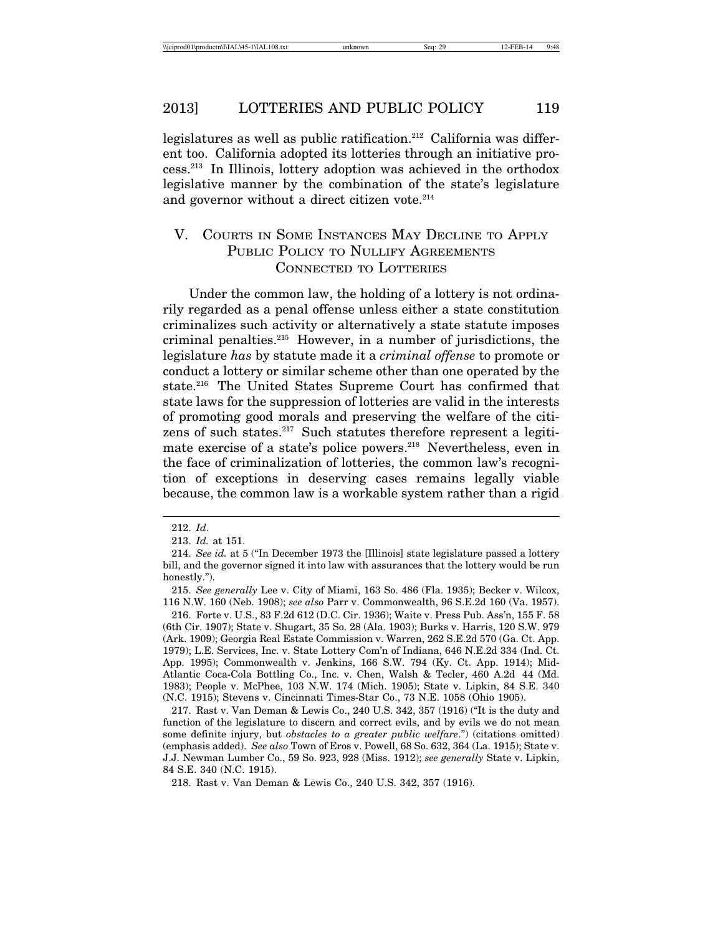legislatures as well as public ratification.<sup>212</sup> California was different too. California adopted its lotteries through an initiative process.213 In Illinois, lottery adoption was achieved in the orthodox legislative manner by the combination of the state's legislature and governor without a direct citizen vote. $214$ 

## V. COURTS IN SOME INSTANCES MAY DECLINE TO APPLY PUBLIC POLICY TO NULLIFY AGREEMENTS CONNECTED TO LOTTERIES

Under the common law, the holding of a lottery is not ordinarily regarded as a penal offense unless either a state constitution criminalizes such activity or alternatively a state statute imposes criminal penalties.215 However, in a number of jurisdictions, the legislature *has* by statute made it a *criminal offense* to promote or conduct a lottery or similar scheme other than one operated by the state.<sup>216</sup> The United States Supreme Court has confirmed that state laws for the suppression of lotteries are valid in the interests of promoting good morals and preserving the welfare of the citizens of such states.217 Such statutes therefore represent a legitimate exercise of a state's police powers.<sup>218</sup> Nevertheless, even in the face of criminalization of lotteries, the common law's recognition of exceptions in deserving cases remains legally viable because, the common law is a workable system rather than a rigid

<sup>212.</sup> *Id*.

<sup>213.</sup> *Id.* at 151.

<sup>214.</sup> *See id.* at 5 ("In December 1973 the [Illinois] state legislature passed a lottery bill, and the governor signed it into law with assurances that the lottery would be run honestly.").

<sup>215.</sup> *See generally* Lee v. City of Miami, 163 So. 486 (Fla. 1935); Becker v. Wilcox, 116 N.W. 160 (Neb. 1908); *see also* Parr v. Commonwealth, 96 S.E.2d 160 (Va. 1957).

<sup>216.</sup> Forte v. U.S., 83 F.2d 612 (D.C. Cir. 1936); Waite v. Press Pub. Ass'n, 155 F. 58 (6th Cir. 1907); State v. Shugart, 35 So. 28 (Ala. 1903); Burks v. Harris, 120 S.W. 979 (Ark. 1909); Georgia Real Estate Commission v. Warren, 262 S.E.2d 570 (Ga. Ct. App. 1979); L.E. Services, Inc. v. State Lottery Com'n of Indiana, 646 N.E.2d 334 (Ind. Ct. App. 1995); Commonwealth v. Jenkins, 166 S.W. 794 (Ky. Ct. App. 1914); Mid-Atlantic Coca-Cola Bottling Co., Inc. v. Chen, Walsh & Tecler, 460 A.2d 44 (Md. 1983); People v. McPhee, 103 N.W. 174 (Mich. 1905); State v. Lipkin, 84 S.E. 340 (N.C. 1915); Stevens v. Cincinnati Times-Star Co., 73 N.E. 1058 (Ohio 1905).

<sup>217.</sup> Rast v. Van Deman & Lewis Co., 240 U.S. 342, 357 (1916) ("It is the duty and function of the legislature to discern and correct evils, and by evils we do not mean some definite injury, but *obstacles to a greater public welfare*.") (citations omitted) (emphasis added). *See also* Town of Eros v. Powell, 68 So. 632, 364 (La. 1915); State v. J.J. Newman Lumber Co., 59 So. 923, 928 (Miss. 1912); *see generally* State v. Lipkin, 84 S.E. 340 (N.C. 1915).

<sup>218.</sup> Rast v. Van Deman & Lewis Co., 240 U.S. 342, 357 (1916).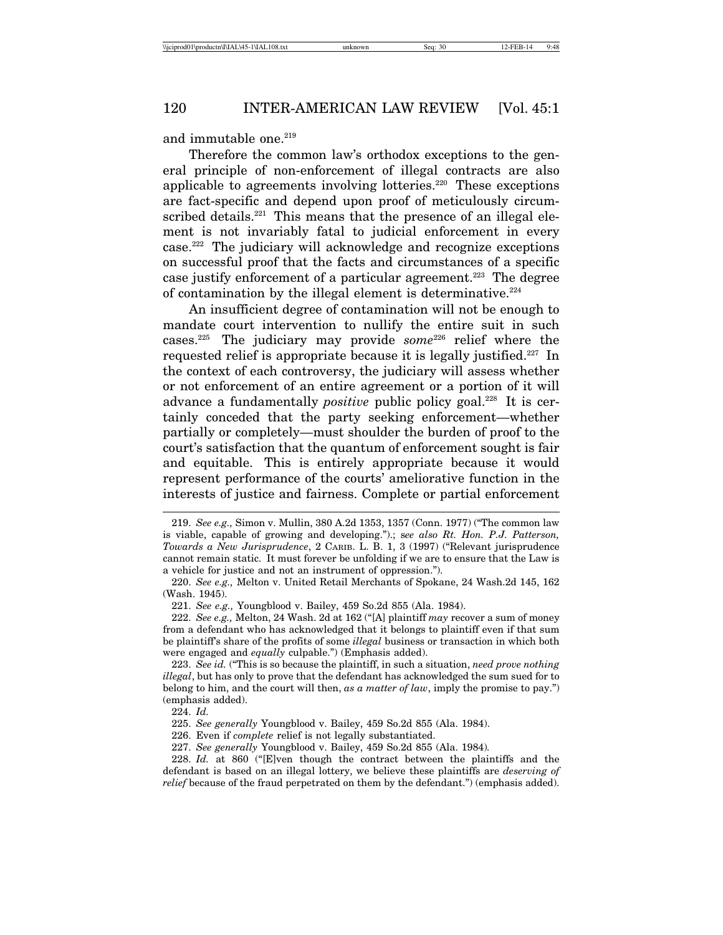and immutable one. $219$ 

Therefore the common law's orthodox exceptions to the general principle of non-enforcement of illegal contracts are also applicable to agreements involving lotteries.220 These exceptions are fact-specific and depend upon proof of meticulously circumscribed details.<sup>221</sup> This means that the presence of an illegal element is not invariably fatal to judicial enforcement in every case.222 The judiciary will acknowledge and recognize exceptions on successful proof that the facts and circumstances of a specific case justify enforcement of a particular agreement.<sup>223</sup> The degree of contamination by the illegal element is determinative. $224$ 

An insufficient degree of contamination will not be enough to mandate court intervention to nullify the entire suit in such cases.225 The judiciary may provide *some*226 relief where the requested relief is appropriate because it is legally justified.<sup>227</sup> In the context of each controversy, the judiciary will assess whether or not enforcement of an entire agreement or a portion of it will advance a fundamentally *positive* public policy goal.<sup>228</sup> It is certainly conceded that the party seeking enforcement—whether partially or completely—must shoulder the burden of proof to the court's satisfaction that the quantum of enforcement sought is fair and equitable. This is entirely appropriate because it would represent performance of the courts' ameliorative function in the interests of justice and fairness. Complete or partial enforcement

<sup>219.</sup> *See e.g.,* Simon v. Mullin, 380 A.2d 1353, 1357 (Conn. 1977) ("The common law is viable, capable of growing and developing.").; s*ee also Rt. Hon. P.J. Patterson, Towards a New Jurisprudence*, 2 CARIB. L. B. 1, 3 (1997) ("Relevant jurisprudence cannot remain static. It must forever be unfolding if we are to ensure that the Law is a vehicle for justice and not an instrument of oppression.").

<sup>220.</sup> *See e.g.,* Melton v. United Retail Merchants of Spokane, 24 Wash.2d 145, 162 (Wash. 1945).

<sup>221.</sup> *See e.g.,* Youngblood v. Bailey, 459 So.2d 855 (Ala. 1984).

<sup>222.</sup> *See e.g.,* Melton, 24 Wash. 2d at 162 ("[A] plaintiff *may* recover a sum of money from a defendant who has acknowledged that it belongs to plaintiff even if that sum be plaintiff's share of the profits of some *illegal* business or transaction in which both were engaged and *equally* culpable.") (Emphasis added).

<sup>223.</sup> *See id.* ("This is so because the plaintiff, in such a situation, *need prove nothing illegal*, but has only to prove that the defendant has acknowledged the sum sued for to belong to him, and the court will then, *as a matter of law*, imply the promise to pay.") (emphasis added).

<sup>224.</sup> *Id.*

<sup>225.</sup> *See generally* Youngblood v. Bailey, 459 So.2d 855 (Ala. 1984).

<sup>226.</sup> Even if *complete* relief is not legally substantiated.

<sup>227.</sup> *See generally* Youngblood v. Bailey, 459 So.2d 855 (Ala. 1984)*.*

<sup>228.</sup> *Id.* at 860 ("[E]ven though the contract between the plaintiffs and the defendant is based on an illegal lottery, we believe these plaintiffs are *deserving of relief* because of the fraud perpetrated on them by the defendant.") (emphasis added).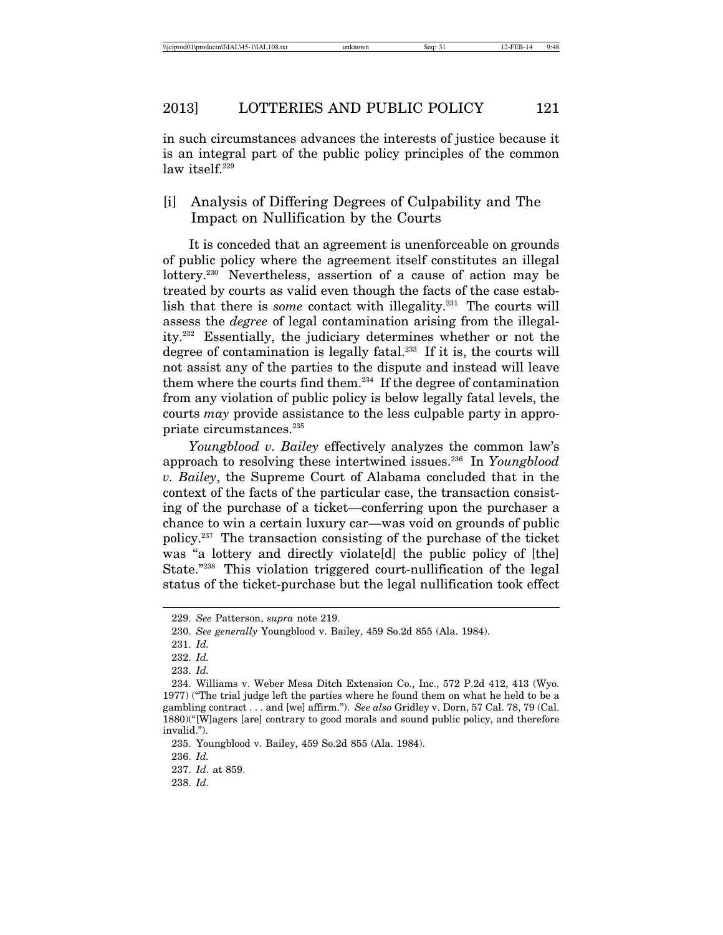in such circumstances advances the interests of justice because it is an integral part of the public policy principles of the common law itself.<sup>229</sup>

# [i] Analysis of Differing Degrees of Culpability and The Impact on Nullification by the Courts

It is conceded that an agreement is unenforceable on grounds of public policy where the agreement itself constitutes an illegal lottery.230 Nevertheless, assertion of a cause of action may be treated by courts as valid even though the facts of the case establish that there is *some* contact with illegality.<sup>231</sup> The courts will assess the *degree* of legal contamination arising from the illegality.232 Essentially, the judiciary determines whether or not the degree of contamination is legally fatal.<sup>233</sup> If it is, the courts will not assist any of the parties to the dispute and instead will leave them where the courts find them.234 If the degree of contamination from any violation of public policy is below legally fatal levels, the courts *may* provide assistance to the less culpable party in appropriate circumstances.<sup>235</sup>

*Youngblood v. Bailey* effectively analyzes the common law's approach to resolving these intertwined issues.236 In *Youngblood v. Bailey*, the Supreme Court of Alabama concluded that in the context of the facts of the particular case, the transaction consisting of the purchase of a ticket—conferring upon the purchaser a chance to win a certain luxury car—was void on grounds of public policy.237 The transaction consisting of the purchase of the ticket was "a lottery and directly violate dl the public policy of [the] State."238 This violation triggered court-nullification of the legal status of the ticket-purchase but the legal nullification took effect

<sup>229.</sup> *See* Patterson, *supra* note 219.

<sup>230.</sup> *See generally* Youngblood v. Bailey, 459 So.2d 855 (Ala. 1984).

<sup>231.</sup> *Id.*

<sup>232.</sup> *Id.*

<sup>233.</sup> *Id.*

<sup>234.</sup> Williams v. Weber Mesa Ditch Extension Co., Inc., 572 P.2d 412, 413 (Wyo. 1977) ("The trial judge left the parties where he found them on what he held to be a gambling contract . . . and [we] affirm."). *See also* Gridley v. Dorn, 57 Cal. 78, 79 (Cal. 1880)("[W]agers [are] contrary to good morals and sound public policy, and therefore invalid.").

<sup>235.</sup> Youngblood v. Bailey, 459 So.2d 855 (Ala. 1984).

<sup>236.</sup> *Id.*

<sup>237.</sup> *Id*. at 859.

<sup>238.</sup> *Id*.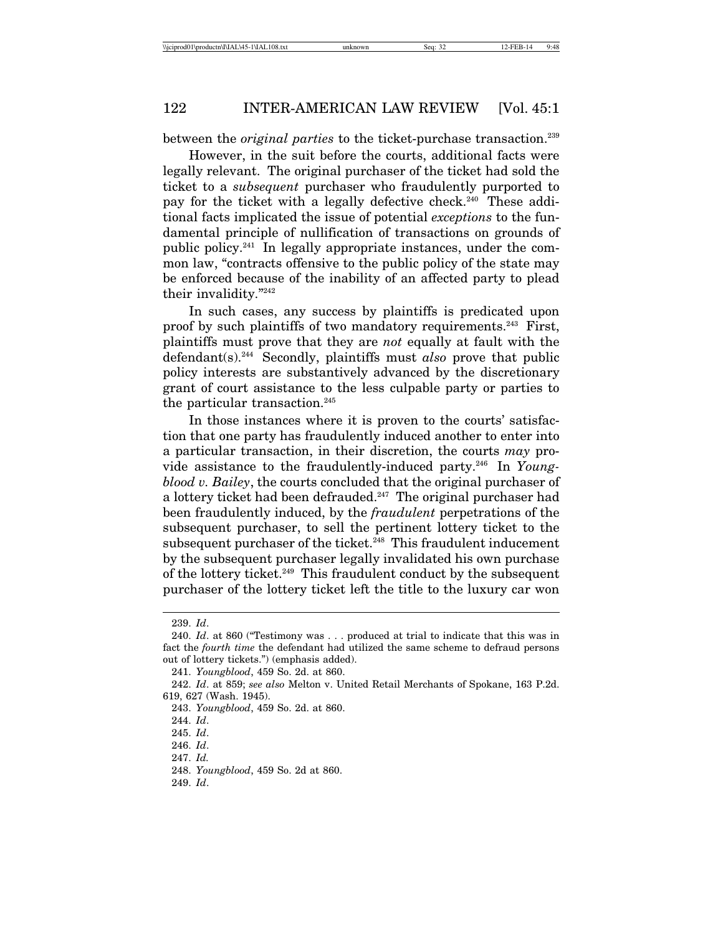between the *original parties* to the ticket-purchase transaction.<sup>239</sup>

However, in the suit before the courts, additional facts were legally relevant. The original purchaser of the ticket had sold the ticket to a *subsequent* purchaser who fraudulently purported to pay for the ticket with a legally defective check.<sup>240</sup> These additional facts implicated the issue of potential *exceptions* to the fundamental principle of nullification of transactions on grounds of public policy.241 In legally appropriate instances, under the common law, "contracts offensive to the public policy of the state may be enforced because of the inability of an affected party to plead their invalidity."242

In such cases, any success by plaintiffs is predicated upon proof by such plaintiffs of two mandatory requirements.<sup>243</sup> First, plaintiffs must prove that they are *not* equally at fault with the defendant(s).244 Secondly, plaintiffs must *also* prove that public policy interests are substantively advanced by the discretionary grant of court assistance to the less culpable party or parties to the particular transaction.<sup>245</sup>

In those instances where it is proven to the courts' satisfaction that one party has fraudulently induced another to enter into a particular transaction, in their discretion, the courts *may* provide assistance to the fraudulently-induced party.246 In *Youngblood v. Bailey*, the courts concluded that the original purchaser of a lottery ticket had been defrauded.<sup>247</sup> The original purchaser had been fraudulently induced, by the *fraudulent* perpetrations of the subsequent purchaser, to sell the pertinent lottery ticket to the subsequent purchaser of the ticket.<sup>248</sup> This fraudulent inducement by the subsequent purchaser legally invalidated his own purchase of the lottery ticket.249 This fraudulent conduct by the subsequent purchaser of the lottery ticket left the title to the luxury car won

<sup>239.</sup> *Id*.

<sup>240.</sup> *Id*. at 860 ("Testimony was . . . produced at trial to indicate that this was in fact the *fourth time* the defendant had utilized the same scheme to defraud persons out of lottery tickets.") (emphasis added).

<sup>241.</sup> *Youngblood*, 459 So. 2d. at 860.

<sup>242.</sup> *Id*. at 859; *see also* Melton v. United Retail Merchants of Spokane, 163 P.2d. 619, 627 (Wash. 1945).

<sup>243.</sup> *Youngblood*, 459 So. 2d. at 860.

<sup>244.</sup> *Id*.

<sup>245.</sup> *Id*.

<sup>246.</sup> *Id*.

<sup>247.</sup> *Id.*

<sup>248.</sup> *Youngblood*, 459 So. 2d at 860.

<sup>249.</sup> *Id*.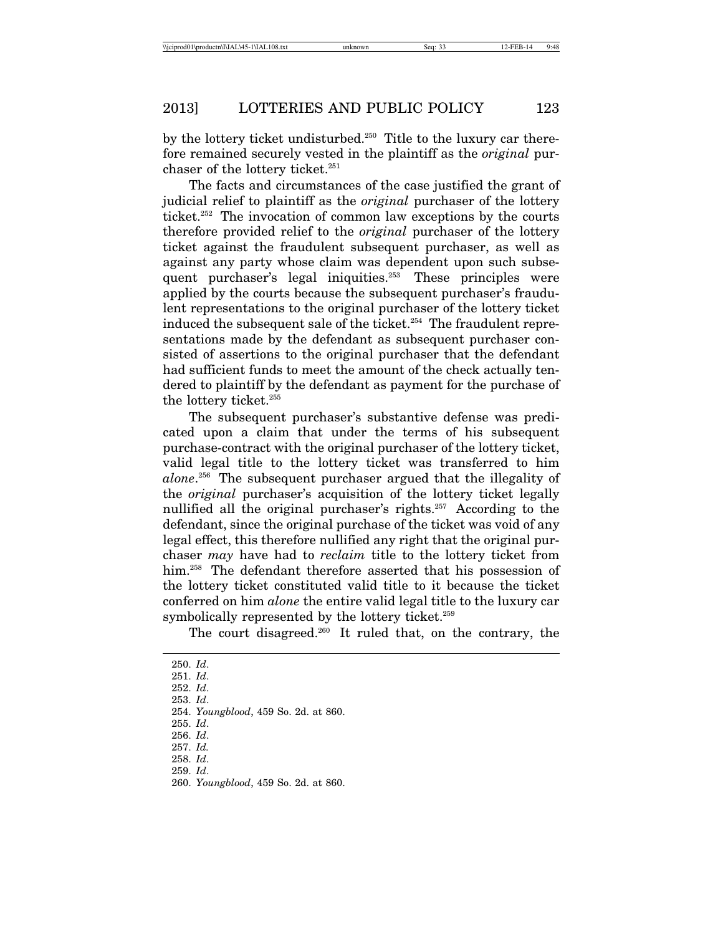by the lottery ticket undisturbed.<sup>250</sup> Title to the luxury car therefore remained securely vested in the plaintiff as the *original* purchaser of the lottery ticket.<sup>251</sup>

The facts and circumstances of the case justified the grant of judicial relief to plaintiff as the *original* purchaser of the lottery ticket.252 The invocation of common law exceptions by the courts therefore provided relief to the *original* purchaser of the lottery ticket against the fraudulent subsequent purchaser, as well as against any party whose claim was dependent upon such subsequent purchaser's legal iniquities.<sup>253</sup> These principles were applied by the courts because the subsequent purchaser's fraudulent representations to the original purchaser of the lottery ticket induced the subsequent sale of the ticket.<sup>254</sup> The fraudulent representations made by the defendant as subsequent purchaser consisted of assertions to the original purchaser that the defendant had sufficient funds to meet the amount of the check actually tendered to plaintiff by the defendant as payment for the purchase of the lottery ticket.<sup>255</sup>

The subsequent purchaser's substantive defense was predicated upon a claim that under the terms of his subsequent purchase-contract with the original purchaser of the lottery ticket, valid legal title to the lottery ticket was transferred to him *alone*. 256 The subsequent purchaser argued that the illegality of the *original* purchaser's acquisition of the lottery ticket legally nullified all the original purchaser's rights.257 According to the defendant, since the original purchase of the ticket was void of any legal effect, this therefore nullified any right that the original purchaser *may* have had to *reclaim* title to the lottery ticket from him.<sup>258</sup> The defendant therefore asserted that his possession of the lottery ticket constituted valid title to it because the ticket conferred on him *alone* the entire valid legal title to the luxury car symbolically represented by the lottery ticket.<sup>259</sup>

The court disagreed. $260$  It ruled that, on the contrary, the

251. *Id*.

255. *Id*.

259. *Id*.

<sup>250.</sup> *Id*.

<sup>252.</sup> *Id*.

<sup>253.</sup> *Id*.

<sup>254.</sup> *Youngblood*, 459 So. 2d. at 860.

<sup>256.</sup> *Id*.

<sup>257.</sup> *Id.* 258. *Id*.

<sup>260.</sup> *Youngblood*, 459 So. 2d. at 860.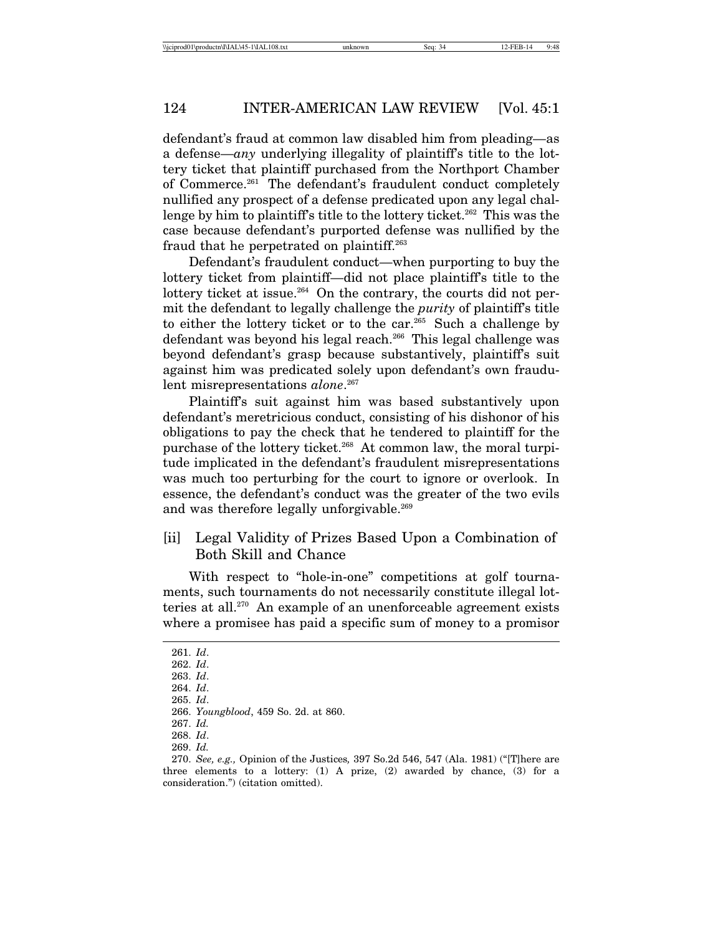defendant's fraud at common law disabled him from pleading—as a defense—*any* underlying illegality of plaintiff's title to the lottery ticket that plaintiff purchased from the Northport Chamber of Commerce.261 The defendant's fraudulent conduct completely nullified any prospect of a defense predicated upon any legal challenge by him to plaintiff's title to the lottery ticket.<sup>262</sup> This was the case because defendant's purported defense was nullified by the fraud that he perpetrated on plaintiff.263

Defendant's fraudulent conduct—when purporting to buy the lottery ticket from plaintiff—did not place plaintiff's title to the lottery ticket at issue.<sup>264</sup> On the contrary, the courts did not permit the defendant to legally challenge the *purity* of plaintiff's title to either the lottery ticket or to the car.265 Such a challenge by defendant was beyond his legal reach.<sup>266</sup> This legal challenge was beyond defendant's grasp because substantively, plaintiff's suit against him was predicated solely upon defendant's own fraudulent misrepresentations *alone*. 267

Plaintiff's suit against him was based substantively upon defendant's meretricious conduct, consisting of his dishonor of his obligations to pay the check that he tendered to plaintiff for the purchase of the lottery ticket.268 At common law, the moral turpitude implicated in the defendant's fraudulent misrepresentations was much too perturbing for the court to ignore or overlook. In essence, the defendant's conduct was the greater of the two evils and was therefore legally unforgivable.<sup>269</sup>

## [ii] Legal Validity of Prizes Based Upon a Combination of Both Skill and Chance

With respect to "hole-in-one" competitions at golf tournaments, such tournaments do not necessarily constitute illegal lotteries at all.270 An example of an unenforceable agreement exists where a promisee has paid a specific sum of money to a promisor

<sup>261.</sup> *Id*.

<sup>262.</sup> *Id*.

<sup>263.</sup> *Id*.

<sup>264.</sup> *Id*.

<sup>265.</sup> *Id*.

<sup>266.</sup> *Youngblood*, 459 So. 2d. at 860.

<sup>267.</sup> *Id.*

<sup>268.</sup> *Id*.

<sup>269.</sup> *Id.*

<sup>270.</sup> *See, e.g.,* Opinion of the Justices*,* 397 So.2d 546, 547 (Ala. 1981) ("[T]here are three elements to a lottery:  $(1)$  A prize,  $(2)$  awarded by chance,  $(3)$  for a consideration.") (citation omitted).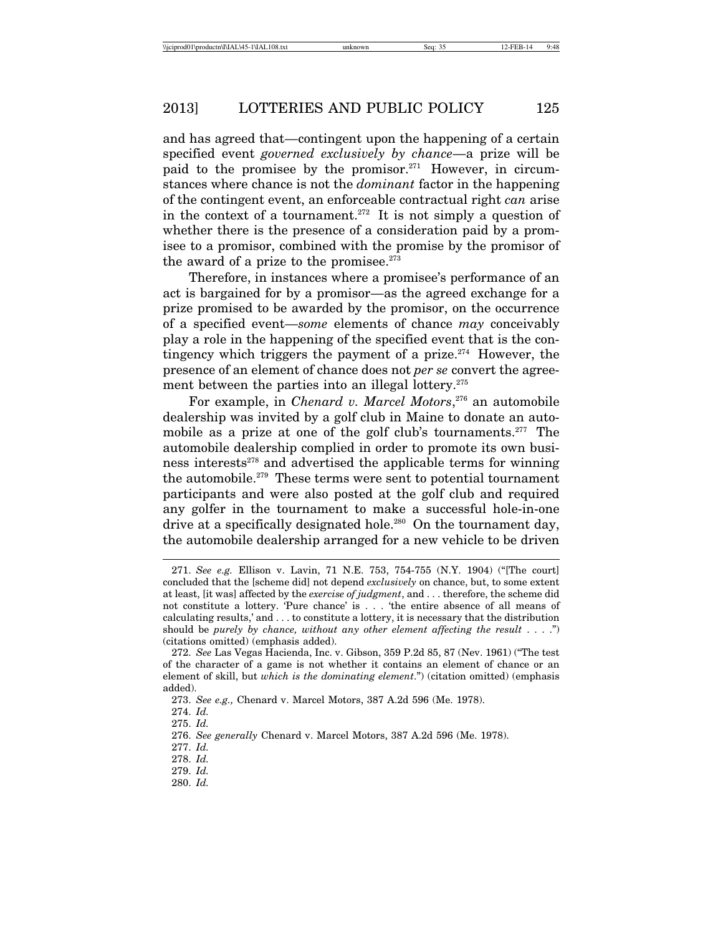and has agreed that—contingent upon the happening of a certain specified event *governed exclusively by chance*—a prize will be paid to the promisee by the promisor.<sup>271</sup> However, in circumstances where chance is not the *dominant* factor in the happening of the contingent event, an enforceable contractual right *can* arise in the context of a tournament.<sup>272</sup> It is not simply a question of whether there is the presence of a consideration paid by a promisee to a promisor, combined with the promise by the promisor of the award of a prize to the promisee. $273$ 

Therefore, in instances where a promisee's performance of an act is bargained for by a promisor—as the agreed exchange for a prize promised to be awarded by the promisor, on the occurrence of a specified event—*some* elements of chance *may* conceivably play a role in the happening of the specified event that is the contingency which triggers the payment of a prize. $274$  However, the presence of an element of chance does not *per se* convert the agreement between the parties into an illegal lottery.<sup>275</sup>

For example, in *Chenard v. Marcel Motors*, 276 an automobile dealership was invited by a golf club in Maine to donate an automobile as a prize at one of the golf club's tournaments.<sup>277</sup> The automobile dealership complied in order to promote its own business interests $278$  and advertised the applicable terms for winning the automobile.279 These terms were sent to potential tournament participants and were also posted at the golf club and required any golfer in the tournament to make a successful hole-in-one drive at a specifically designated hole.<sup>280</sup> On the tournament day, the automobile dealership arranged for a new vehicle to be driven

280. *Id.*

<sup>271.</sup> *See e.g.* Ellison v. Lavin, 71 N.E. 753, 754-755 (N.Y. 1904) ("[The court] concluded that the [scheme did] not depend *exclusively* on chance, but, to some extent at least, [it was] affected by the *exercise of judgment*, and . . . therefore, the scheme did not constitute a lottery. 'Pure chance' is . . . 'the entire absence of all means of calculating results,' and . . . to constitute a lottery, it is necessary that the distribution should be *purely by chance, without any other element affecting the result* . . . .") (citations omitted) (emphasis added).

<sup>272.</sup> *See* Las Vegas Hacienda, Inc. v. Gibson, 359 P.2d 85, 87 (Nev. 1961) ("The test of the character of a game is not whether it contains an element of chance or an element of skill, but *which is the dominating element*.") (citation omitted) (emphasis added).

<sup>273.</sup> *See e.g.,* Chenard v. Marcel Motors, 387 A.2d 596 (Me. 1978).

<sup>274.</sup> *Id.*

<sup>275.</sup> *Id.*

<sup>276.</sup> *See generally* Chenard v. Marcel Motors, 387 A.2d 596 (Me. 1978).

<sup>277.</sup> *Id.*

<sup>278.</sup> *Id.*

<sup>279.</sup> *Id.*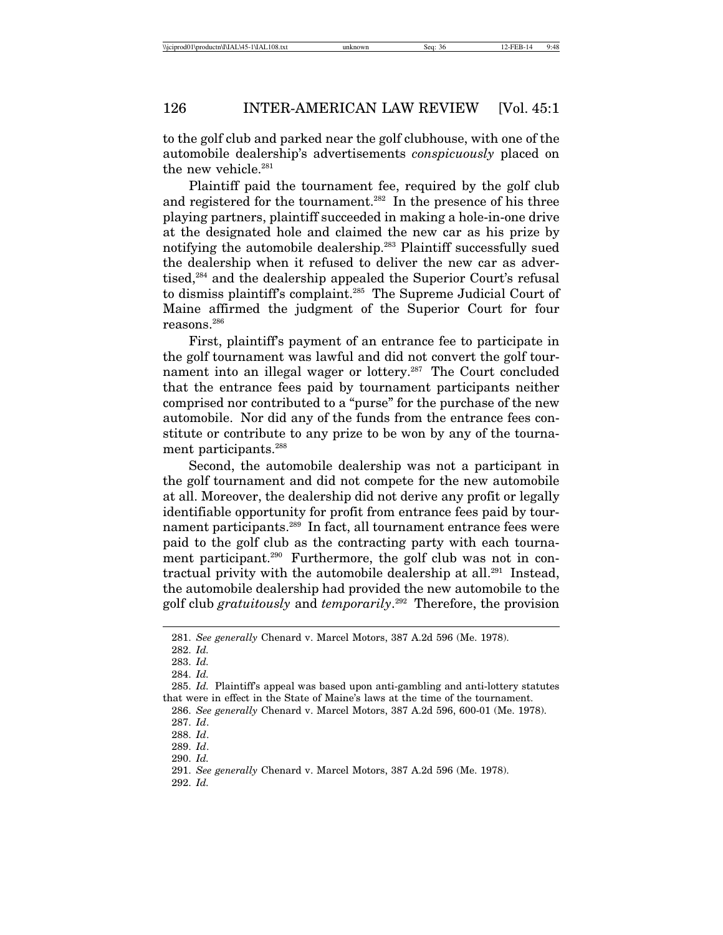to the golf club and parked near the golf clubhouse, with one of the automobile dealership's advertisements *conspicuously* placed on the new vehicle.<sup>281</sup>

Plaintiff paid the tournament fee, required by the golf club and registered for the tournament.<sup>282</sup> In the presence of his three playing partners, plaintiff succeeded in making a hole-in-one drive at the designated hole and claimed the new car as his prize by notifying the automobile dealership.283 Plaintiff successfully sued the dealership when it refused to deliver the new car as advertised,<sup>284</sup> and the dealership appealed the Superior Court's refusal to dismiss plaintiff's complaint.285 The Supreme Judicial Court of Maine affirmed the judgment of the Superior Court for four reasons.286

First, plaintiff's payment of an entrance fee to participate in the golf tournament was lawful and did not convert the golf tournament into an illegal wager or lottery.<sup>287</sup> The Court concluded that the entrance fees paid by tournament participants neither comprised nor contributed to a "purse" for the purchase of the new automobile. Nor did any of the funds from the entrance fees constitute or contribute to any prize to be won by any of the tournament participants.<sup>288</sup>

Second, the automobile dealership was not a participant in the golf tournament and did not compete for the new automobile at all. Moreover, the dealership did not derive any profit or legally identifiable opportunity for profit from entrance fees paid by tournament participants.289 In fact, all tournament entrance fees were paid to the golf club as the contracting party with each tournament participant.<sup>290</sup> Furthermore, the golf club was not in contractual privity with the automobile dealership at all.<sup>291</sup> Instead, the automobile dealership had provided the new automobile to the golf club *gratuitously* and *temporarily*. 292 Therefore, the provision

292. *Id.*

<sup>281.</sup> *See generally* Chenard v. Marcel Motors, 387 A.2d 596 (Me. 1978).

<sup>282.</sup> *Id.*

<sup>283.</sup> *Id.*

<sup>284.</sup> *Id.*

<sup>285.</sup> *Id.* Plaintiff's appeal was based upon anti-gambling and anti-lottery statutes that were in effect in the State of Maine's laws at the time of the tournament.

<sup>286.</sup> *See generally* Chenard v. Marcel Motors, 387 A.2d 596, 600-01 (Me. 1978). 287. *Id*.

<sup>288.</sup> *Id*.

<sup>289.</sup> *Id*.

<sup>290.</sup> *Id.*

<sup>291.</sup> *See generally* Chenard v. Marcel Motors, 387 A.2d 596 (Me. 1978).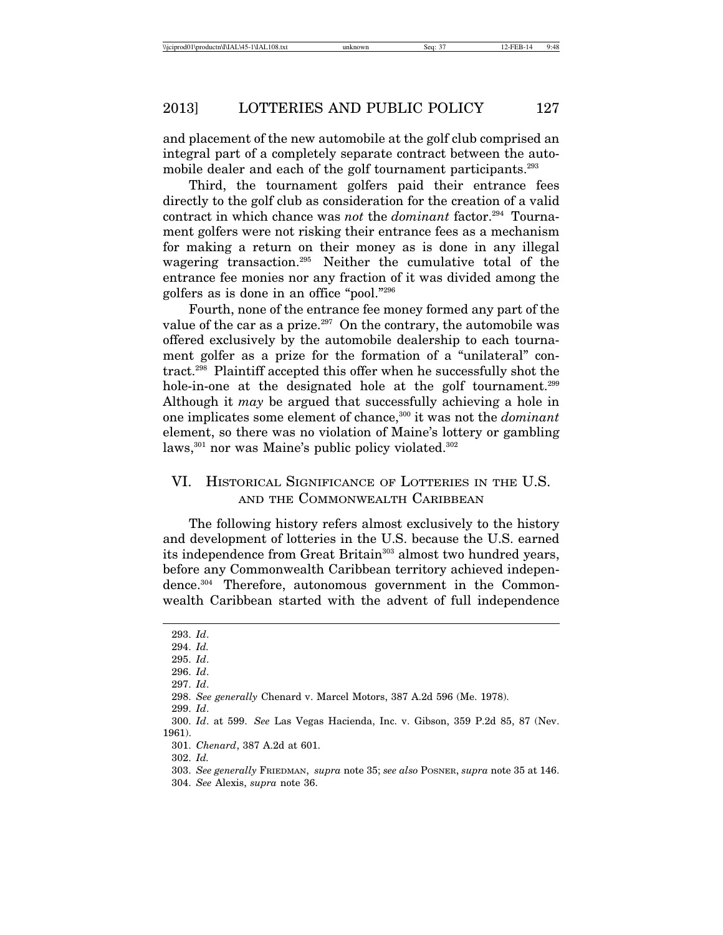and placement of the new automobile at the golf club comprised an integral part of a completely separate contract between the automobile dealer and each of the golf tournament participants.<sup>293</sup>

Third, the tournament golfers paid their entrance fees directly to the golf club as consideration for the creation of a valid contract in which chance was *not* the *dominant* factor.<sup>294</sup> Tournament golfers were not risking their entrance fees as a mechanism for making a return on their money as is done in any illegal wagering transaction.295 Neither the cumulative total of the entrance fee monies nor any fraction of it was divided among the golfers as is done in an office "pool."296

Fourth, none of the entrance fee money formed any part of the value of the car as a prize.<sup>297</sup> On the contrary, the automobile was offered exclusively by the automobile dealership to each tournament golfer as a prize for the formation of a "unilateral" contract.298 Plaintiff accepted this offer when he successfully shot the hole-in-one at the designated hole at the golf tournament.<sup>299</sup> Although it *may* be argued that successfully achieving a hole in one implicates some element of chance,300 it was not the *dominant* element, so there was no violation of Maine's lottery or gambling laws,<sup>301</sup> nor was Maine's public policy violated.<sup>302</sup>

## VI. HISTORICAL SIGNIFICANCE OF LOTTERIES IN THE U.S. AND THE COMMONWEALTH CARIBBEAN

The following history refers almost exclusively to the history and development of lotteries in the U.S. because the U.S. earned its independence from Great Britain<sup>303</sup> almost two hundred years, before any Commonwealth Caribbean territory achieved independence.304 Therefore, autonomous government in the Commonwealth Caribbean started with the advent of full independence

<sup>293.</sup> *Id*.

<sup>294.</sup> *Id.*

<sup>295.</sup> *Id*.

<sup>296.</sup> *Id*.

<sup>297.</sup> *Id*.

<sup>298.</sup> *See generally* Chenard v. Marcel Motors, 387 A.2d 596 (Me. 1978).

<sup>299.</sup> *Id*.

<sup>300.</sup> *Id*. at 599. *See* Las Vegas Hacienda, Inc. v. Gibson, 359 P.2d 85, 87 (Nev. 1961).

<sup>301.</sup> *Chenard*, 387 A.2d at 601.

<sup>303.</sup> *See generally* FRIEDMAN, *supra* note 35; *see also* POSNER, *supra* note 35 at 146.

<sup>304.</sup> *See* Alexis, *supra* note 36.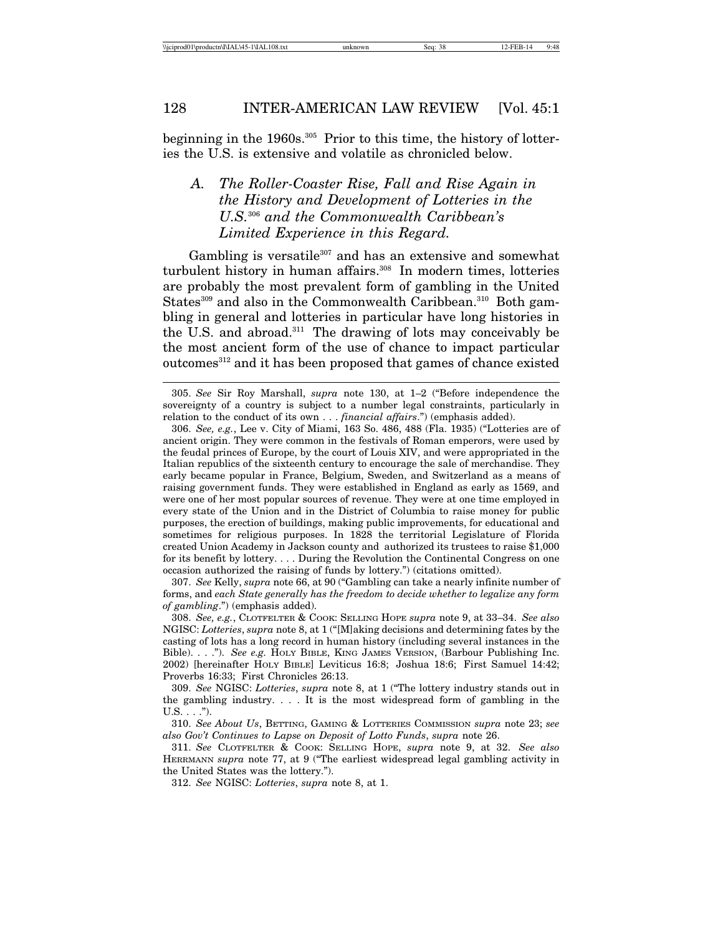beginning in the 1960s.305 Prior to this time, the history of lotteries the U.S. is extensive and volatile as chronicled below.

# *A. The Roller-Coaster Rise, Fall and Rise Again in the History and Development of Lotteries in the U.S.*306 *and the Commonwealth Caribbean's Limited Experience in this Regard.*

Gambling is versatile $307$  and has an extensive and somewhat turbulent history in human affairs.<sup>308</sup> In modern times, lotteries are probably the most prevalent form of gambling in the United States<sup>309</sup> and also in the Commonwealth Caribbean.<sup>310</sup> Both gambling in general and lotteries in particular have long histories in the U.S. and abroad. $311$  The drawing of lots may conceivably be the most ancient form of the use of chance to impact particular outcomes<sup>312</sup> and it has been proposed that games of chance existed

307. *See* Kelly, *supra* note 66, at 90 ("Gambling can take a nearly infinite number of forms, and *each State generally has the freedom to decide whether to legalize any form of gambling*.") (emphasis added).

308. *See, e.g.*, CLOTFELTER & COOK: SELLING HOPE *supra* note 9, at 33–34. *See also* NGISC: *Lotteries*, *supra* note 8, at 1 ("[M]aking decisions and determining fates by the casting of lots has a long record in human history (including several instances in the Bible). . . ."). *See e.g.* HOLY BIBLE, KING JAMES VERSION, (Barbour Publishing Inc. 2002) [hereinafter HOLY BIBLE] Leviticus 16:8; Joshua 18:6; First Samuel 14:42; Proverbs 16:33; First Chronicles 26:13.

309. *See* NGISC: *Lotteries*, *supra* note 8, at 1 ("The lottery industry stands out in the gambling industry. . . . It is the most widespread form of gambling in the  $U.S. . . .".$ 

310. *See About Us*, BETTING, GAMING & LOTTERIES COMMISSION *supra* note 23; *see also Gov't Continues to Lapse on Deposit of Lotto Funds*, *supra* note 26.

311. *See* CLOTFELTER & COOK: SELLING HOPE, *supra* note 9, at 32. *See also* HERRMANN *supra* note 77, at 9 ("The earliest widespread legal gambling activity in the United States was the lottery.").

312. *See* NGISC: *Lotteries*, *supra* note 8, at 1.

<sup>305.</sup> *See* Sir Roy Marshall, *supra* note 130, at 1–2 ("Before independence the sovereignty of a country is subject to a number legal constraints, particularly in relation to the conduct of its own . . . *financial affairs*.") (emphasis added).

<sup>306.</sup> *See, e.g.*, Lee v. City of Miami, 163 So. 486, 488 (Fla. 1935) ("Lotteries are of ancient origin. They were common in the festivals of Roman emperors, were used by the feudal princes of Europe, by the court of Louis XIV, and were appropriated in the Italian republics of the sixteenth century to encourage the sale of merchandise. They early became popular in France, Belgium, Sweden, and Switzerland as a means of raising government funds. They were established in England as early as 1569, and were one of her most popular sources of revenue. They were at one time employed in every state of the Union and in the District of Columbia to raise money for public purposes, the erection of buildings, making public improvements, for educational and sometimes for religious purposes. In 1828 the territorial Legislature of Florida created Union Academy in Jackson county and authorized its trustees to raise \$1,000 for its benefit by lottery. . . . During the Revolution the Continental Congress on one occasion authorized the raising of funds by lottery.") (citations omitted).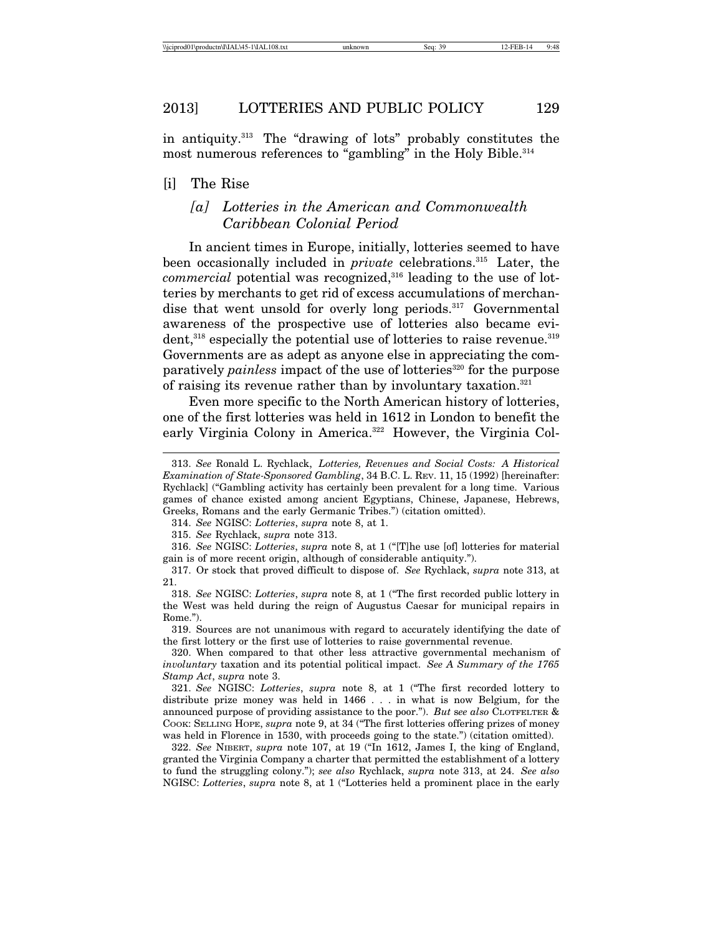in antiquity. $313$  The "drawing of lots" probably constitutes the most numerous references to "gambling" in the Holy Bible.<sup>314</sup>

#### [i] The Rise

## *[a] Lotteries in the American and Commonwealth Caribbean Colonial Period*

In ancient times in Europe, initially, lotteries seemed to have been occasionally included in *private* celebrations.<sup>315</sup> Later, the *commercial* potential was recognized,<sup>316</sup> leading to the use of lotteries by merchants to get rid of excess accumulations of merchandise that went unsold for overly long periods.<sup>317</sup> Governmental awareness of the prospective use of lotteries also became evident,<sup>318</sup> especially the potential use of lotteries to raise revenue.<sup>319</sup> Governments are as adept as anyone else in appreciating the comparatively *painless* impact of the use of lotteries<sup>320</sup> for the purpose of raising its revenue rather than by involuntary taxation.321

Even more specific to the North American history of lotteries, one of the first lotteries was held in 1612 in London to benefit the early Virginia Colony in America.<sup>322</sup> However, the Virginia Col-

321. *See* NGISC: *Lotteries*, *supra* note 8, at 1 ("The first recorded lottery to distribute prize money was held in 1466 . . . in what is now Belgium, for the announced purpose of providing assistance to the poor."). *But* s*ee also* CLOTFELTER & COOK: SELLING HOPE, *supra* note 9, at 34 ("The first lotteries offering prizes of money was held in Florence in 1530, with proceeds going to the state.") (citation omitted).

322. *See* NIBERT, *supra* note 107, at 19 ("In 1612, James I, the king of England, granted the Virginia Company a charter that permitted the establishment of a lottery to fund the struggling colony."); *see also* Rychlack, *supra* note 313, at 24. *See also* NGISC: *Lotteries*, *supra* note 8, at 1 ("Lotteries held a prominent place in the early

<sup>313.</sup> *See* Ronald L. Rychlack, *Lotteries, Revenues and Social Costs: A Historical Examination of State-Sponsored Gambling*, 34 B.C. L. REV. 11, 15 (1992) [hereinafter: Rychlack] ("Gambling activity has certainly been prevalent for a long time. Various games of chance existed among ancient Egyptians, Chinese, Japanese, Hebrews, Greeks, Romans and the early Germanic Tribes.") (citation omitted).

<sup>314.</sup> *See* NGISC: *Lotteries*, *supra* note 8, at 1.

<sup>315.</sup> *See* Rychlack, *supra* note 313.

<sup>316.</sup> *See* NGISC: *Lotteries*, *supra* note 8, at 1 ("[T]he use [of] lotteries for material gain is of more recent origin, although of considerable antiquity.").

<sup>317.</sup> Or stock that proved difficult to dispose of. *See* Rychlack, *supra* note 313, at 21.

<sup>318.</sup> *See* NGISC: *Lotteries*, *supra* note 8, at 1 ("The first recorded public lottery in the West was held during the reign of Augustus Caesar for municipal repairs in Rome.").

<sup>319.</sup> Sources are not unanimous with regard to accurately identifying the date of the first lottery or the first use of lotteries to raise governmental revenue.

<sup>320.</sup> When compared to that other less attractive governmental mechanism of *involuntary* taxation and its potential political impact. *See A Summary of the 1765 Stamp Act*, *supra* note 3.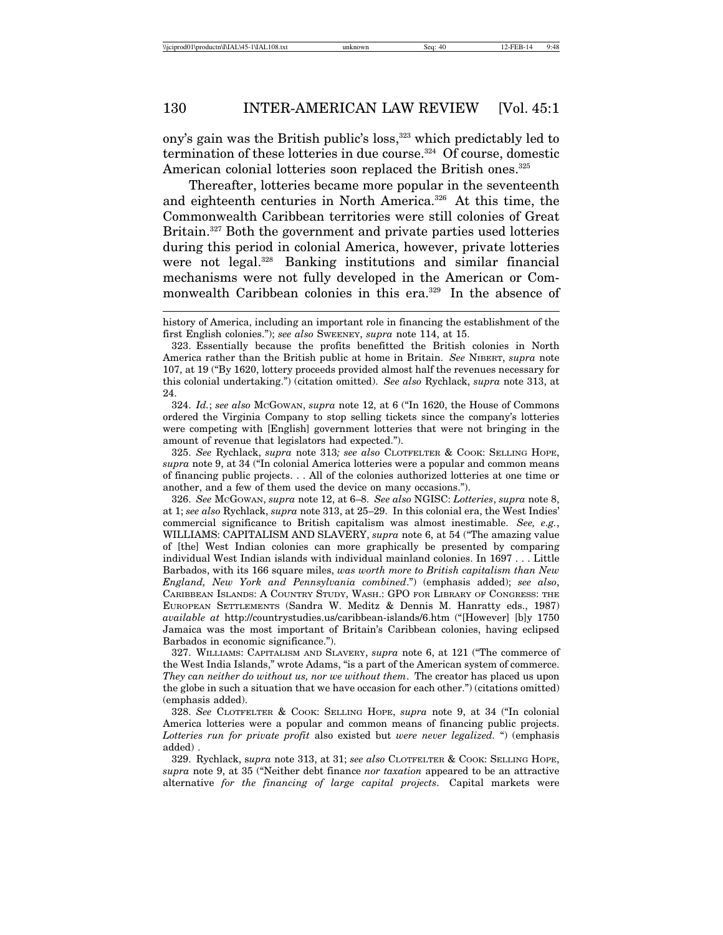ony's gain was the British public's loss,<sup>323</sup> which predictably led to termination of these lotteries in due course.<sup>324</sup> Of course, domestic American colonial lotteries soon replaced the British ones.<sup>325</sup>

Thereafter, lotteries became more popular in the seventeenth and eighteenth centuries in North America.326 At this time, the Commonwealth Caribbean territories were still colonies of Great Britain.<sup>327</sup> Both the government and private parties used lotteries during this period in colonial America, however, private lotteries were not legal.328 Banking institutions and similar financial mechanisms were not fully developed in the American or Commonwealth Caribbean colonies in this era.<sup>329</sup> In the absence of

324. *Id.*; *see also* MCGOWAN, *supra* note 12, at 6 ("In 1620, the House of Commons ordered the Virginia Company to stop selling tickets since the company's lotteries were competing with [English] government lotteries that were not bringing in the amount of revenue that legislators had expected.").

325. *See* Rychlack, *supra* note 313*; see also* CLOTFELTER & COOK: SELLING HOPE, *supra* note 9, at 34 ("In colonial America lotteries were a popular and common means of financing public projects. . . All of the colonies authorized lotteries at one time or another, and a few of them used the device on many occasions.").

326. *See* MCGOWAN, *supra* note 12, at 6–8. *See also* NGISC: *Lotteries*, *supra* note 8, at 1; *see also* Rychlack, *supra* note 313, at 25–29. In this colonial era, the West Indies' commercial significance to British capitalism was almost inestimable. *See, e.g.*, WILLIAMS: CAPITALISM AND SLAVERY, *supra* note 6, at 54 ("The amazing value of [the] West Indian colonies can more graphically be presented by comparing individual West Indian islands with individual mainland colonies. In 1697 . . . Little Barbados, with its 166 square miles, *was worth more to British capitalism than New England, New York and Pennsylvania combined*.") (emphasis added); *see also*, CARIBBEAN ISLANDS: A COUNTRY STUDY, WASH.: GPO FOR LIBRARY OF CONGRESS: THE EUROPEAN SETTLEMENTS (Sandra W. Meditz & Dennis M. Hanratty eds., 1987) *available at* http://countrystudies.us/caribbean-islands/6.htm ("[However] [b]y 1750 Jamaica was the most important of Britain's Caribbean colonies, having eclipsed Barbados in economic significance.").

327. WILLIAMS: CAPITALISM AND SLAVERY, *supra* note 6, at 121 ("The commerce of the West India Islands," wrote Adams, "is a part of the American system of commerce. *They can neither do without us, nor we without them*. The creator has placed us upon the globe in such a situation that we have occasion for each other.") (citations omitted) (emphasis added).

328. *See* CLOTFELTER & COOK: SELLING HOPE, *supra* note 9, at 34 ("In colonial America lotteries were a popular and common means of financing public projects. *Lotteries run for private profit* also existed but *were never legalized.* ") (emphasis added) .

329. Rychlack, s*upra* note 313, at 31; *see also* CLOTFELTER & COOK: SELLING HOPE, *supra* note 9, at 35 ("Neither debt finance *nor taxation* appeared to be an attractive alternative *for the financing of large capital projects*. Capital markets were

history of America, including an important role in financing the establishment of the first English colonies."); *see also* SWEENEY, *supra* note 114, at 15.

<sup>323.</sup> Essentially because the profits benefitted the British colonies in North America rather than the British public at home in Britain. *See* NIBERT, *supra* note 107, at 19 ("By 1620, lottery proceeds provided almost half the revenues necessary for this colonial undertaking.") (citation omitted). *See also* Rychlack, *supra* note 313, at 24.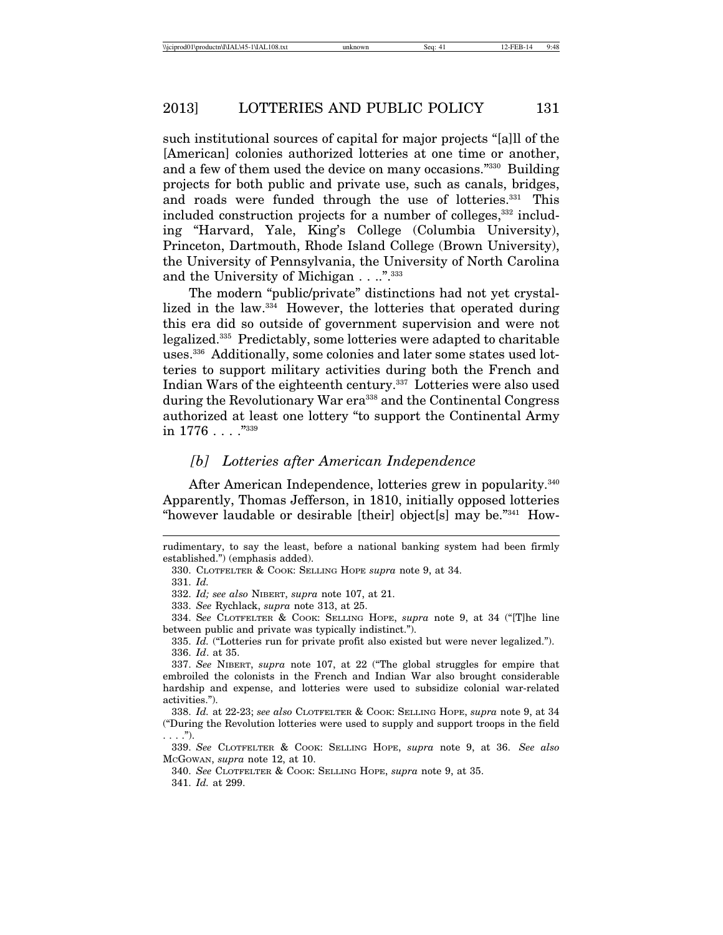such institutional sources of capital for major projects "[a]ll of the [American] colonies authorized lotteries at one time or another, and a few of them used the device on many occasions."330 Building projects for both public and private use, such as canals, bridges, and roads were funded through the use of lotteries.<sup>331</sup> This included construction projects for a number of colleges,<sup>332</sup> including "Harvard, Yale, King's College (Columbia University), Princeton, Dartmouth, Rhode Island College (Brown University), the University of Pennsylvania, the University of North Carolina and the University of Michigan . . ..".<sup>333</sup>

The modern "public/private" distinctions had not yet crystallized in the law.334 However, the lotteries that operated during this era did so outside of government supervision and were not legalized.335 Predictably, some lotteries were adapted to charitable uses.336 Additionally, some colonies and later some states used lotteries to support military activities during both the French and Indian Wars of the eighteenth century.337 Lotteries were also used during the Revolutionary War era<sup>338</sup> and the Continental Congress authorized at least one lottery "to support the Continental Army in  $1776...$ <sup>7339</sup>

## *[b] Lotteries after American Independence*

After American Independence, lotteries grew in popularity.<sup>340</sup> Apparently, Thomas Jefferson, in 1810, initially opposed lotteries "however laudable or desirable [their] object[s] may be."341 How-

335. *Id.* ("Lotteries run for private profit also existed but were never legalized."). 336. *Id*. at 35.

338. *Id.* at 22-23; *see also* CLOTFELTER & COOK: SELLING HOPE, *supra* note 9, at 34 ("During the Revolution lotteries were used to supply and support troops in the field . . . .").

339. *See* CLOTFELTER & COOK: SELLING HOPE, *supra* note 9, at 36. *See also* MCGOWAN, *supra* note 12, at 10.

340. *See* CLOTFELTER & COOK: SELLING HOPE, *supra* note 9, at 35.

341. *Id.* at 299.

rudimentary, to say the least, before a national banking system had been firmly established.") (emphasis added).

<sup>330.</sup> CLOTFELTER & COOK: SELLING HOPE *supra* note 9, at 34.

<sup>331.</sup> *Id.*

<sup>332.</sup> *Id; see also* NIBERT, *supra* note 107, at 21.

<sup>333.</sup> *See* Rychlack, *supra* note 313, at 25.

<sup>334.</sup> S*ee* CLOTFELTER & COOK: SELLING HOPE, *supra* note 9, at 34 ("[T]he line between public and private was typically indistinct.").

<sup>337.</sup> *See* NIBERT, *supra* note 107, at 22 ("The global struggles for empire that embroiled the colonists in the French and Indian War also brought considerable hardship and expense, and lotteries were used to subsidize colonial war-related activities.").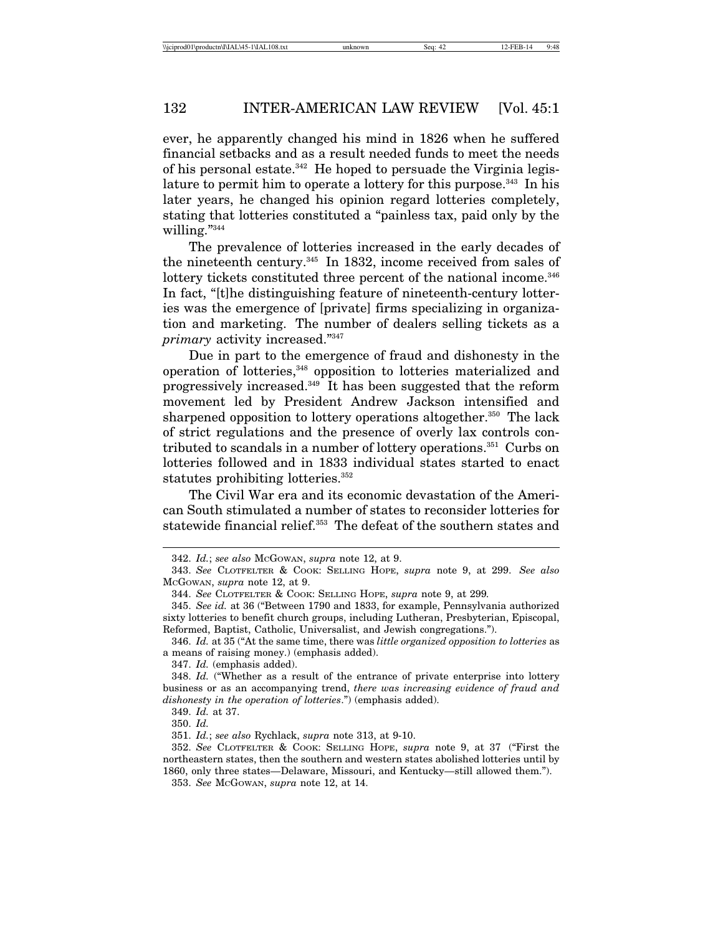ever, he apparently changed his mind in 1826 when he suffered financial setbacks and as a result needed funds to meet the needs of his personal estate. $342$  He hoped to persuade the Virginia legislature to permit him to operate a lottery for this purpose.<sup>343</sup> In his later years, he changed his opinion regard lotteries completely, stating that lotteries constituted a "painless tax, paid only by the willing."<sup>344</sup>

The prevalence of lotteries increased in the early decades of the nineteenth century.<sup>345</sup> In 1832, income received from sales of lottery tickets constituted three percent of the national income.<sup>346</sup> In fact, "[t]he distinguishing feature of nineteenth-century lotteries was the emergence of [private] firms specializing in organization and marketing. The number of dealers selling tickets as a *primary* activity increased."347

Due in part to the emergence of fraud and dishonesty in the operation of lotteries,348 opposition to lotteries materialized and progressively increased.349 It has been suggested that the reform movement led by President Andrew Jackson intensified and sharpened opposition to lottery operations altogether.<sup>350</sup> The lack of strict regulations and the presence of overly lax controls contributed to scandals in a number of lottery operations.351 Curbs on lotteries followed and in 1833 individual states started to enact statutes prohibiting lotteries.<sup>352</sup>

The Civil War era and its economic devastation of the American South stimulated a number of states to reconsider lotteries for statewide financial relief.<sup>353</sup> The defeat of the southern states and

<sup>342.</sup> *Id.*; *see also* MCGOWAN, *supra* note 12, at 9.

<sup>343.</sup> *See* CLOTFELTER & COOK: SELLING HOPE, *supra* note 9, at 299. *See also* MCGOWAN, *supra* note 12, at 9.

<sup>344.</sup> *See* CLOTFELTER & COOK: SELLING HOPE, *supra* note 9, at 299*.*

<sup>345.</sup> *See id.* at 36 ("Between 1790 and 1833, for example, Pennsylvania authorized sixty lotteries to benefit church groups, including Lutheran, Presbyterian, Episcopal, Reformed, Baptist, Catholic, Universalist, and Jewish congregations.").

<sup>346.</sup> *Id.* at 35 ("At the same time, there was *little organized opposition to lotteries* as a means of raising money.) (emphasis added).

<sup>347.</sup> *Id.* (emphasis added).

<sup>348.</sup> *Id.* ("Whether as a result of the entrance of private enterprise into lottery business or as an accompanying trend, *there was increasing evidence of fraud and dishonesty in the operation of lotteries*.") (emphasis added).

<sup>349.</sup> *Id.* at 37.

<sup>350.</sup> *Id.*

<sup>351.</sup> *Id.*; *see also* Rychlack, *supra* note 313, at 9-10.

<sup>352.</sup> *See* CLOTFELTER & COOK: SELLING HOPE, *supra* note 9, at 37 ("First the northeastern states, then the southern and western states abolished lotteries until by 1860, only three states—Delaware, Missouri, and Kentucky—still allowed them."). 353. *See* MCGOWAN, *supra* note 12, at 14.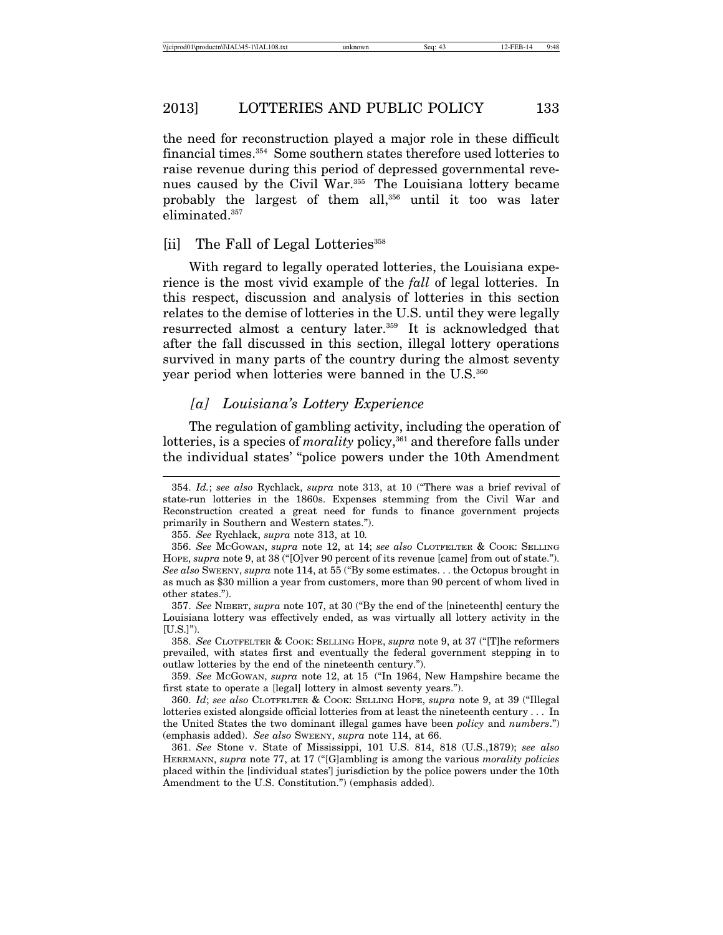the need for reconstruction played a major role in these difficult financial times.354 Some southern states therefore used lotteries to raise revenue during this period of depressed governmental revenues caused by the Civil War.<sup>355</sup> The Louisiana lottery became probably the largest of them all,356 until it too was later eliminated.<sup>357</sup>

#### [ii] The Fall of Legal Lotteries<sup>358</sup>

With regard to legally operated lotteries, the Louisiana experience is the most vivid example of the *fall* of legal lotteries. In this respect, discussion and analysis of lotteries in this section relates to the demise of lotteries in the U.S. until they were legally resurrected almost a century later.<sup>359</sup> It is acknowledged that after the fall discussed in this section, illegal lottery operations survived in many parts of the country during the almost seventy year period when lotteries were banned in the U.S.<sup>360</sup>

## *[a] Louisiana's Lottery Experience*

The regulation of gambling activity, including the operation of lotteries, is a species of *morality* policy,<sup>361</sup> and therefore falls under the individual states' "police powers under the 10th Amendment

358. *See* CLOTFELTER & COOK: SELLING HOPE, *supra* note 9, at 37 ("[T]he reformers prevailed, with states first and eventually the federal government stepping in to outlaw lotteries by the end of the nineteenth century.").

359. *See* MCGOWAN, *supra* note 12, at 15 ("In 1964, New Hampshire became the first state to operate a [legal] lottery in almost seventy years.").

360. *Id*; *see also* CLOTFELTER & COOK: SELLING HOPE, *supra* note 9, at 39 ("Illegal lotteries existed alongside official lotteries from at least the nineteenth century . . . In the United States the two dominant illegal games have been *policy* and *numbers*.") (emphasis added). *See also* SWEENY, *supra* note 114, at 66.

361. *See* Stone v. State of Mississippi, 101 U.S. 814, 818 (U.S.,1879); *see also* HERRMANN, *supra* note 77, at 17 ("[G]ambling is among the various *morality policies* placed within the [individual states'] jurisdiction by the police powers under the 10th Amendment to the U.S. Constitution.") (emphasis added).

<sup>354.</sup> *Id.*; *see also* Rychlack, *supra* note 313, at 10 ("There was a brief revival of state-run lotteries in the 1860s. Expenses stemming from the Civil War and Reconstruction created a great need for funds to finance government projects primarily in Southern and Western states.").

<sup>355.</sup> *See* Rychlack, *supra* note 313, at 10*.*

<sup>356.</sup> *See* MCGOWAN, *supra* note 12, at 14; *see also* CLOTFELTER & COOK: SELLING HOPE, *supra* note 9, at 38 ("[O]ver 90 percent of its revenue [came] from out of state."). *See also* SWEENY, *supra* note 114, at 55 ("By some estimates. . . the Octopus brought in as much as \$30 million a year from customers, more than 90 percent of whom lived in other states.").

<sup>357.</sup> *See* NIBERT, *supra* note 107, at 30 ("By the end of the [nineteenth] century the Louisiana lottery was effectively ended, as was virtually all lottery activity in the [U.S.]").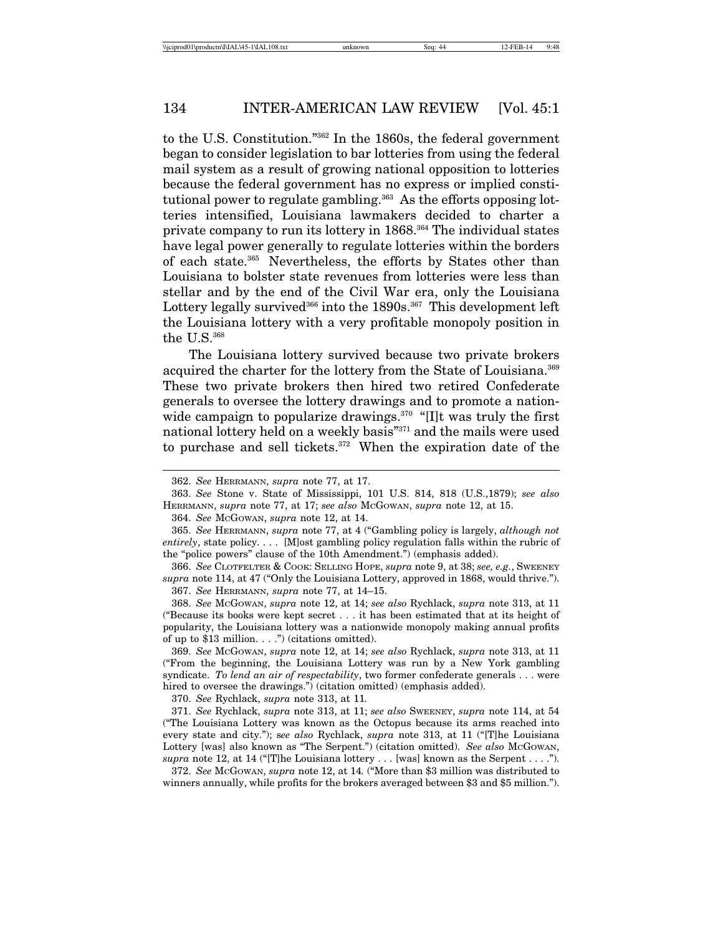to the U.S. Constitution."362 In the 1860s, the federal government began to consider legislation to bar lotteries from using the federal mail system as a result of growing national opposition to lotteries because the federal government has no express or implied constitutional power to regulate gambling.<sup>363</sup> As the efforts opposing lotteries intensified, Louisiana lawmakers decided to charter a private company to run its lottery in 1868.364 The individual states have legal power generally to regulate lotteries within the borders of each state.<sup>365</sup> Nevertheless, the efforts by States other than Louisiana to bolster state revenues from lotteries were less than stellar and by the end of the Civil War era, only the Louisiana Lottery legally survived<sup>366</sup> into the  $1890s$ .<sup>367</sup> This development left the Louisiana lottery with a very profitable monopoly position in the  $\rm U.S.^{\rm 368}$ 

The Louisiana lottery survived because two private brokers acquired the charter for the lottery from the State of Louisiana.<sup>369</sup> These two private brokers then hired two retired Confederate generals to oversee the lottery drawings and to promote a nationwide campaign to popularize drawings.<sup>370</sup> "[I]t was truly the first national lottery held on a weekly basis"371 and the mails were used to purchase and sell tickets.372 When the expiration date of the

364. *See* MCGOWAN, *supra* note 12, at 14.

366. *See* CLOTFELTER & COOK: SELLING HOPE, *supra* note 9, at 38; *see, e.g.*, SWEENEY *supra* note 114, at 47 ("Only the Louisiana Lottery, approved in 1868, would thrive."). 367. *See* HERRMANN, *supra* note 77, at 14–15.

368. *See* MCGOWAN, *supra* note 12, at 14; *see also* Rychlack, *supra* note 313, at 11 ("Because its books were kept secret . . . it has been estimated that at its height of popularity, the Louisiana lottery was a nationwide monopoly making annual profits of up to \$13 million.  $\ldots$ .") (citations omitted).

369. *See* MCGOWAN, *supra* note 12, at 14; *see also* Rychlack, *supra* note 313, at 11 ("From the beginning, the Louisiana Lottery was run by a New York gambling syndicate. *To lend an air of respectability*, two former confederate generals . . . were hired to oversee the drawings.") (citation omitted) (emphasis added).

370. *See* Rychlack, *supra* note 313, at 11*.*

371. *See* Rychlack, *supra* note 313, at 11; *see also* SWEENEY, *supra* note 114, at 54 ("The Louisiana Lottery was known as the Octopus because its arms reached into every state and city."); s*ee also* Rychlack, *supra* note 313, at 11 ("[T]he Louisiana Lottery [was] also known as "The Serpent.") (citation omitted). See also McGowAN, *supra* note 12, at 14 ("[T]he Louisiana lottery . . . [was] known as the Serpent . . . .").

372. *See* MCGOWAN, *supra* note 12, at 14*.* ("More than \$3 million was distributed to winners annually, while profits for the brokers averaged between \$3 and \$5 million.").

<sup>362.</sup> *See* HERRMANN, *supra* note 77, at 17.

<sup>363.</sup> *See* Stone v. State of Mississippi, 101 U.S. 814, 818 (U.S.,1879); *see also* HERRMANN, *supra* note 77, at 17; *see also* MCGOWAN, *supra* note 12, at 15.

<sup>365.</sup> *See* HERRMANN, *supra* note 77, at 4 ("Gambling policy is largely, *although not entirely*, state policy. . . . [M]ost gambling policy regulation falls within the rubric of the "police powers" clause of the 10th Amendment.") (emphasis added).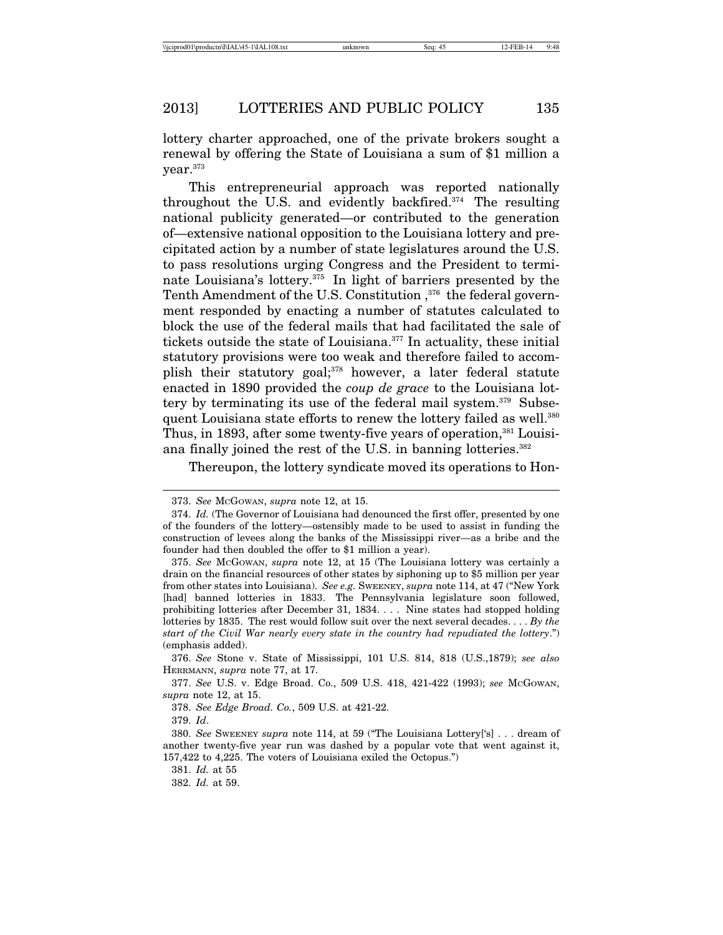lottery charter approached, one of the private brokers sought a renewal by offering the State of Louisiana a sum of \$1 million a year.373

This entrepreneurial approach was reported nationally throughout the U.S. and evidently backfired.374 The resulting national publicity generated—or contributed to the generation of—extensive national opposition to the Louisiana lottery and precipitated action by a number of state legislatures around the U.S. to pass resolutions urging Congress and the President to terminate Louisiana's lottery.375 In light of barriers presented by the Tenth Amendment of the U.S. Constitution,<sup>376</sup> the federal government responded by enacting a number of statutes calculated to block the use of the federal mails that had facilitated the sale of tickets outside the state of Louisiana.377 In actuality, these initial statutory provisions were too weak and therefore failed to accomplish their statutory goal;<sup>378</sup> however, a later federal statute enacted in 1890 provided the *coup de grace* to the Louisiana lottery by terminating its use of the federal mail system.<sup>379</sup> Subsequent Louisiana state efforts to renew the lottery failed as well.<sup>380</sup> Thus, in 1893, after some twenty-five years of operation,<sup>381</sup> Louisiana finally joined the rest of the U.S. in banning lotteries.<sup>382</sup>

Thereupon, the lottery syndicate moved its operations to Hon-

<sup>373.</sup> *See* MCGOWAN, *supra* note 12, at 15.

<sup>374.</sup> *Id.* (The Governor of Louisiana had denounced the first offer, presented by one of the founders of the lottery—ostensibly made to be used to assist in funding the construction of levees along the banks of the Mississippi river—as a bribe and the founder had then doubled the offer to \$1 million a year).

<sup>375.</sup> *See* MCGOWAN, *supra* note 12, at 15 (The Louisiana lottery was certainly a drain on the financial resources of other states by siphoning up to \$5 million per year from other states into Louisiana). *See e.g.* SWEENEY, *supra* note 114, at 47 ("New York [had] banned lotteries in 1833. The Pennsylvania legislature soon followed, prohibiting lotteries after December 31, 1834. . . . Nine states had stopped holding lotteries by 1835. The rest would follow suit over the next several decades. . . . *By the start of the Civil War nearly every state in the country had repudiated the lottery*.") (emphasis added).

<sup>376.</sup> *See* Stone v. State of Mississippi, 101 U.S. 814, 818 (U.S.,1879); *see also* HERRMANN, *supra* note 77, at 17.

<sup>377.</sup> *See* U.S. v. Edge Broad. Co., 509 U.S. 418, 421-422 (1993); *see* MCGOWAN, *supra* note 12, at 15.

<sup>378.</sup> *See Edge Broad. Co.*, 509 U.S. at 421-22.

<sup>379.</sup> *Id*.

<sup>380.</sup> *See* SWEENEY *supra* note 114, at 59 ("The Louisiana Lottery['s] . . . dream of another twenty-five year run was dashed by a popular vote that went against it, 157,422 to 4,225. The voters of Louisiana exiled the Octopus.")

<sup>381.</sup> *Id.* at 55

<sup>382.</sup> *Id.* at 59.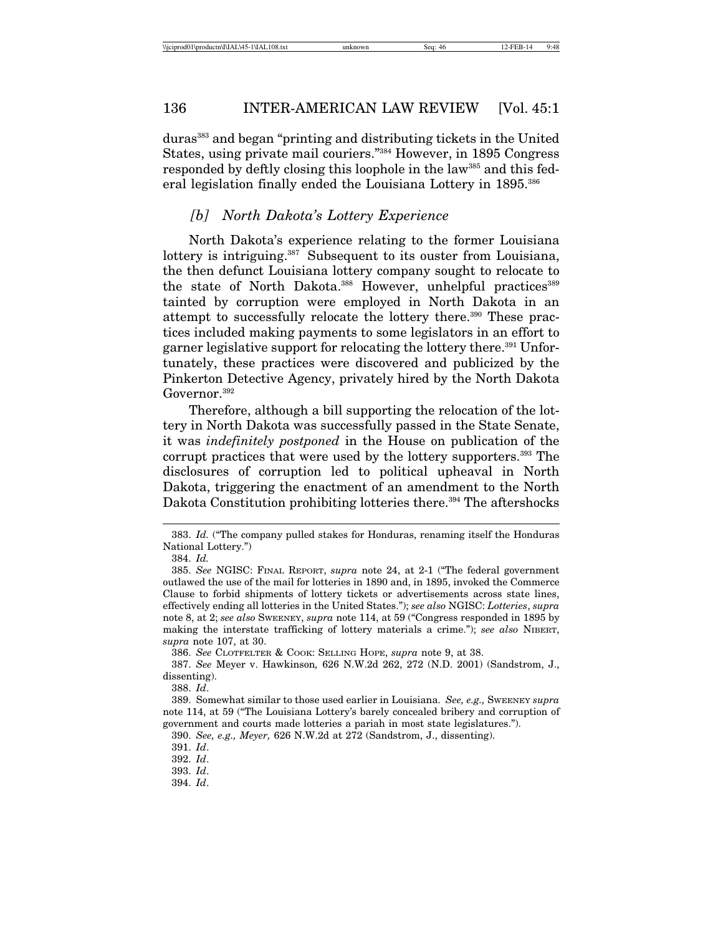duras383 and began "printing and distributing tickets in the United States, using private mail couriers."384 However, in 1895 Congress responded by deftly closing this loophole in the law<sup>385</sup> and this federal legislation finally ended the Louisiana Lottery in 1895.<sup>386</sup>

## *[b] North Dakota's Lottery Experience*

North Dakota's experience relating to the former Louisiana lottery is intriguing.<sup>387</sup> Subsequent to its ouster from Louisiana, the then defunct Louisiana lottery company sought to relocate to the state of North Dakota.<sup>388</sup> However, unhelpful practices<sup>389</sup> tainted by corruption were employed in North Dakota in an attempt to successfully relocate the lottery there.<sup>390</sup> These practices included making payments to some legislators in an effort to garner legislative support for relocating the lottery there.<sup>391</sup> Unfortunately, these practices were discovered and publicized by the Pinkerton Detective Agency, privately hired by the North Dakota Governor.<sup>392</sup>

Therefore, although a bill supporting the relocation of the lottery in North Dakota was successfully passed in the State Senate, it was *indefinitely postponed* in the House on publication of the corrupt practices that were used by the lottery supporters.<sup>393</sup> The disclosures of corruption led to political upheaval in North Dakota, triggering the enactment of an amendment to the North Dakota Constitution prohibiting lotteries there.<sup>394</sup> The aftershocks

386. *See* CLOTFELTER & COOK: SELLING HOPE, *supra* note 9, at 38.

388. *Id*.

<sup>383.</sup> *Id.* ("The company pulled stakes for Honduras, renaming itself the Honduras National Lottery.")

<sup>384.</sup> *Id.*

<sup>385.</sup> *See* NGISC: FINAL REPORT, *supra* note 24, at 2-1 ("The federal government outlawed the use of the mail for lotteries in 1890 and, in 1895, invoked the Commerce Clause to forbid shipments of lottery tickets or advertisements across state lines, effectively ending all lotteries in the United States."); *see also* NGISC: *Lotteries*, *supra* note 8, at 2; *see also* SWEENEY, *supra* note 114, at 59 ("Congress responded in 1895 by making the interstate trafficking of lottery materials a crime."); *see also* NIBERT, *supra* note 107, at 30.

<sup>387.</sup> *See* Meyer v. Hawkinson*,* 626 N.W.2d 262, 272 (N.D. 2001) (Sandstrom, J., dissenting).

<sup>389.</sup> Somewhat similar to those used earlier in Louisiana. *See, e.g.,* SWEENEY *supra* note 114, at 59 ("The Louisiana Lottery's barely concealed bribery and corruption of government and courts made lotteries a pariah in most state legislatures.").

<sup>390.</sup> *See, e.g., Meyer,* 626 N.W.2d at 272 (Sandstrom, J., dissenting).

<sup>392.</sup> *Id*.

<sup>393.</sup> *Id*.

<sup>394.</sup> *Id*.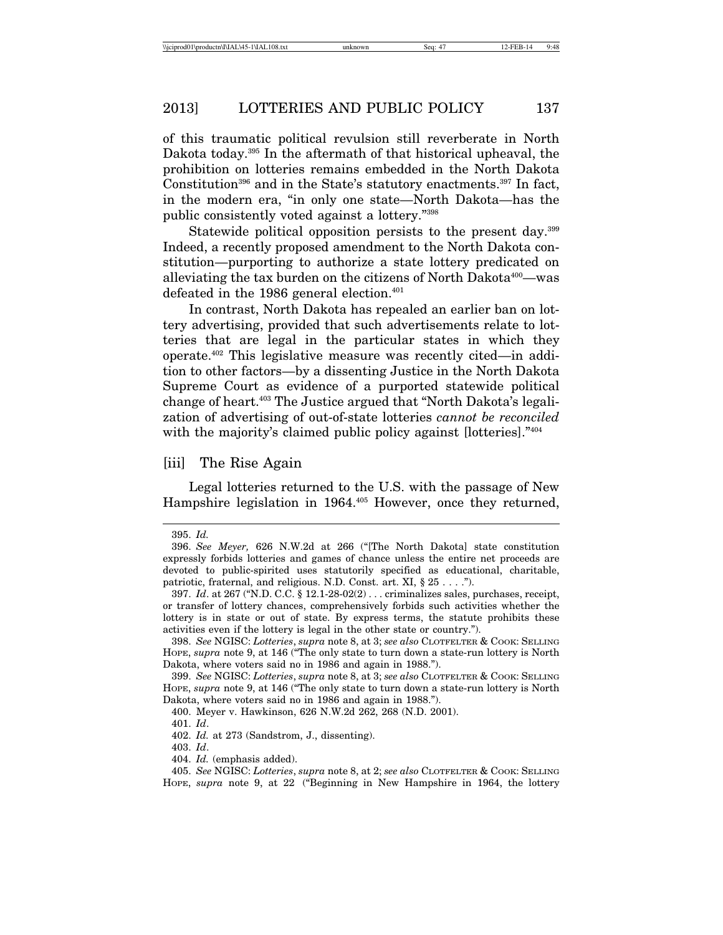of this traumatic political revulsion still reverberate in North Dakota today.395 In the aftermath of that historical upheaval, the prohibition on lotteries remains embedded in the North Dakota Constitution<sup>396</sup> and in the State's statutory enactments.<sup>397</sup> In fact, in the modern era, "in only one state—North Dakota—has the public consistently voted against a lottery."398

Statewide political opposition persists to the present day.399 Indeed, a recently proposed amendment to the North Dakota constitution—purporting to authorize a state lottery predicated on alleviating the tax burden on the citizens of North Dakota<sup>400</sup>—was defeated in the 1986 general election.<sup> $401$ </sup>

In contrast, North Dakota has repealed an earlier ban on lottery advertising, provided that such advertisements relate to lotteries that are legal in the particular states in which they operate.402 This legislative measure was recently cited—in addition to other factors—by a dissenting Justice in the North Dakota Supreme Court as evidence of a purported statewide political change of heart.403 The Justice argued that "North Dakota's legalization of advertising of out-of-state lotteries *cannot be reconciled* with the majority's claimed public policy against [lotteries]."404

#### [iii] The Rise Again

Legal lotteries returned to the U.S. with the passage of New Hampshire legislation in 1964.<sup>405</sup> However, once they returned,

404. *Id.* (emphasis added).

<sup>395.</sup> *Id.*

<sup>396.</sup> *See Meyer,* 626 N.W.2d at 266 ("[The North Dakota] state constitution expressly forbids lotteries and games of chance unless the entire net proceeds are devoted to public-spirited uses statutorily specified as educational, charitable, patriotic, fraternal, and religious. N.D. Const. art. XI, § 25 . . . .").

<sup>397.</sup> *Id*. at 267 ("N.D. C.C. § 12.1-28-02(2) . . . criminalizes sales, purchases, receipt, or transfer of lottery chances, comprehensively forbids such activities whether the lottery is in state or out of state. By express terms, the statute prohibits these activities even if the lottery is legal in the other state or country.").

<sup>398.</sup> *See* NGISC: *Lotteries*, *supra* note 8, at 3; *see also* CLOTFELTER & COOK: SELLING HOPE, *supra* note 9, at 146 ("The only state to turn down a state-run lottery is North Dakota, where voters said no in 1986 and again in 1988.").

<sup>399.</sup> *See* NGISC: *Lotteries*, *supra* note 8, at 3; *see also* CLOTFELTER & COOK: SELLING HOPE, *supra* note 9, at 146 ("The only state to turn down a state-run lottery is North Dakota, where voters said no in 1986 and again in 1988.").

<sup>400.</sup> Meyer v. Hawkinson, 626 N.W.2d 262, 268 (N.D. 2001).

<sup>401.</sup> *Id*.

<sup>402.</sup> *Id.* at 273 (Sandstrom, J., dissenting).

<sup>403.</sup> *Id*.

<sup>405.</sup> *See* NGISC: *Lotteries*, *supra* note 8, at 2; *see also* CLOTFELTER & COOK: SELLING HOPE, *supra* note 9, at 22 ("Beginning in New Hampshire in 1964, the lottery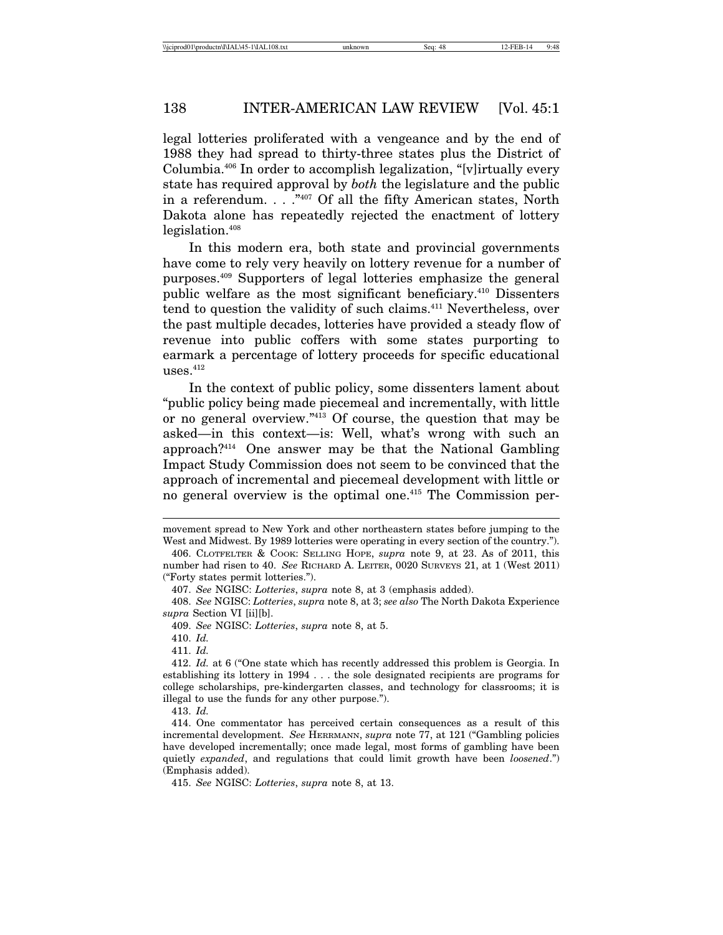legal lotteries proliferated with a vengeance and by the end of 1988 they had spread to thirty-three states plus the District of Columbia.406 In order to accomplish legalization, "[v]irtually every state has required approval by *both* the legislature and the public in a referendum. . . ."407 Of all the fifty American states, North Dakota alone has repeatedly rejected the enactment of lottery legislation.<sup>408</sup>

In this modern era, both state and provincial governments have come to rely very heavily on lottery revenue for a number of purposes.409 Supporters of legal lotteries emphasize the general public welfare as the most significant beneficiary.410 Dissenters tend to question the validity of such claims.411 Nevertheless, over the past multiple decades, lotteries have provided a steady flow of revenue into public coffers with some states purporting to earmark a percentage of lottery proceeds for specific educational uses.412

In the context of public policy, some dissenters lament about "public policy being made piecemeal and incrementally, with little or no general overview."413 Of course, the question that may be asked—in this context—is: Well, what's wrong with such an approach?414 One answer may be that the National Gambling Impact Study Commission does not seem to be convinced that the approach of incremental and piecemeal development with little or no general overview is the optimal one.<sup>415</sup> The Commission per-

410. *Id.*

411. *Id.*

movement spread to New York and other northeastern states before jumping to the West and Midwest. By 1989 lotteries were operating in every section of the country.").

<sup>406.</sup> CLOTFELTER & COOK: SELLING HOPE, *supra* note 9, at 23. As of 2011, this number had risen to 40. *See* RICHARD A. LEITER, 0020 SURVEYS 21, at 1 (West 2011) ("Forty states permit lotteries.").

<sup>407.</sup> *See* NGISC: *Lotteries*, *supra* note 8, at 3 (emphasis added).

<sup>408.</sup> *See* NGISC: *Lotteries*, *supra* note 8, at 3; *see also* The North Dakota Experience *supra* Section VI [ii][b].

<sup>409.</sup> *See* NGISC: *Lotteries*, *supra* note 8, at 5.

<sup>412.</sup> *Id.* at 6 ("One state which has recently addressed this problem is Georgia. In establishing its lottery in 1994 . . . the sole designated recipients are programs for college scholarships, pre-kindergarten classes, and technology for classrooms; it is illegal to use the funds for any other purpose.").

<sup>414.</sup> One commentator has perceived certain consequences as a result of this incremental development. *See* HERRMANN, *supra* note 77, at 121 ("Gambling policies have developed incrementally; once made legal, most forms of gambling have been quietly *expanded*, and regulations that could limit growth have been *loosened*.") (Emphasis added).

<sup>415.</sup> *See* NGISC: *Lotteries*, *supra* note 8, at 13.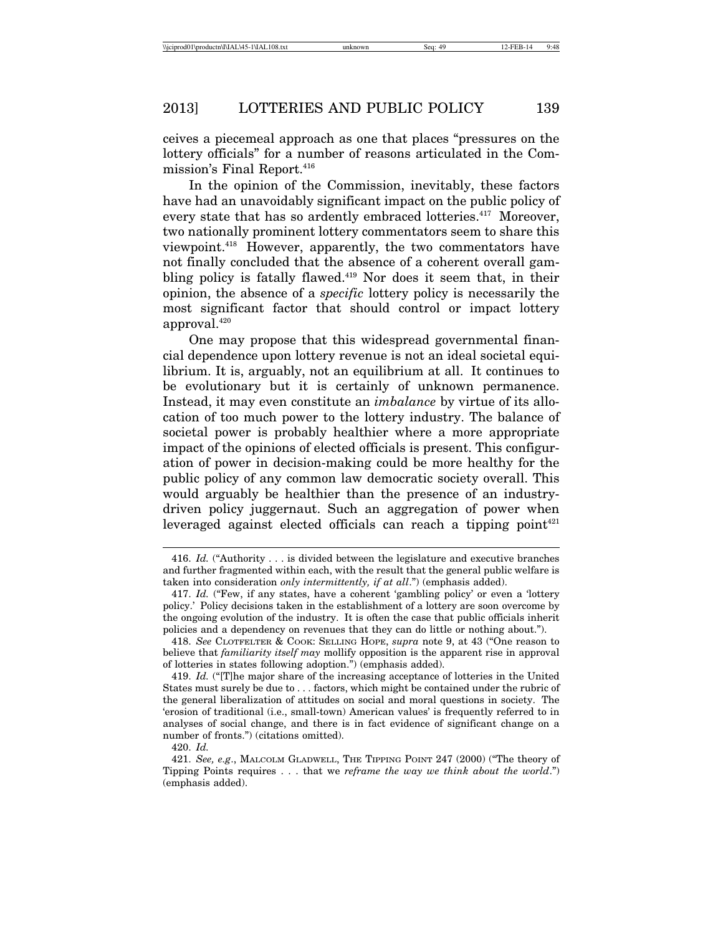ceives a piecemeal approach as one that places "pressures on the lottery officials" for a number of reasons articulated in the Commission's Final Report.<sup>416</sup>

In the opinion of the Commission, inevitably, these factors have had an unavoidably significant impact on the public policy of every state that has so ardently embraced lotteries.<sup>417</sup> Moreover, two nationally prominent lottery commentators seem to share this viewpoint.418 However, apparently, the two commentators have not finally concluded that the absence of a coherent overall gambling policy is fatally flawed.<sup>419</sup> Nor does it seem that, in their opinion, the absence of a *specific* lottery policy is necessarily the most significant factor that should control or impact lottery approval.420

One may propose that this widespread governmental financial dependence upon lottery revenue is not an ideal societal equilibrium. It is, arguably, not an equilibrium at all. It continues to be evolutionary but it is certainly of unknown permanence. Instead, it may even constitute an *imbalance* by virtue of its allocation of too much power to the lottery industry. The balance of societal power is probably healthier where a more appropriate impact of the opinions of elected officials is present. This configuration of power in decision-making could be more healthy for the public policy of any common law democratic society overall. This would arguably be healthier than the presence of an industrydriven policy juggernaut. Such an aggregation of power when leveraged against elected officials can reach a tipping point<sup>421</sup>

<sup>416.</sup> *Id.* ("Authority . . . is divided between the legislature and executive branches and further fragmented within each, with the result that the general public welfare is taken into consideration *only intermittently, if at all*.") (emphasis added).

<sup>417.</sup> *Id.* ("Few, if any states, have a coherent 'gambling policy' or even a 'lottery policy.' Policy decisions taken in the establishment of a lottery are soon overcome by the ongoing evolution of the industry. It is often the case that public officials inherit policies and a dependency on revenues that they can do little or nothing about.").

<sup>418.</sup> *See* CLOTFELTER & COOK: SELLING HOPE, *supra* note 9, at 43 ("One reason to believe that *familiarity itself may* mollify opposition is the apparent rise in approval of lotteries in states following adoption.") (emphasis added).

<sup>419.</sup> *Id.* ("[T]he major share of the increasing acceptance of lotteries in the United States must surely be due to . . . factors, which might be contained under the rubric of the general liberalization of attitudes on social and moral questions in society. The 'erosion of traditional (i.e., small-town) American values' is frequently referred to in analyses of social change, and there is in fact evidence of significant change on a number of fronts.") (citations omitted).

<sup>421.</sup> *See, e.g*., MALCOLM GLADWELL, THE TIPPING POINT 247 (2000) ("The theory of Tipping Points requires . . . that we *reframe the way we think about the world*.") (emphasis added).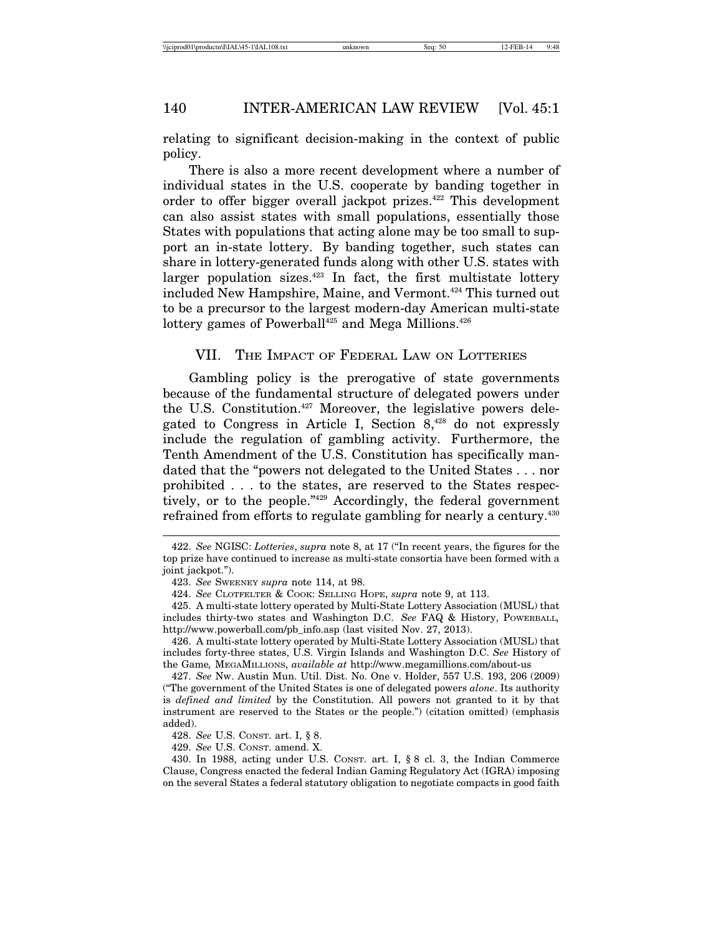relating to significant decision-making in the context of public policy.

There is also a more recent development where a number of individual states in the U.S. cooperate by banding together in order to offer bigger overall jackpot prizes.422 This development can also assist states with small populations, essentially those States with populations that acting alone may be too small to support an in-state lottery. By banding together, such states can share in lottery-generated funds along with other U.S. states with larger population sizes.423 In fact, the first multistate lottery included New Hampshire, Maine, and Vermont.<sup>424</sup> This turned out to be a precursor to the largest modern-day American multi-state lottery games of Powerball<sup>425</sup> and Mega Millions.<sup>426</sup>

## VII. THE IMPACT OF FEDERAL LAW ON LOTTERIES

Gambling policy is the prerogative of state governments because of the fundamental structure of delegated powers under the U.S. Constitution.<sup>427</sup> Moreover, the legislative powers delegated to Congress in Article I, Section  $8,428$  do not expressly include the regulation of gambling activity. Furthermore, the Tenth Amendment of the U.S. Constitution has specifically mandated that the "powers not delegated to the United States . . . nor prohibited . . . to the states, are reserved to the States respectively, or to the people."429 Accordingly, the federal government refrained from efforts to regulate gambling for nearly a century.<sup>430</sup>

426. A multi-state lottery operated by Multi-State Lottery Association (MUSL) that includes forty-three states, U.S. Virgin Islands and Washington D.C. *See* History of the Game*,* MEGAMILLIONS, *available at* http://www.megamillions.com/about-us

427. *See* Nw. Austin Mun. Util. Dist. No. One v. Holder, 557 U.S. 193, 206 (2009) ("The government of the United States is one of delegated powers *alone*. Its authority is *defined and limited* by the Constitution. All powers not granted to it by that instrument are reserved to the States or the people.") (citation omitted) (emphasis added).

429. *See* U.S. CONST. amend. X.

430. In 1988, acting under U.S. CONST. art. I, § 8 cl. 3, the Indian Commerce Clause, Congress enacted the federal Indian Gaming Regulatory Act (IGRA) imposing on the several States a federal statutory obligation to negotiate compacts in good faith

<sup>422.</sup> *See* NGISC: *Lotteries*, *supra* note 8, at 17 ("In recent years, the figures for the top prize have continued to increase as multi-state consortia have been formed with a joint jackpot.").

<sup>423.</sup> *See* SWEENEY *supra* note 114, at 98.

<sup>424.</sup> *See* CLOTFELTER & COOK: SELLING HOPE, *supra* note 9, at 113.

<sup>425.</sup> A multi-state lottery operated by Multi-State Lottery Association (MUSL) that includes thirty-two states and Washington D.C. *See* FAQ & History, POWERBALL*,* http://www.powerball.com/pb\_info.asp (last visited Nov. 27, 2013).

<sup>428.</sup> *See* U.S. CONST. art. I, § 8.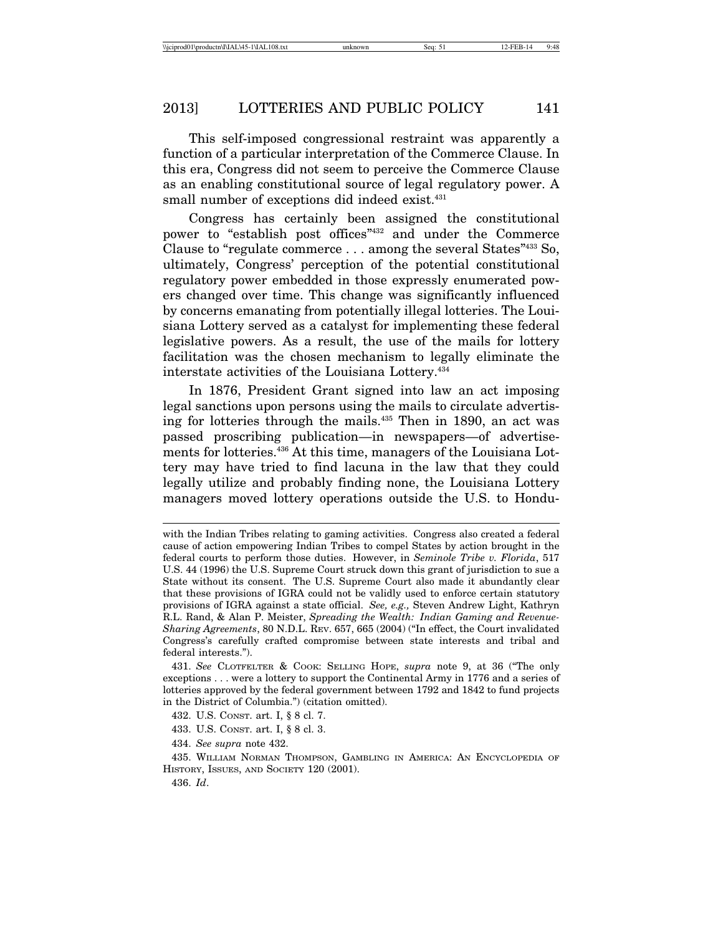This self-imposed congressional restraint was apparently a function of a particular interpretation of the Commerce Clause. In this era, Congress did not seem to perceive the Commerce Clause as an enabling constitutional source of legal regulatory power. A small number of exceptions did indeed exist.<sup>431</sup>

Congress has certainly been assigned the constitutional power to "establish post offices"432 and under the Commerce Clause to "regulate commerce . . . among the several States"433 So, ultimately, Congress' perception of the potential constitutional regulatory power embedded in those expressly enumerated powers changed over time. This change was significantly influenced by concerns emanating from potentially illegal lotteries. The Louisiana Lottery served as a catalyst for implementing these federal legislative powers. As a result, the use of the mails for lottery facilitation was the chosen mechanism to legally eliminate the interstate activities of the Louisiana Lottery.434

In 1876, President Grant signed into law an act imposing legal sanctions upon persons using the mails to circulate advertising for lotteries through the mails.<sup>435</sup> Then in 1890, an act was passed proscribing publication—in newspapers—of advertisements for lotteries.436 At this time, managers of the Louisiana Lottery may have tried to find lacuna in the law that they could legally utilize and probably finding none, the Louisiana Lottery managers moved lottery operations outside the U.S. to Hondu-

- 433. U.S. CONST. art. I, § 8 cl. 3.
- 434. *See supra* note 432.

435. WILLIAM NORMAN THOMPSON, GAMBLING IN AMERICA: AN ENCYCLOPEDIA OF HISTORY, ISSUES, AND SOCIETY 120 (2001).

with the Indian Tribes relating to gaming activities. Congress also created a federal cause of action empowering Indian Tribes to compel States by action brought in the federal courts to perform those duties. However, in *Seminole Tribe v. Florida*, 517 U.S. 44 (1996) the U.S. Supreme Court struck down this grant of jurisdiction to sue a State without its consent. The U.S. Supreme Court also made it abundantly clear that these provisions of IGRA could not be validly used to enforce certain statutory provisions of IGRA against a state official. *See, e.g.,* Steven Andrew Light, Kathryn R.L. Rand, & Alan P. Meister, *Spreading the Wealth: Indian Gaming and Revenue-Sharing Agreements*, 80 N.D.L. REV. 657, 665 (2004) ("In effect, the Court invalidated Congress's carefully crafted compromise between state interests and tribal and federal interests.").

<sup>431.</sup> *See* CLOTFELTER & COOK: SELLING HOPE, *supra* note 9, at 36 ("The only exceptions . . . were a lottery to support the Continental Army in 1776 and a series of lotteries approved by the federal government between 1792 and 1842 to fund projects in the District of Columbia.") (citation omitted).

<sup>432.</sup> U.S. CONST. art. I, § 8 cl. 7.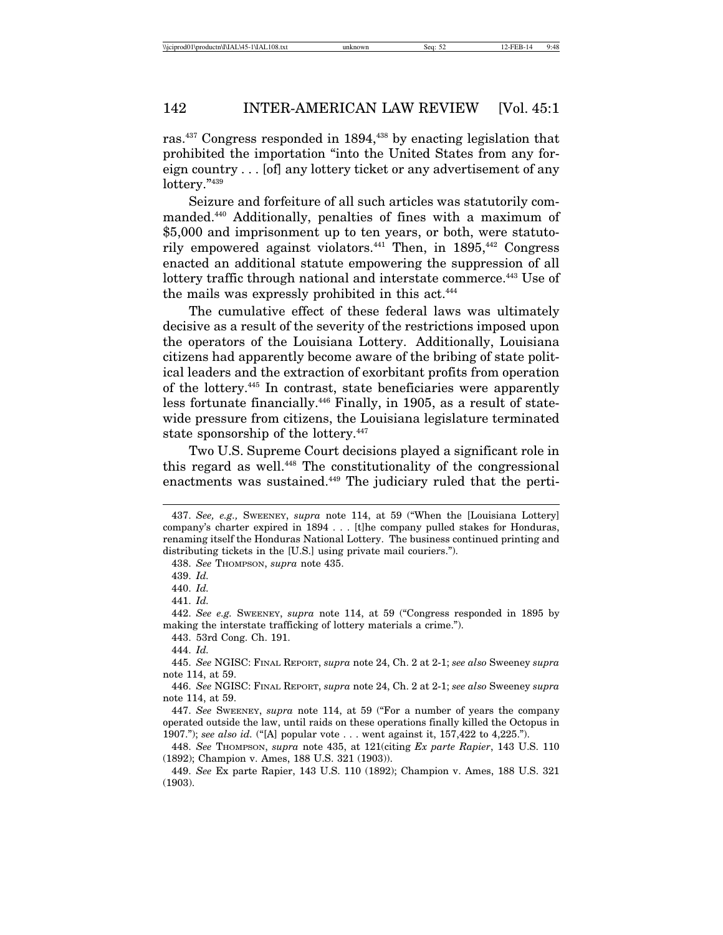ras.<sup>437</sup> Congress responded in 1894,<sup>438</sup> by enacting legislation that prohibited the importation "into the United States from any foreign country . . . [of] any lottery ticket or any advertisement of any lottery."439

Seizure and forfeiture of all such articles was statutorily commanded.440 Additionally, penalties of fines with a maximum of \$5,000 and imprisonment up to ten years, or both, were statutorily empowered against violators.<sup>441</sup> Then, in  $1895,442$  Congress enacted an additional statute empowering the suppression of all lottery traffic through national and interstate commerce.<sup>443</sup> Use of the mails was expressly prohibited in this act.<sup>444</sup>

The cumulative effect of these federal laws was ultimately decisive as a result of the severity of the restrictions imposed upon the operators of the Louisiana Lottery. Additionally, Louisiana citizens had apparently become aware of the bribing of state political leaders and the extraction of exorbitant profits from operation of the lottery.445 In contrast, state beneficiaries were apparently less fortunate financially.446 Finally, in 1905, as a result of statewide pressure from citizens, the Louisiana legislature terminated state sponsorship of the lottery.<sup>447</sup>

Two U.S. Supreme Court decisions played a significant role in this regard as well.448 The constitutionality of the congressional enactments was sustained.<sup>449</sup> The judiciary ruled that the perti-

438. *See* THOMPSON, *supra* note 435.

441. *Id.*

443. 53rd Cong. Ch. 191.

445. *See* NGISC: FINAL REPORT, *supra* note 24, Ch. 2 at 2-1; *see also* Sweeney *supra* note 114, at 59.

446. *See* NGISC: FINAL REPORT, *supra* note 24, Ch. 2 at 2-1; *see also* Sweeney *supra* note 114, at 59.

447. *See* SWEENEY, *supra* note 114, at 59 ("For a number of years the company operated outside the law, until raids on these operations finally killed the Octopus in 1907."); *see also id.* ("[A] popular vote . . . went against it, 157,422 to 4,225.").

448. *See* THOMPSON, *supra* note 435, at 121(citing *Ex parte Rapier*, 143 U.S. 110 (1892); Champion v. Ames, 188 U.S. 321 (1903)).

449. *See* Ex parte Rapier, 143 U.S. 110 (1892); Champion v. Ames, 188 U.S. 321 (1903).

<sup>437.</sup> *See, e.g.,* SWEENEY, *supra* note 114, at 59 ("When the [Louisiana Lottery] company's charter expired in 1894 . . . [t]he company pulled stakes for Honduras, renaming itself the Honduras National Lottery. The business continued printing and distributing tickets in the [U.S.] using private mail couriers.").

<sup>439.</sup> *Id.*

<sup>440.</sup> *Id.*

<sup>442.</sup> *See e.g.* SWEENEY, *supra* note 114, at 59 ("Congress responded in 1895 by making the interstate trafficking of lottery materials a crime.").

<sup>444.</sup> *Id.*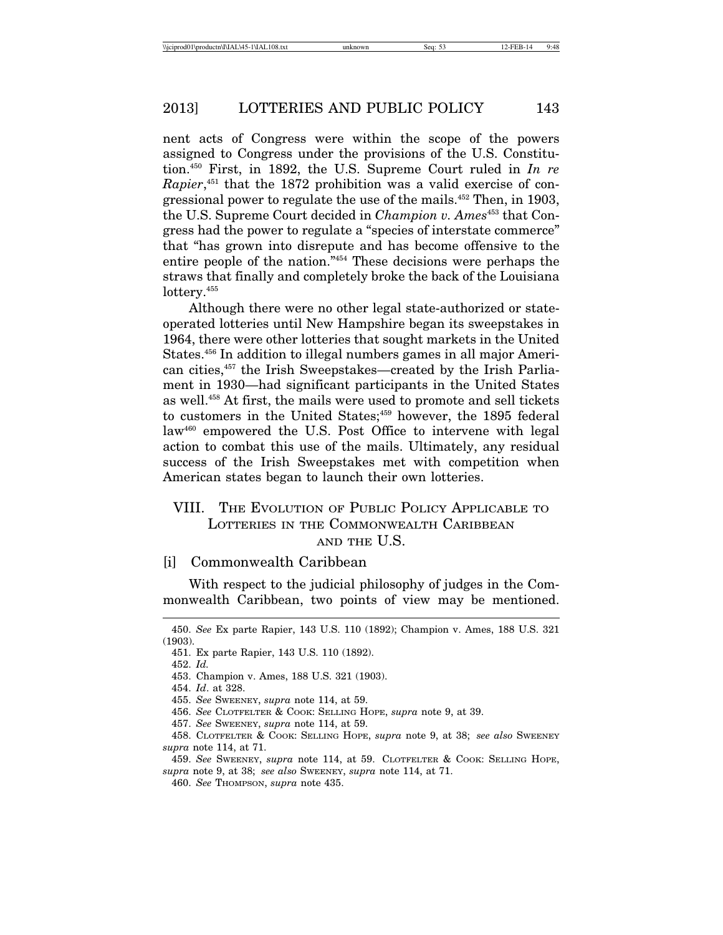nent acts of Congress were within the scope of the powers assigned to Congress under the provisions of the U.S. Constitution.450 First, in 1892, the U.S. Supreme Court ruled in *In re Rapier*, 451 that the 1872 prohibition was a valid exercise of congressional power to regulate the use of the mails.452 Then, in 1903, the U.S. Supreme Court decided in *Champion v. Ames*<sup>453</sup> that Congress had the power to regulate a "species of interstate commerce" that "has grown into disrepute and has become offensive to the entire people of the nation."454 These decisions were perhaps the straws that finally and completely broke the back of the Louisiana lottery.<sup>455</sup>

Although there were no other legal state-authorized or stateoperated lotteries until New Hampshire began its sweepstakes in 1964, there were other lotteries that sought markets in the United States.456 In addition to illegal numbers games in all major American cities,457 the Irish Sweepstakes—created by the Irish Parliament in 1930—had significant participants in the United States as well.458 At first, the mails were used to promote and sell tickets to customers in the United States;<sup>459</sup> however, the 1895 federal law<sup>460</sup> empowered the U.S. Post Office to intervene with legal action to combat this use of the mails. Ultimately, any residual success of the Irish Sweepstakes met with competition when American states began to launch their own lotteries.

## VIII. THE EVOLUTION OF PUBLIC POLICY APPLICABLE TO LOTTERIES IN THE COMMONWEALTH CARIBBEAN AND THE U.S.

#### [i] Commonwealth Caribbean

With respect to the judicial philosophy of judges in the Commonwealth Caribbean, two points of view may be mentioned.

<sup>450.</sup> *See* Ex parte Rapier, 143 U.S. 110 (1892); Champion v. Ames, 188 U.S. 321 (1903).

<sup>451.</sup> Ex parte Rapier, 143 U.S. 110 (1892).

<sup>452.</sup> *Id.*

<sup>453.</sup> Champion v. Ames, 188 U.S. 321 (1903).

<sup>454.</sup> *Id*. at 328.

<sup>455.</sup> *See* SWEENEY, *supra* note 114, at 59.

<sup>456.</sup> *See* CLOTFELTER & COOK: SELLING HOPE, *supra* note 9, at 39.

<sup>457.</sup> *See* SWEENEY, *supra* note 114, at 59.

<sup>458.</sup> CLOTFELTER & COOK: SELLING HOPE, *supra* note 9, at 38; *see also* SWEENEY *supra* note 114, at 71.

<sup>459.</sup> *See* SWEENEY, *supra* note 114, at 59. CLOTFELTER & COOK: SELLING HOPE, *supra* note 9, at 38; *see also* SWEENEY, *supra* note 114, at 71.

<sup>460.</sup> *See* THOMPSON, *supra* note 435.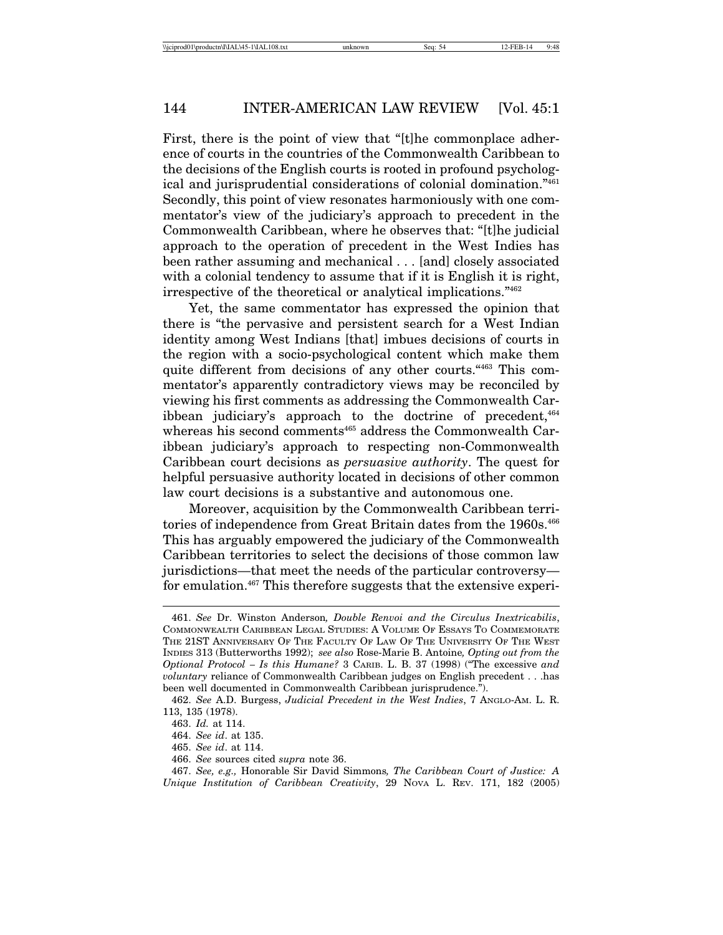First, there is the point of view that "[t]he commonplace adherence of courts in the countries of the Commonwealth Caribbean to the decisions of the English courts is rooted in profound psychological and jurisprudential considerations of colonial domination."461 Secondly, this point of view resonates harmoniously with one commentator's view of the judiciary's approach to precedent in the Commonwealth Caribbean, where he observes that: "[t]he judicial approach to the operation of precedent in the West Indies has been rather assuming and mechanical . . . [and] closely associated with a colonial tendency to assume that if it is English it is right, irrespective of the theoretical or analytical implications."462

Yet, the same commentator has expressed the opinion that there is "the pervasive and persistent search for a West Indian identity among West Indians [that] imbues decisions of courts in the region with a socio-psychological content which make them quite different from decisions of any other courts."<sup>463</sup> This commentator's apparently contradictory views may be reconciled by viewing his first comments as addressing the Commonwealth Caribbean judiciary's approach to the doctrine of precedent,  $464$ whereas his second comments<sup>465</sup> address the Commonwealth Caribbean judiciary's approach to respecting non-Commonwealth Caribbean court decisions as *persuasive authority*. The quest for helpful persuasive authority located in decisions of other common law court decisions is a substantive and autonomous one.

Moreover, acquisition by the Commonwealth Caribbean territories of independence from Great Britain dates from the 1960s.<sup>466</sup> This has arguably empowered the judiciary of the Commonwealth Caribbean territories to select the decisions of those common law jurisdictions—that meet the needs of the particular controversy for emulation.467 This therefore suggests that the extensive experi-

466. *See* sources cited *supra* note 36.

<sup>461.</sup> *See* Dr. Winston Anderson*, Double Renvoi and the Circulus Inextricabilis*, COMMONWEALTH CARIBBEAN LEGAL STUDIES: A VOLUME OF ESSAYS TO COMMEMORATE THE 21ST ANNIVERSARY OF THE FACULTY OF LAW OF THE UNIVERSITY OF THE WEST INDIES 313 (Butterworths 1992); *see also* Rose-Marie B. Antoine*, Opting out from the Optional Protocol – Is this Humane?* 3 CARIB. L. B. 37 (1998) ("The excessive *and voluntary* reliance of Commonwealth Caribbean judges on English precedent . . .has been well documented in Commonwealth Caribbean jurisprudence.").

<sup>462.</sup> *See* A.D. Burgess, *Judicial Precedent in the West Indies*, 7 ANGLO-AM. L. R. 113, 135 (1978).

<sup>463.</sup> *Id.* at 114.

<sup>464.</sup> *See id*. at 135.

<sup>465.</sup> *See id*. at 114.

<sup>467.</sup> *See, e.g.,* Honorable Sir David Simmons*, The Caribbean Court of Justice: A Unique Institution of Caribbean Creativity*, 29 NOVA L. REV. 171, 182 (2005)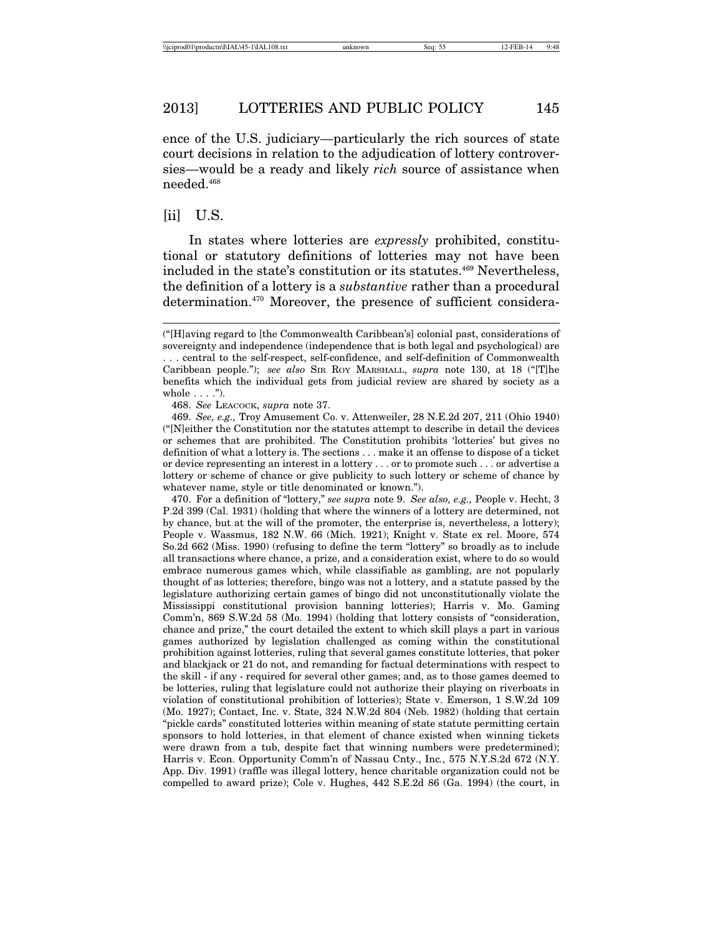ence of the U.S. judiciary—particularly the rich sources of state court decisions in relation to the adjudication of lottery controversies—would be a ready and likely *rich* source of assistance when needed.468

## [ii] U.S.

In states where lotteries are *expressly* prohibited, constitutional or statutory definitions of lotteries may not have been included in the state's constitution or its statutes.<sup>469</sup> Nevertheless, the definition of a lottery is a *substantive* rather than a procedural determination.470 Moreover, the presence of sufficient considera-

470. For a definition of "lottery," *see supra* note 9. *See also, e.g.,* People v. Hecht, 3 P.2d 399 (Cal. 1931) (holding that where the winners of a lottery are determined, not by chance, but at the will of the promoter, the enterprise is, nevertheless, a lottery); People v. Wassmus, 182 N.W. 66 (Mich. 1921); Knight v. State ex rel. Moore, 574 So.2d 662 (Miss. 1990) (refusing to define the term "lottery" so broadly as to include all transactions where chance, a prize, and a consideration exist, where to do so would embrace numerous games which, while classifiable as gambling, are not popularly thought of as lotteries; therefore, bingo was not a lottery, and a statute passed by the legislature authorizing certain games of bingo did not unconstitutionally violate the Mississippi constitutional provision banning lotteries); Harris v. Mo. Gaming Comm'n, 869 S.W.2d 58 (Mo. 1994) (holding that lottery consists of "consideration, chance and prize," the court detailed the extent to which skill plays a part in various games authorized by legislation challenged as coming within the constitutional prohibition against lotteries, ruling that several games constitute lotteries, that poker and blackjack or 21 do not, and remanding for factual determinations with respect to the skill - if any - required for several other games; and, as to those games deemed to be lotteries, ruling that legislature could not authorize their playing on riverboats in violation of constitutional prohibition of lotteries); State v. Emerson, 1 S.W.2d 109 (Mo. 1927); Contact, Inc. v. State, 324 N.W.2d 804 (Neb. 1982) (holding that certain "pickle cards" constituted lotteries within meaning of state statute permitting certain sponsors to hold lotteries, in that element of chance existed when winning tickets were drawn from a tub, despite fact that winning numbers were predetermined); Harris v. Econ. Opportunity Comm'n of Nassau Cnty., Inc*.*, 575 N.Y.S.2d 672 (N.Y. App. Div. 1991) (raffle was illegal lottery, hence charitable organization could not be compelled to award prize); Cole v. Hughes, 442 S.E.2d 86 (Ga. 1994) (the court, in

<sup>(&</sup>quot;[H]aving regard to [the Commonwealth Caribbean's] colonial past, considerations of sovereignty and independence (independence that is both legal and psychological) are

<sup>. . .</sup> central to the self-respect, self-confidence, and self-definition of Commonwealth Caribbean people."); *see also* SIR ROY MARSHALL, *supra* note 130, at 18 ("[T]he benefits which the individual gets from judicial review are shared by society as a whole  $\dots$ .").

<sup>468.</sup> *See* LEACOCK, *supra* note 37.

<sup>469.</sup> *See, e.g.,* Troy Amusement Co. v. Attenweiler, 28 N.E.2d 207, 211 (Ohio 1940) ("[N]either the Constitution nor the statutes attempt to describe in detail the devices or schemes that are prohibited. The Constitution prohibits 'lotteries' but gives no definition of what a lottery is. The sections . . . make it an offense to dispose of a ticket or device representing an interest in a lottery . . . or to promote such . . . or advertise a lottery or scheme of chance or give publicity to such lottery or scheme of chance by whatever name, style or title denominated or known.").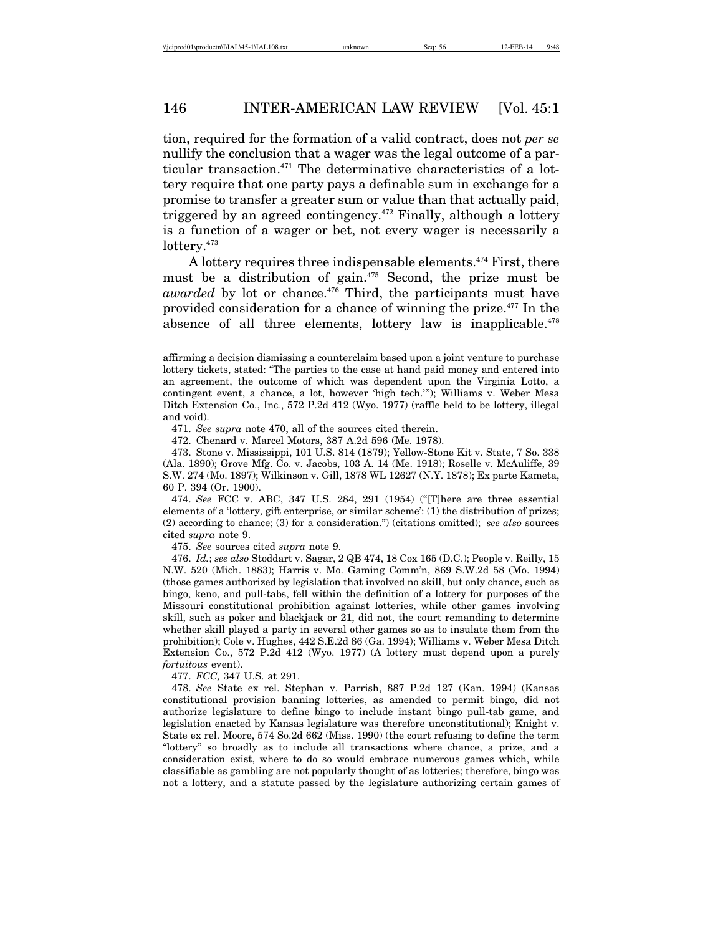tion, required for the formation of a valid contract, does not *per se* nullify the conclusion that a wager was the legal outcome of a particular transaction.<sup>471</sup> The determinative characteristics of a lottery require that one party pays a definable sum in exchange for a promise to transfer a greater sum or value than that actually paid, triggered by an agreed contingency.472 Finally, although a lottery is a function of a wager or bet, not every wager is necessarily a lottery.<sup>473</sup>

A lottery requires three indispensable elements.<sup>474</sup> First, there must be a distribution of gain.<sup>475</sup> Second, the prize must be *awarded* by lot or chance.<sup>476</sup> Third, the participants must have provided consideration for a chance of winning the prize.477 In the absence of all three elements, lottery law is inapplicable.<sup>478</sup>

471. *See supra* note 470, all of the sources cited therein.

472. Chenard v. Marcel Motors, 387 A.2d 596 (Me. 1978).

474. *See* FCC v. ABC, 347 U.S. 284, 291 (1954) ("[T]here are three essential elements of a 'lottery, gift enterprise, or similar scheme': (1) the distribution of prizes; (2) according to chance; (3) for a consideration.") (citations omitted); *see also* sources cited *supra* note 9.

475. *See* sources cited *supra* note 9.

476. *Id.*; *see also* Stoddart v. Sagar, 2 QB 474, 18 Cox 165 (D.C.); People v. Reilly, 15 N.W. 520 (Mich. 1883); Harris v. Mo. Gaming Comm'n, 869 S.W.2d 58 (Mo. 1994) (those games authorized by legislation that involved no skill, but only chance, such as bingo, keno, and pull-tabs, fell within the definition of a lottery for purposes of the Missouri constitutional prohibition against lotteries, while other games involving skill, such as poker and blackjack or 21, did not, the court remanding to determine whether skill played a party in several other games so as to insulate them from the prohibition); Cole v. Hughes, 442 S.E.2d 86 (Ga. 1994); Williams v. Weber Mesa Ditch Extension Co., 572 P.2d 412 (Wyo. 1977) (A lottery must depend upon a purely *fortuitous* event).

477. *FCC,* 347 U.S. at 291.

478. *See* State ex rel. Stephan v. Parrish, 887 P.2d 127 (Kan. 1994) (Kansas constitutional provision banning lotteries, as amended to permit bingo, did not authorize legislature to define bingo to include instant bingo pull-tab game, and legislation enacted by Kansas legislature was therefore unconstitutional); Knight v. State ex rel. Moore, 574 So.2d 662 (Miss. 1990) (the court refusing to define the term "lottery" so broadly as to include all transactions where chance, a prize, and a consideration exist, where to do so would embrace numerous games which, while classifiable as gambling are not popularly thought of as lotteries; therefore, bingo was not a lottery, and a statute passed by the legislature authorizing certain games of

affirming a decision dismissing a counterclaim based upon a joint venture to purchase lottery tickets, stated: "The parties to the case at hand paid money and entered into an agreement, the outcome of which was dependent upon the Virginia Lotto, a contingent event, a chance, a lot, however 'high tech.'"); Williams v. Weber Mesa Ditch Extension Co., Inc*.*, 572 P.2d 412 (Wyo. 1977) (raffle held to be lottery, illegal and void).

<sup>473.</sup> Stone v. Mississippi, 101 U.S. 814 (1879); Yellow-Stone Kit v. State, 7 So. 338 (Ala. 1890); Grove Mfg. Co. v. Jacobs, 103 A. 14 (Me. 1918); Roselle v. McAuliffe, 39 S.W. 274 (Mo. 1897); Wilkinson v. Gill, 1878 WL 12627 (N.Y. 1878); Ex parte Kameta, 60 P. 394 (Or. 1900).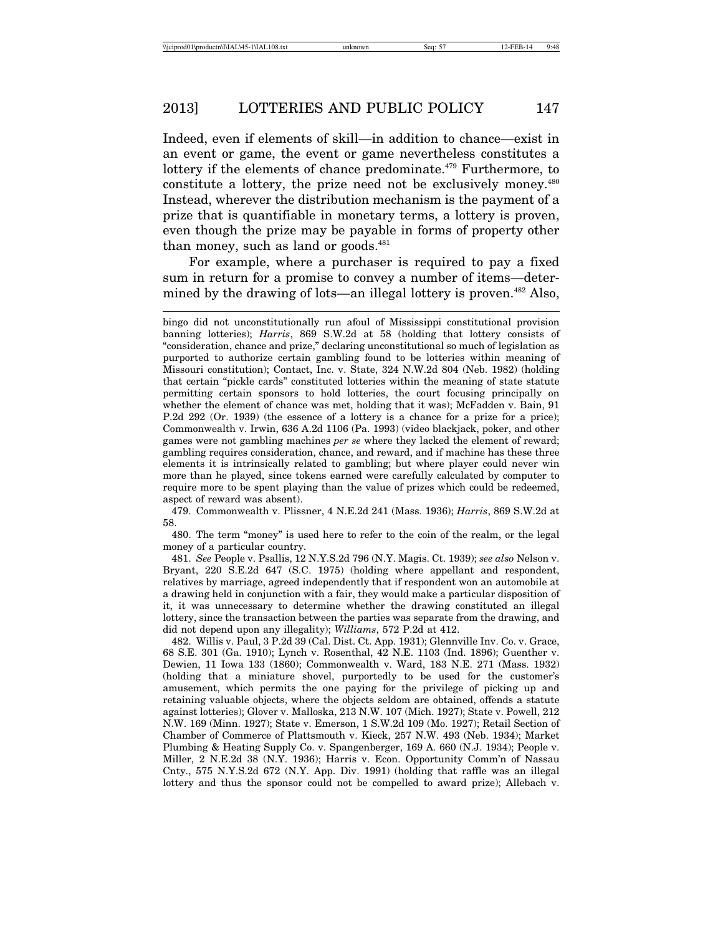Indeed, even if elements of skill—in addition to chance—exist in an event or game, the event or game nevertheless constitutes a lottery if the elements of chance predominate.<sup>479</sup> Furthermore, to constitute a lottery, the prize need not be exclusively money.480 Instead, wherever the distribution mechanism is the payment of a prize that is quantifiable in monetary terms, a lottery is proven, even though the prize may be payable in forms of property other than money, such as land or goods.<sup>481</sup>

For example, where a purchaser is required to pay a fixed sum in return for a promise to convey a number of items—determined by the drawing of lots—an illegal lottery is proven.<sup>482</sup> Also,

479. Commonwealth v. Plissner, 4 N.E.2d 241 (Mass. 1936); *Harris*, 869 S.W.2d at 58.

480. The term "money" is used here to refer to the coin of the realm, or the legal money of a particular country.

481. *See* People v. Psallis, 12 N.Y.S.2d 796 (N.Y. Magis. Ct. 1939); *see also* Nelson v. Bryant, 220 S.E.2d 647 (S.C. 1975) (holding where appellant and respondent, relatives by marriage, agreed independently that if respondent won an automobile at a drawing held in conjunction with a fair, they would make a particular disposition of it, it was unnecessary to determine whether the drawing constituted an illegal lottery, since the transaction between the parties was separate from the drawing, and did not depend upon any illegality); *Williams*, 572 P.2d at 412.

482. Willis v. Paul, 3 P.2d 39 (Cal. Dist. Ct. App. 1931); Glennville Inv. Co. v. Grace, 68 S.E. 301 (Ga. 1910); Lynch v. Rosenthal, 42 N.E. 1103 (Ind. 1896); Guenther v. Dewien, 11 Iowa 133 (1860); Commonwealth v. Ward, 183 N.E. 271 (Mass. 1932) (holding that a miniature shovel, purportedly to be used for the customer's amusement, which permits the one paying for the privilege of picking up and retaining valuable objects, where the objects seldom are obtained, offends a statute against lotteries); Glover v. Malloska, 213 N.W. 107 (Mich. 1927); State v. Powell, 212 N.W. 169 (Minn. 1927); State v. Emerson, 1 S.W.2d 109 (Mo. 1927); Retail Section of Chamber of Commerce of Plattsmouth v. Kieck, 257 N.W. 493 (Neb. 1934); Market Plumbing & Heating Supply Co. v. Spangenberger, 169 A. 660 (N.J. 1934); People v. Miller, 2 N.E.2d 38 (N.Y. 1936); Harris v. Econ. Opportunity Comm'n of Nassau Cnty., 575 N.Y.S.2d 672 (N.Y. App. Div. 1991) (holding that raffle was an illegal lottery and thus the sponsor could not be compelled to award prize); Allebach v.

bingo did not unconstitutionally run afoul of Mississippi constitutional provision banning lotteries); *Harris*, 869 S.W.2d at 58 (holding that lottery consists of "consideration, chance and prize," declaring unconstitutional so much of legislation as purported to authorize certain gambling found to be lotteries within meaning of Missouri constitution); Contact, Inc. v. State, 324 N.W.2d 804 (Neb. 1982) (holding that certain "pickle cards" constituted lotteries within the meaning of state statute permitting certain sponsors to hold lotteries, the court focusing principally on whether the element of chance was met, holding that it was); McFadden v. Bain, 91 P.2d 292 (Or. 1939) (the essence of a lottery is a chance for a prize for a price); Commonwealth v. Irwin, 636 A.2d 1106 (Pa. 1993) (video blackjack, poker, and other games were not gambling machines *per se* where they lacked the element of reward; gambling requires consideration, chance, and reward, and if machine has these three elements it is intrinsically related to gambling; but where player could never win more than he played, since tokens earned were carefully calculated by computer to require more to be spent playing than the value of prizes which could be redeemed, aspect of reward was absent).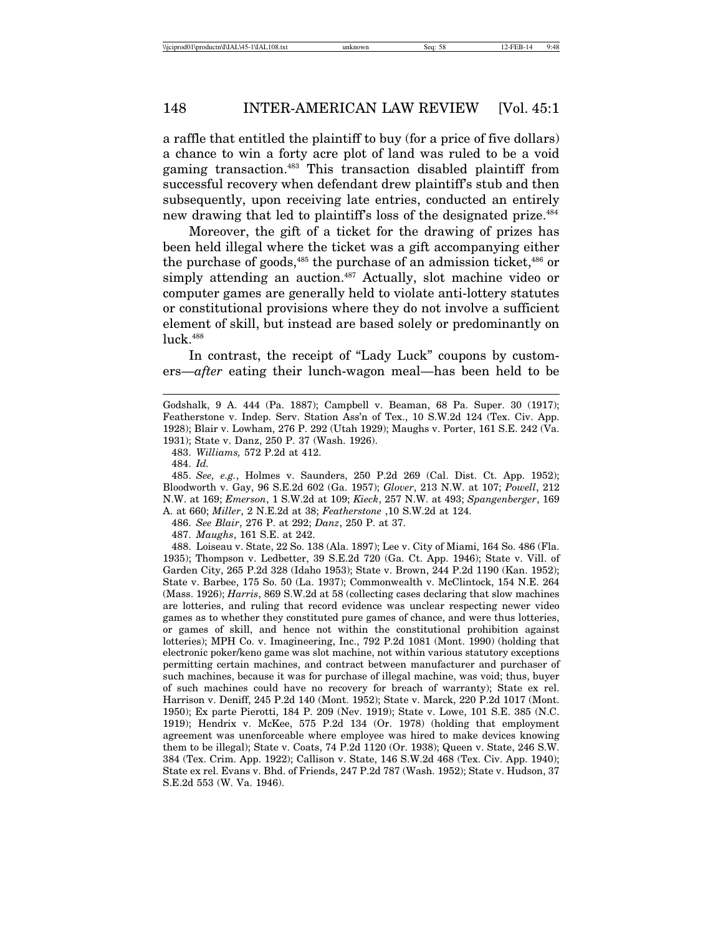a raffle that entitled the plaintiff to buy (for a price of five dollars) a chance to win a forty acre plot of land was ruled to be a void gaming transaction.483 This transaction disabled plaintiff from successful recovery when defendant drew plaintiff's stub and then subsequently, upon receiving late entries, conducted an entirely new drawing that led to plaintiff's loss of the designated prize.<sup>484</sup>

Moreover, the gift of a ticket for the drawing of prizes has been held illegal where the ticket was a gift accompanying either the purchase of goods,<sup>485</sup> the purchase of an admission ticket,<sup>486</sup> or simply attending an auction.<sup>487</sup> Actually, slot machine video or computer games are generally held to violate anti-lottery statutes or constitutional provisions where they do not involve a sufficient element of skill, but instead are based solely or predominantly on luck.488

In contrast, the receipt of "Lady Luck" coupons by customers—*after* eating their lunch-wagon meal—has been held to be

483. *Williams,* 572 P.2d at 412.

484. *Id.*

485. *See, e.g.*, Holmes v. Saunders, 250 P.2d 269 (Cal. Dist. Ct. App. 1952); Bloodworth v. Gay, 96 S.E.2d 602 (Ga. 1957); *Glover*, 213 N.W. at 107; *Powell*, 212 N.W. at 169; *Emerson*, 1 S.W.2d at 109; *Kieck*, 257 N.W. at 493; *Spangenberger*, 169 A. at 660; *Miller*, 2 N.E.2d at 38; *Featherstone* ,10 S.W.2d at 124.

486. *See Blair*, 276 P. at 292; *Danz*, 250 P. at 37.

487. *Maughs*, 161 S.E. at 242.

488. Loiseau v. State, 22 So. 138 (Ala. 1897); Lee v. City of Miami, 164 So. 486 (Fla. 1935); Thompson v. Ledbetter, 39 S.E.2d 720 (Ga. Ct. App. 1946); State v. Vill. of Garden City, 265 P.2d 328 (Idaho 1953); State v. Brown, 244 P.2d 1190 (Kan. 1952); State v. Barbee, 175 So. 50 (La. 1937); Commonwealth v. McClintock, 154 N.E. 264 (Mass. 1926); *Harris*, 869 S.W.2d at 58 (collecting cases declaring that slow machines are lotteries, and ruling that record evidence was unclear respecting newer video games as to whether they constituted pure games of chance, and were thus lotteries, or games of skill, and hence not within the constitutional prohibition against lotteries); MPH Co. v. Imagineering, Inc., 792 P.2d 1081 (Mont. 1990) (holding that electronic poker/keno game was slot machine, not within various statutory exceptions permitting certain machines, and contract between manufacturer and purchaser of such machines, because it was for purchase of illegal machine, was void; thus, buyer of such machines could have no recovery for breach of warranty); State ex rel. Harrison v. Deniff, 245 P.2d 140 (Mont. 1952); State v. Marck, 220 P.2d 1017 (Mont. 1950); Ex parte Pierotti, 184 P. 209 (Nev. 1919); State v. Lowe, 101 S.E. 385 (N.C. 1919); Hendrix v. McKee, 575 P.2d 134 (Or. 1978) (holding that employment agreement was unenforceable where employee was hired to make devices knowing them to be illegal); State v. Coats, 74 P.2d 1120 (Or. 1938); Queen v. State, 246 S.W. 384 (Tex. Crim. App. 1922); Callison v. State, 146 S.W.2d 468 (Tex. Civ. App. 1940); State ex rel. Evans v. Bhd. of Friends, 247 P.2d 787 (Wash. 1952); State v. Hudson, 37 S.E.2d 553 (W. Va. 1946).

Godshalk, 9 A. 444 (Pa. 1887); Campbell v. Beaman, 68 Pa. Super. 30 (1917); Featherstone v. Indep. Serv. Station Ass'n of Tex., 10 S.W.2d 124 (Tex. Civ. App. 1928); Blair v. Lowham, 276 P. 292 (Utah 1929); Maughs v. Porter, 161 S.E. 242 (Va. 1931); State v. Danz, 250 P. 37 (Wash. 1926).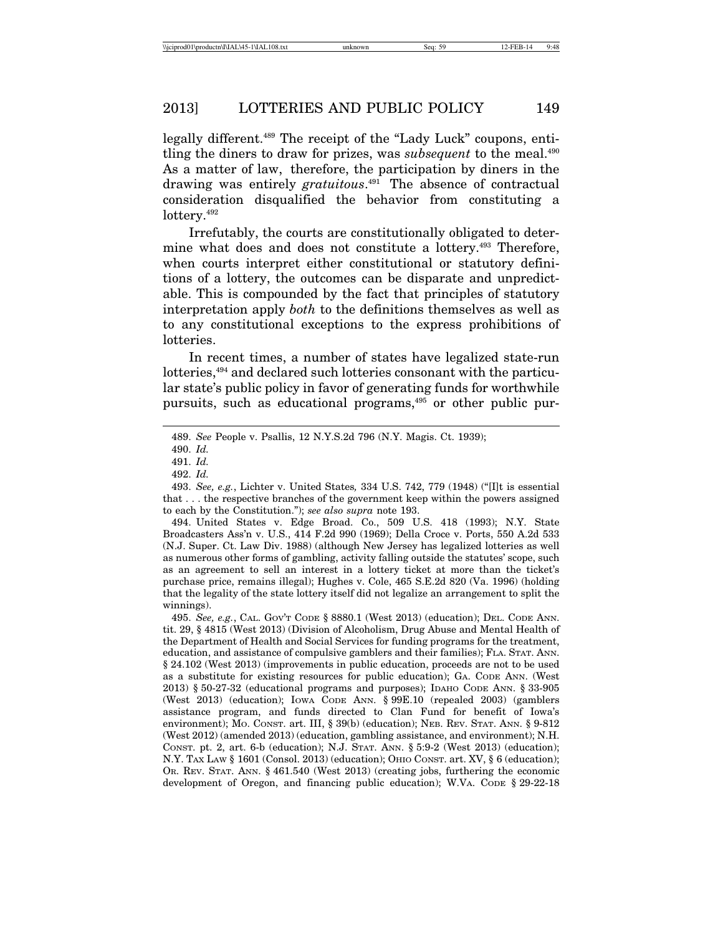legally different.<sup>489</sup> The receipt of the "Lady Luck" coupons, entitling the diners to draw for prizes, was *subsequent* to the meal.<sup>490</sup> As a matter of law, therefore, the participation by diners in the drawing was entirely *gratuitous*. 491 The absence of contractual consideration disqualified the behavior from constituting a lottery.<sup>492</sup>

Irrefutably, the courts are constitutionally obligated to determine what does and does not constitute a lottery.493 Therefore, when courts interpret either constitutional or statutory definitions of a lottery, the outcomes can be disparate and unpredictable. This is compounded by the fact that principles of statutory interpretation apply *both* to the definitions themselves as well as to any constitutional exceptions to the express prohibitions of lotteries.

In recent times, a number of states have legalized state-run lotteries,<sup>494</sup> and declared such lotteries consonant with the particular state's public policy in favor of generating funds for worthwhile pursuits, such as educational programs,<sup>495</sup> or other public pur-

495. *See, e.g.*, CAL. GOV'T CODE § 8880.1 (West 2013) (education); DEL. CODE ANN. tit. 29, § 4815 (West 2013) (Division of Alcoholism, Drug Abuse and Mental Health of the Department of Health and Social Services for funding programs for the treatment, education, and assistance of compulsive gamblers and their families); FLA. STAT. ANN. § 24.102 (West 2013) (improvements in public education, proceeds are not to be used as a substitute for existing resources for public education); GA. CODE ANN. (West 2013) § 50-27-32 (educational programs and purposes); IDAHO CODE ANN. § 33-905 (West 2013) (education); IOWA CODE ANN. § 99E.10 (repealed 2003) (gamblers assistance program, and funds directed to Clan Fund for benefit of Iowa's environment); MO. CONST. art. III, § 39(b) (education); NEB. REV. STAT. ANN. § 9-812 (West 2012) (amended 2013) (education, gambling assistance, and environment); N.H. CONST. pt. 2, art. 6-b (education); N.J. STAT. ANN. § 5:9-2 (West 2013) (education); N.Y. TAX LAW § 1601 (Consol. 2013) (education); OHIO CONST. art. XV, § 6 (education); OR. REV. STAT. ANN. § 461.540 (West 2013) (creating jobs, furthering the economic development of Oregon, and financing public education); W.VA. CODE § 29-22-18

<sup>489.</sup> *See* People v. Psallis, 12 N.Y.S.2d 796 (N.Y. Magis. Ct. 1939);

<sup>490.</sup> *Id.*

<sup>491.</sup> *Id.*

<sup>492.</sup> *Id.*

<sup>493.</sup> *See, e.g.*, Lichter v. United States*,* 334 U.S. 742, 779 (1948) ("[I]t is essential that . . . the respective branches of the government keep within the powers assigned to each by the Constitution."); *see also supra* note 193.

<sup>494.</sup> United States v. Edge Broad. Co., 509 U.S. 418 (1993); N.Y. State Broadcasters Ass'n v. U.S., 414 F.2d 990 (1969); Della Croce v. Ports, 550 A.2d 533 (N.J. Super. Ct. Law Div. 1988) (although New Jersey has legalized lotteries as well as numerous other forms of gambling, activity falling outside the statutes' scope, such as an agreement to sell an interest in a lottery ticket at more than the ticket's purchase price, remains illegal); Hughes v. Cole, 465 S.E.2d 820 (Va. 1996) (holding that the legality of the state lottery itself did not legalize an arrangement to split the winnings).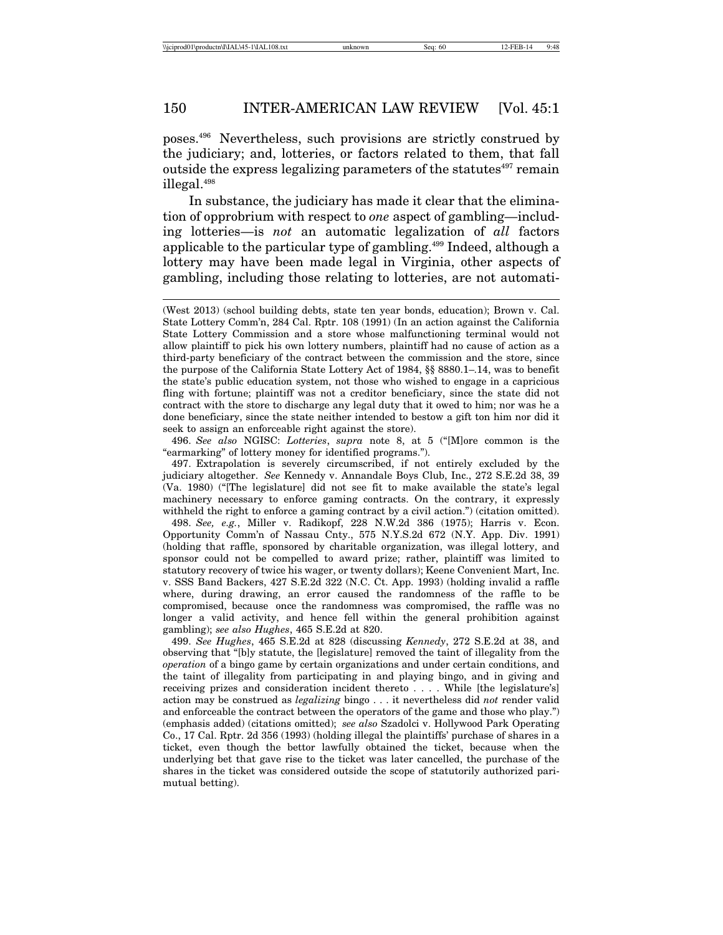poses.496 Nevertheless, such provisions are strictly construed by the judiciary; and, lotteries, or factors related to them, that fall outside the express legalizing parameters of the statutes $497$  remain illegal.498

In substance, the judiciary has made it clear that the elimination of opprobrium with respect to *one* aspect of gambling—including lotteries—is *not* an automatic legalization of *all* factors applicable to the particular type of gambling.499 Indeed, although a lottery may have been made legal in Virginia, other aspects of gambling, including those relating to lotteries, are not automati-

496. *See also* NGISC: *Lotteries*, *supra* note 8, at 5 ("[M]ore common is the "earmarking" of lottery money for identified programs.").

498. *See, e.g.*, Miller v. Radikopf, 228 N.W.2d 386 (1975); Harris v. Econ. Opportunity Comm'n of Nassau Cnty., 575 N.Y.S.2d 672 (N.Y. App. Div. 1991) (holding that raffle, sponsored by charitable organization, was illegal lottery, and sponsor could not be compelled to award prize; rather, plaintiff was limited to statutory recovery of twice his wager, or twenty dollars); Keene Convenient Mart, Inc. v. SSS Band Backers, 427 S.E.2d 322 (N.C. Ct. App. 1993) (holding invalid a raffle where, during drawing, an error caused the randomness of the raffle to be compromised, because once the randomness was compromised, the raffle was no longer a valid activity, and hence fell within the general prohibition against gambling); *see also Hughes*, 465 S.E.2d at 820.

499. *See Hughes*, 465 S.E.2d at 828 (discussing *Kennedy*, 272 S.E.2d at 38, and observing that "[b]y statute, the [legislature] removed the taint of illegality from the *operation* of a bingo game by certain organizations and under certain conditions, and the taint of illegality from participating in and playing bingo, and in giving and receiving prizes and consideration incident thereto . . . . While [the legislature's] action may be construed as *legalizing* bingo . . . it nevertheless did *not* render valid and enforceable the contract between the operators of the game and those who play.") (emphasis added) (citations omitted); *see also* Szadolci v. Hollywood Park Operating Co., 17 Cal. Rptr. 2d 356 (1993) (holding illegal the plaintiffs' purchase of shares in a ticket, even though the bettor lawfully obtained the ticket, because when the underlying bet that gave rise to the ticket was later cancelled, the purchase of the shares in the ticket was considered outside the scope of statutorily authorized parimutual betting).

<sup>(</sup>West 2013) (school building debts, state ten year bonds, education); Brown v. Cal. State Lottery Comm'n, 284 Cal. Rptr. 108 (1991) (In an action against the California State Lottery Commission and a store whose malfunctioning terminal would not allow plaintiff to pick his own lottery numbers, plaintiff had no cause of action as a third-party beneficiary of the contract between the commission and the store, since the purpose of the California State Lottery Act of 1984, §§ 8880.1–.14, was to benefit the state's public education system, not those who wished to engage in a capricious fling with fortune; plaintiff was not a creditor beneficiary, since the state did not contract with the store to discharge any legal duty that it owed to him; nor was he a done beneficiary, since the state neither intended to bestow a gift ton him nor did it seek to assign an enforceable right against the store).

<sup>497.</sup> Extrapolation is severely circumscribed, if not entirely excluded by the judiciary altogether. *See* Kennedy v. Annandale Boys Club, Inc., 272 S.E.2d 38, 39 (Va. 1980) ("[The legislature] did not see fit to make available the state's legal machinery necessary to enforce gaming contracts. On the contrary, it expressly withheld the right to enforce a gaming contract by a civil action.") (citation omitted).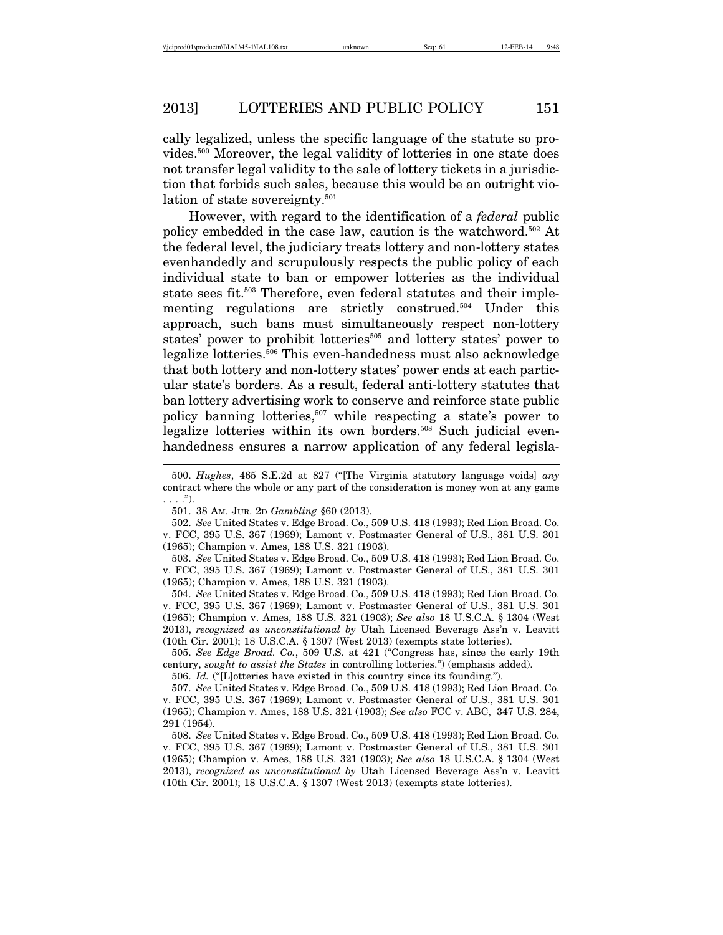cally legalized, unless the specific language of the statute so provides.500 Moreover, the legal validity of lotteries in one state does not transfer legal validity to the sale of lottery tickets in a jurisdiction that forbids such sales, because this would be an outright violation of state sovereignty.<sup>501</sup>

However, with regard to the identification of a *federal* public policy embedded in the case law, caution is the watchword.502 At the federal level, the judiciary treats lottery and non-lottery states evenhandedly and scrupulously respects the public policy of each individual state to ban or empower lotteries as the individual state sees fit.<sup>503</sup> Therefore, even federal statutes and their implementing regulations are strictly construed.<sup>504</sup> Under this approach, such bans must simultaneously respect non-lottery states' power to prohibit lotteries<sup>505</sup> and lottery states' power to legalize lotteries.506 This even-handedness must also acknowledge that both lottery and non-lottery states' power ends at each particular state's borders. As a result, federal anti-lottery statutes that ban lottery advertising work to conserve and reinforce state public policy banning lotteries,507 while respecting a state's power to legalize lotteries within its own borders.<sup>508</sup> Such judicial evenhandedness ensures a narrow application of any federal legisla-

502. *See* United States v. Edge Broad. Co., 509 U.S. 418 (1993); Red Lion Broad. Co. v. FCC, 395 U.S. 367 (1969); Lamont v. Postmaster General of U.S., 381 U.S. 301 (1965); Champion v. Ames, 188 U.S. 321 (1903).

503. *See* United States v. Edge Broad. Co., 509 U.S. 418 (1993); Red Lion Broad. Co. v. FCC, 395 U.S. 367 (1969); Lamont v. Postmaster General of U.S., 381 U.S. 301 (1965); Champion v. Ames, 188 U.S. 321 (1903).

504. *See* United States v. Edge Broad. Co., 509 U.S. 418 (1993); Red Lion Broad. Co. v. FCC, 395 U.S. 367 (1969); Lamont v. Postmaster General of U.S., 381 U.S. 301 (1965); Champion v. Ames, 188 U.S. 321 (1903); *See also* 18 U.S.C.A. § 1304 (West 2013), *recognized as unconstitutional by* Utah Licensed Beverage Ass'n v. Leavitt (10th Cir. 2001); 18 U.S.C.A. § 1307 (West 2013) (exempts state lotteries).

505. *See Edge Broad. Co.*, 509 U.S. at 421 ("Congress has, since the early 19th century, *sought to assist the States* in controlling lotteries.") (emphasis added).

506. *Id.* ("[L]otteries have existed in this country since its founding.").

507. *See* United States v. Edge Broad. Co., 509 U.S. 418 (1993); Red Lion Broad. Co. v. FCC, 395 U.S. 367 (1969); Lamont v. Postmaster General of U.S., 381 U.S. 301 (1965); Champion v. Ames, 188 U.S. 321 (1903); *See also* FCC v. ABC, 347 U.S. 284, 291 (1954).

508. *See* United States v. Edge Broad. Co., 509 U.S. 418 (1993); Red Lion Broad. Co. v. FCC, 395 U.S. 367 (1969); Lamont v. Postmaster General of U.S., 381 U.S. 301 (1965); Champion v. Ames, 188 U.S. 321 (1903); *See also* 18 U.S.C.A. § 1304 (West 2013), *recognized as unconstitutional by* Utah Licensed Beverage Ass'n v. Leavitt (10th Cir. 2001); 18 U.S.C.A. § 1307 (West 2013) (exempts state lotteries).

<sup>500.</sup> *Hughes*, 465 S.E.2d at 827 ("[The Virginia statutory language voids] *any* contract where the whole or any part of the consideration is money won at any game . . . .").

<sup>501. 38</sup> AM. JUR. 2D *Gambling* §60 (2013).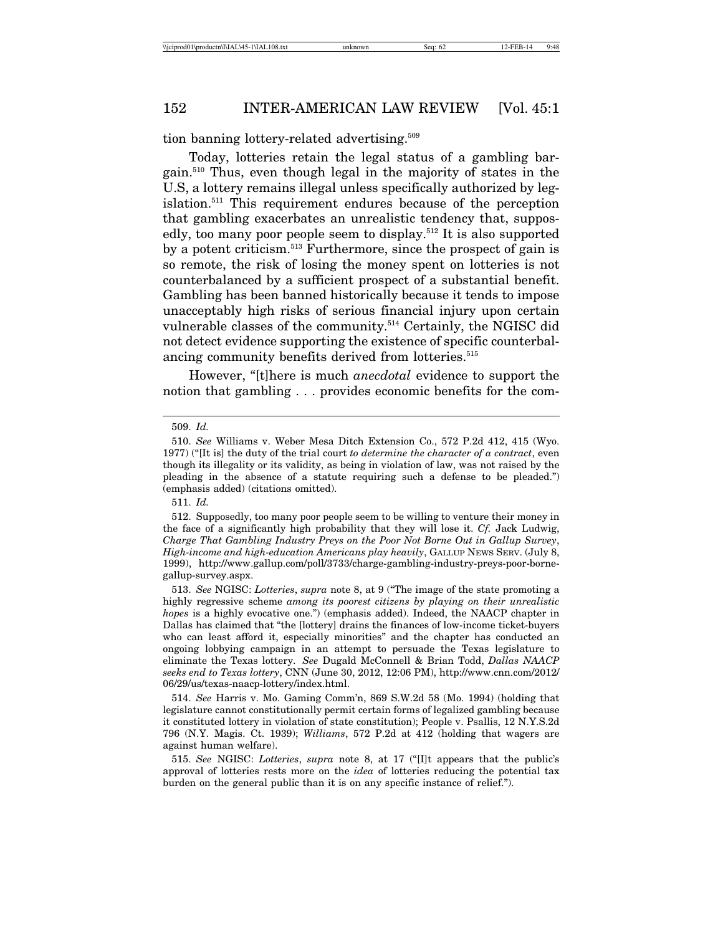tion banning lottery-related advertising.<sup>509</sup>

Today, lotteries retain the legal status of a gambling bargain.510 Thus, even though legal in the majority of states in the U.S, a lottery remains illegal unless specifically authorized by legislation.511 This requirement endures because of the perception that gambling exacerbates an unrealistic tendency that, supposedly, too many poor people seem to display.512 It is also supported by a potent criticism.513 Furthermore, since the prospect of gain is so remote, the risk of losing the money spent on lotteries is not counterbalanced by a sufficient prospect of a substantial benefit. Gambling has been banned historically because it tends to impose unacceptably high risks of serious financial injury upon certain vulnerable classes of the community.514 Certainly, the NGISC did not detect evidence supporting the existence of specific counterbalancing community benefits derived from lotteries.<sup>515</sup>

However, "[t]here is much *anecdotal* evidence to support the notion that gambling . . . provides economic benefits for the com-

<sup>509.</sup> *Id.*

<sup>510.</sup> *See* Williams v. Weber Mesa Ditch Extension Co., 572 P.2d 412, 415 (Wyo. 1977) ("[It is] the duty of the trial court *to determine the character of a contract*, even though its illegality or its validity, as being in violation of law, was not raised by the pleading in the absence of a statute requiring such a defense to be pleaded.") (emphasis added) (citations omitted).

<sup>511.</sup> *Id.*

<sup>512.</sup> Supposedly, too many poor people seem to be willing to venture their money in the face of a significantly high probability that they will lose it. *Cf.* Jack Ludwig, *Charge That Gambling Industry Preys on the Poor Not Borne Out in Gallup Survey*, *High-income and high-education Americans play heavily*, GALLUP NEWS SERV. (July 8, 1999), http://www.gallup.com/poll/3733/charge-gambling-industry-preys-poor-bornegallup-survey.aspx.

<sup>513.</sup> *See* NGISC: *Lotteries*, *supra* note 8, at 9 ("The image of the state promoting a highly regressive scheme *among its poorest citizens by playing on their unrealistic hopes* is a highly evocative one.") (emphasis added). Indeed, the NAACP chapter in Dallas has claimed that "the [lottery] drains the finances of low-income ticket-buyers who can least afford it, especially minorities" and the chapter has conducted an ongoing lobbying campaign in an attempt to persuade the Texas legislature to eliminate the Texas lottery. *See* Dugald McConnell & Brian Todd, *Dallas NAACP seeks end to Texas lottery*, CNN (June 30, 2012, 12:06 PM), http://www.cnn.com/2012/ 06/29/us/texas-naacp-lottery/index.html.

<sup>514.</sup> *See* Harris v. Mo. Gaming Comm'n, 869 S.W.2d 58 (Mo. 1994) (holding that legislature cannot constitutionally permit certain forms of legalized gambling because it constituted lottery in violation of state constitution); People v. Psallis, 12 N.Y.S.2d 796 (N.Y. Magis. Ct. 1939); *Williams*, 572 P.2d at 412 (holding that wagers are against human welfare).

<sup>515.</sup> *See* NGISC: *Lotteries*, *supra* note 8, at 17 ("[I]t appears that the public's approval of lotteries rests more on the *idea* of lotteries reducing the potential tax burden on the general public than it is on any specific instance of relief.").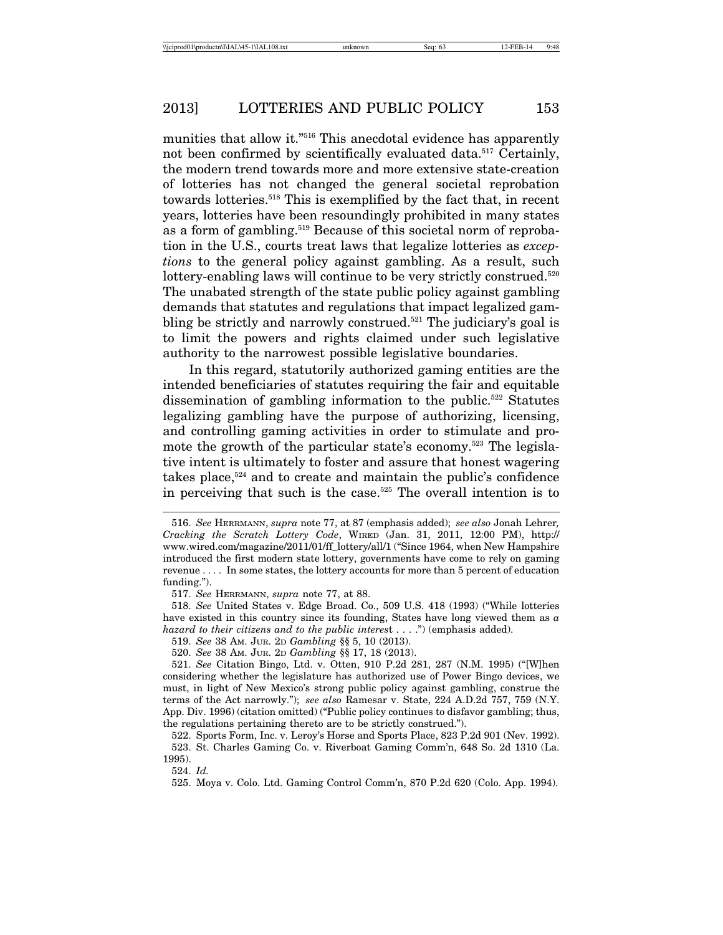munities that allow it."516 This anecdotal evidence has apparently not been confirmed by scientifically evaluated data.<sup>517</sup> Certainly, the modern trend towards more and more extensive state-creation of lotteries has not changed the general societal reprobation towards lotteries.518 This is exemplified by the fact that, in recent years, lotteries have been resoundingly prohibited in many states as a form of gambling.<sup>519</sup> Because of this societal norm of reprobation in the U.S., courts treat laws that legalize lotteries as *exceptions* to the general policy against gambling. As a result, such lottery-enabling laws will continue to be very strictly construed.<sup>520</sup> The unabated strength of the state public policy against gambling demands that statutes and regulations that impact legalized gambling be strictly and narrowly construed.<sup>521</sup> The judiciary's goal is to limit the powers and rights claimed under such legislative authority to the narrowest possible legislative boundaries.

In this regard, statutorily authorized gaming entities are the intended beneficiaries of statutes requiring the fair and equitable dissemination of gambling information to the public.<sup>522</sup> Statutes legalizing gambling have the purpose of authorizing, licensing, and controlling gaming activities in order to stimulate and promote the growth of the particular state's economy.<sup>523</sup> The legislative intent is ultimately to foster and assure that honest wagering takes place, $524$  and to create and maintain the public's confidence in perceiving that such is the case.<sup>525</sup> The overall intention is to

517. *See* HERRMANN, *supra* note 77, at 88.

518. *See* United States v. Edge Broad. Co., 509 U.S. 418 (1993) ("While lotteries have existed in this country since its founding, States have long viewed them as *a hazard to their citizens and to the public interes*t . . . .") (emphasis added).

519. *See* 38 AM. JUR. 2D *Gambling* §§ 5, 10 (2013).

520. *See* 38 AM. JUR. 2D *Gambling* §§ 17, 18 (2013).

521. *See* Citation Bingo, Ltd. v. Otten, 910 P.2d 281, 287 (N.M. 1995) ("[W]hen considering whether the legislature has authorized use of Power Bingo devices, we must, in light of New Mexico's strong public policy against gambling, construe the terms of the Act narrowly."); *see also* Ramesar v. State, 224 A.D.2d 757, 759 (N.Y. App. Div. 1996) (citation omitted) ("Public policy continues to disfavor gambling; thus, the regulations pertaining thereto are to be strictly construed.").

522. Sports Form, Inc. v. Leroy's Horse and Sports Place, 823 P.2d 901 (Nev. 1992). 523. St. Charles Gaming Co. v. Riverboat Gaming Comm'n, 648 So. 2d 1310 (La. 1995).

<sup>516.</sup> *See* HERRMANN, *supra* note 77, at 87 (emphasis added); *see also* Jonah Lehrer*, Cracking the Scratch Lottery Code*, WIRED (Jan. 31, 2011, 12:00 PM), http:// www.wired.com/magazine/2011/01/ff\_lottery/all/1 ("Since 1964, when New Hampshire introduced the first modern state lottery, governments have come to rely on gaming revenue . . . . In some states, the lottery accounts for more than 5 percent of education funding.").

<sup>525.</sup> Moya v. Colo. Ltd. Gaming Control Comm'n, 870 P.2d 620 (Colo. App. 1994).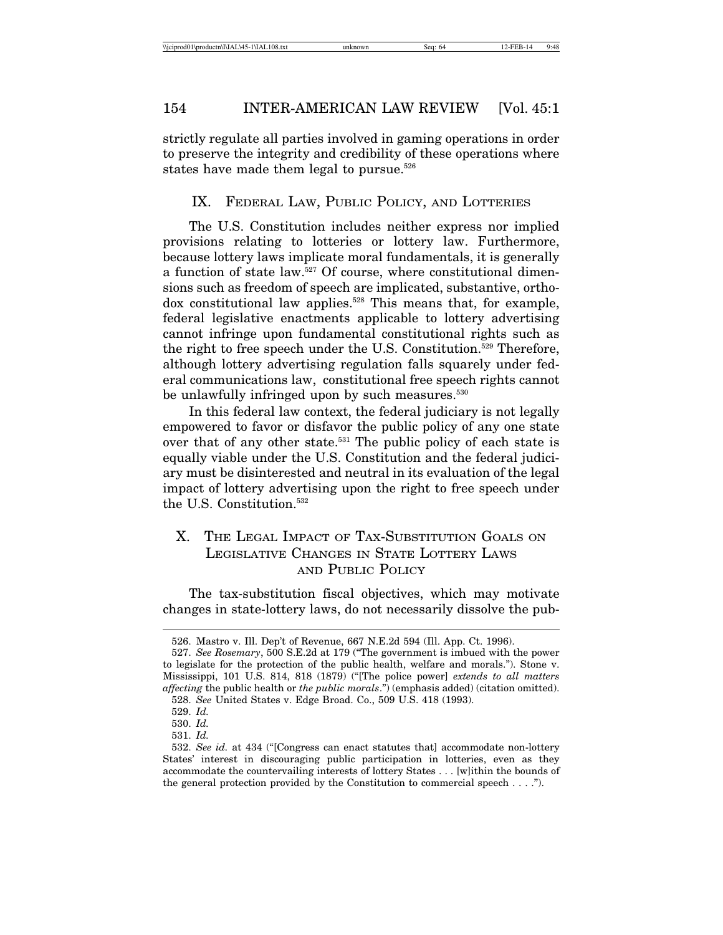strictly regulate all parties involved in gaming operations in order to preserve the integrity and credibility of these operations where states have made them legal to pursue.<sup>526</sup>

#### IX. FEDERAL LAW, PUBLIC POLICY, AND LOTTERIES

The U.S. Constitution includes neither express nor implied provisions relating to lotteries or lottery law. Furthermore, because lottery laws implicate moral fundamentals, it is generally a function of state law.<sup>527</sup> Of course, where constitutional dimensions such as freedom of speech are implicated, substantive, orthodox constitutional law applies.<sup>528</sup> This means that, for example, federal legislative enactments applicable to lottery advertising cannot infringe upon fundamental constitutional rights such as the right to free speech under the U.S. Constitution.<sup>529</sup> Therefore, although lottery advertising regulation falls squarely under federal communications law, constitutional free speech rights cannot be unlawfully infringed upon by such measures.<sup>530</sup>

In this federal law context, the federal judiciary is not legally empowered to favor or disfavor the public policy of any one state over that of any other state.<sup>531</sup> The public policy of each state is equally viable under the U.S. Constitution and the federal judiciary must be disinterested and neutral in its evaluation of the legal impact of lottery advertising upon the right to free speech under the U.S. Constitution.532

# X. THE LEGAL IMPACT OF TAX-SUBSTITUTION GOALS ON LEGISLATIVE CHANGES IN STATE LOTTERY LAWS AND PUBLIC POLICY

The tax-substitution fiscal objectives, which may motivate changes in state-lottery laws, do not necessarily dissolve the pub-

<sup>526.</sup> Mastro v. Ill. Dep't of Revenue, 667 N.E.2d 594 (Ill. App. Ct. 1996).

<sup>527.</sup> *See Rosemary*, 500 S.E.2d at 179 ("The government is imbued with the power to legislate for the protection of the public health, welfare and morals."). Stone v. Mississippi, 101 U.S. 814, 818 (1879) ("[The police power] *extends to all matters affecting* the public health or *the public morals*.") (emphasis added) (citation omitted).

<sup>528.</sup> *See* United States v. Edge Broad. Co., 509 U.S. 418 (1993).

<sup>529.</sup> *Id.*

<sup>530.</sup> *Id.*

<sup>531.</sup> *Id.*

<sup>532.</sup> *See id.* at 434 ("[Congress can enact statutes that] accommodate non-lottery States' interest in discouraging public participation in lotteries, even as they accommodate the countervailing interests of lottery States . . . [w]ithin the bounds of the general protection provided by the Constitution to commercial speech  $\dots$ .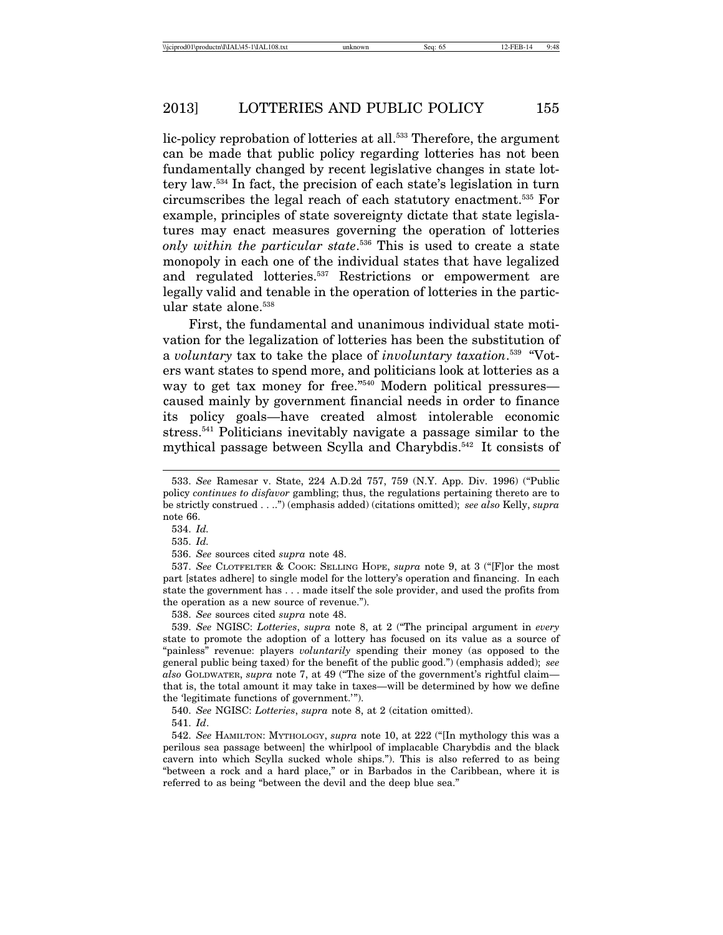lic-policy reprobation of lotteries at all.<sup>533</sup> Therefore, the argument can be made that public policy regarding lotteries has not been fundamentally changed by recent legislative changes in state lottery law.534 In fact, the precision of each state's legislation in turn circumscribes the legal reach of each statutory enactment.535 For example, principles of state sovereignty dictate that state legislatures may enact measures governing the operation of lotteries *only within the particular state*. 536 This is used to create a state monopoly in each one of the individual states that have legalized and regulated lotteries.<sup>537</sup> Restrictions or empowerment are legally valid and tenable in the operation of lotteries in the particular state alone.<sup>538</sup>

First, the fundamental and unanimous individual state motivation for the legalization of lotteries has been the substitution of a *voluntary* tax to take the place of *involuntary taxation*. 539 "Voters want states to spend more, and politicians look at lotteries as a way to get tax money for free."<sup>540</sup> Modern political pressures caused mainly by government financial needs in order to finance its policy goals—have created almost intolerable economic stress.541 Politicians inevitably navigate a passage similar to the mythical passage between Scylla and Charybdis.542 It consists of

537. *See* CLOTFELTER & COOK: SELLING HOPE, *supra* note 9, at 3 ("[F]or the most part [states adhere] to single model for the lottery's operation and financing. In each state the government has . . . made itself the sole provider, and used the profits from the operation as a new source of revenue.").

538. *See* sources cited *supra* note 48.

539. *See* NGISC: *Lotteries*, *supra* note 8, at 2 ("The principal argument in *every* state to promote the adoption of a lottery has focused on its value as a source of "painless" revenue: players *voluntarily* spending their money (as opposed to the general public being taxed) for the benefit of the public good.") (emphasis added); *see also* GOLDWATER, *supra* note 7, at 49 ("The size of the government's rightful claim that is, the total amount it may take in taxes—will be determined by how we define the 'legitimate functions of government.'").

540. *See* NGISC: *Lotteries*, *supra* note 8, at 2 (citation omitted).

542. *See* HAMILTON: MYTHOLOGY, *supra* note 10, at 222 ("[In mythology this was a perilous sea passage between] the whirlpool of implacable Charybdis and the black cavern into which Scylla sucked whole ships."). This is also referred to as being "between a rock and a hard place," or in Barbados in the Caribbean, where it is referred to as being "between the devil and the deep blue sea."

<sup>533.</sup> *See* Ramesar v. State, 224 A.D.2d 757, 759 (N.Y. App. Div. 1996) ("Public policy *continues to disfavor* gambling; thus, the regulations pertaining thereto are to be strictly construed . . ..") (emphasis added) (citations omitted); *see also* Kelly, *supra* note 66.

<sup>534.</sup> *Id.*

<sup>535.</sup> *Id.*

<sup>536.</sup> *See* sources cited *supra* note 48.

<sup>541.</sup> *Id*.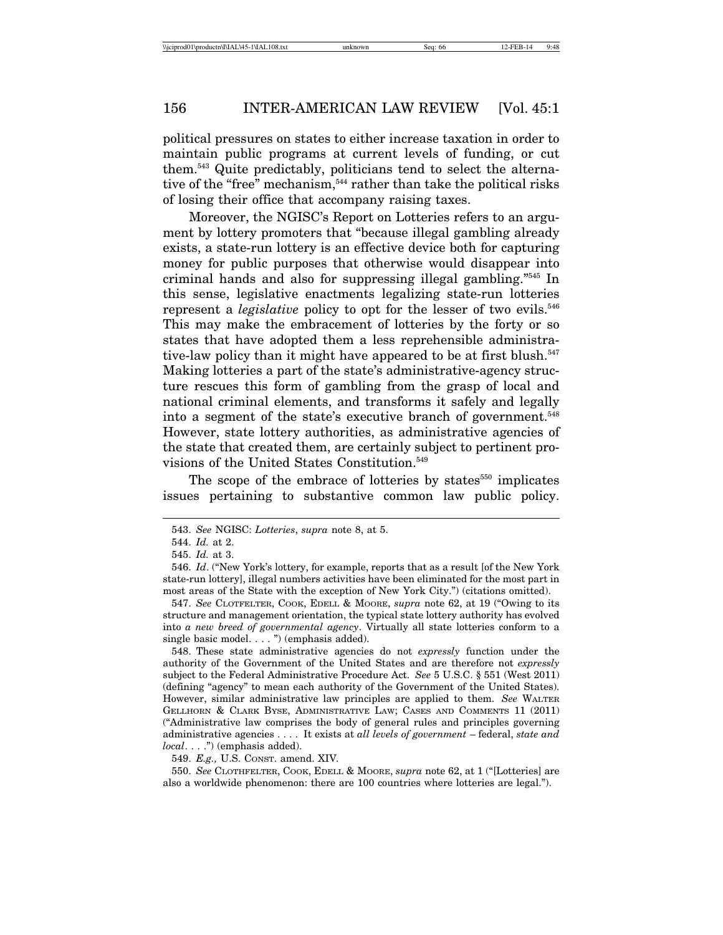political pressures on states to either increase taxation in order to maintain public programs at current levels of funding, or cut them.543 Quite predictably, politicians tend to select the alternative of the "free" mechanism,<sup>544</sup> rather than take the political risks of losing their office that accompany raising taxes.

Moreover, the NGISC's Report on Lotteries refers to an argument by lottery promoters that "because illegal gambling already exists, a state-run lottery is an effective device both for capturing money for public purposes that otherwise would disappear into criminal hands and also for suppressing illegal gambling."545 In this sense, legislative enactments legalizing state-run lotteries represent a *legislative* policy to opt for the lesser of two evils.<sup>546</sup> This may make the embracement of lotteries by the forty or so states that have adopted them a less reprehensible administrative-law policy than it might have appeared to be at first blush.<sup>547</sup> Making lotteries a part of the state's administrative-agency structure rescues this form of gambling from the grasp of local and national criminal elements, and transforms it safely and legally into a segment of the state's executive branch of government.<sup>548</sup> However, state lottery authorities, as administrative agencies of the state that created them, are certainly subject to pertinent provisions of the United States Constitution.549

The scope of the embrace of lotteries by states $550$  implicates issues pertaining to substantive common law public policy.

547. *See* CLOTFELTER, COOK, EDELL & MOORE, *supra* note 62, at 19 ("Owing to its structure and management orientation, the typical state lottery authority has evolved into *a new breed of governmental agency*. Virtually all state lotteries conform to a single basic model. . . . ") (emphasis added).

548. These state administrative agencies do not *expressly* function under the authority of the Government of the United States and are therefore not *expressly* subject to the Federal Administrative Procedure Act. *See* 5 U.S.C. § 551 (West 2011) (defining "agency" to mean each authority of the Government of the United States). However, similar administrative law principles are applied to them. *See* WALTER GELLHORN & CLARK BYSE, ADMINISTRATIVE LAW; CASES AND COMMENTS 11 (2011) ("Administrative law comprises the body of general rules and principles governing administrative agencies . . . . It exists at *all levels of government* – federal, *state and local*. . . .") (emphasis added).

549. *E.g.,* U.S. CONST. amend. XIV*.*

550. *See* CLOTHFELTER, COOK, EDELL & MOORE, *supra* note 62, at 1 ("[Lotteries] are also a worldwide phenomenon: there are 100 countries where lotteries are legal.").

<sup>543.</sup> *See* NGISC: *Lotteries*, *supra* note 8, at 5.

<sup>544.</sup> *Id.* at 2.

<sup>545.</sup> *Id.* at 3.

<sup>546.</sup> *Id*. ("New York's lottery, for example, reports that as a result [of the New York state-run lottery], illegal numbers activities have been eliminated for the most part in most areas of the State with the exception of New York City.") (citations omitted).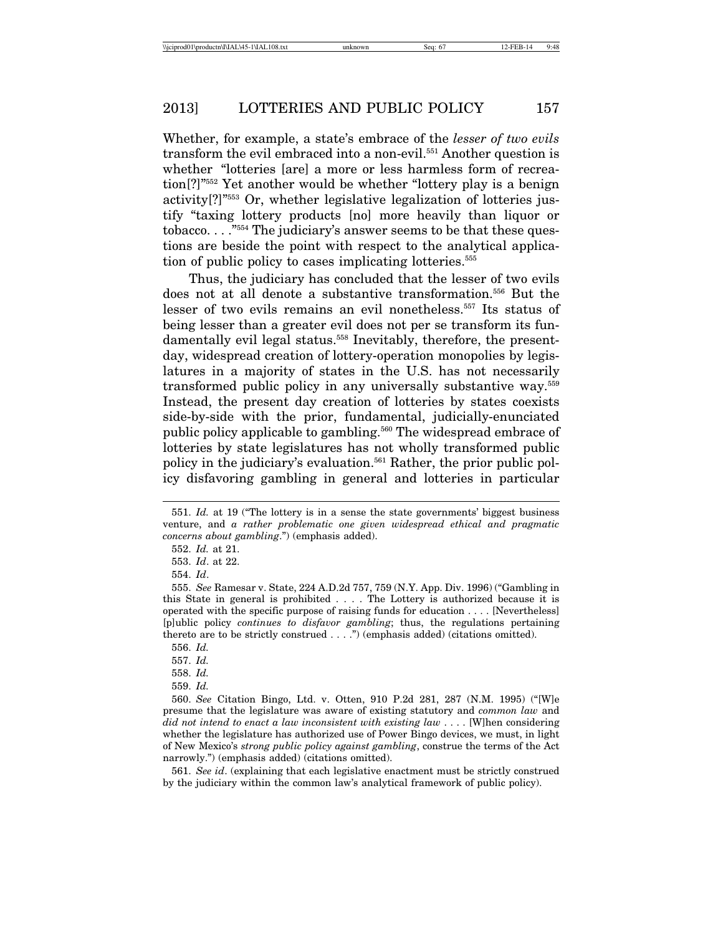Whether, for example, a state's embrace of the *lesser of two evils* transform the evil embraced into a non-evil.<sup>551</sup> Another question is whether "lotteries [are] a more or less harmless form of recreation[?]"552 Yet another would be whether "lottery play is a benign activity[?]"553 Or, whether legislative legalization of lotteries justify "taxing lottery products [no] more heavily than liquor or tobacco. . . ."554 The judiciary's answer seems to be that these questions are beside the point with respect to the analytical application of public policy to cases implicating lotteries.555

Thus, the judiciary has concluded that the lesser of two evils does not at all denote a substantive transformation.556 But the lesser of two evils remains an evil nonetheless.557 Its status of being lesser than a greater evil does not per se transform its fundamentally evil legal status.<sup>558</sup> Inevitably, therefore, the presentday, widespread creation of lottery-operation monopolies by legislatures in a majority of states in the U.S. has not necessarily transformed public policy in any universally substantive way.559 Instead, the present day creation of lotteries by states coexists side-by-side with the prior, fundamental, judicially-enunciated public policy applicable to gambling.560 The widespread embrace of lotteries by state legislatures has not wholly transformed public policy in the judiciary's evaluation.561 Rather, the prior public policy disfavoring gambling in general and lotteries in particular

557. *Id.*

558. *Id.* 559. *Id.*

561. *See id*. (explaining that each legislative enactment must be strictly construed by the judiciary within the common law's analytical framework of public policy).

<sup>551.</sup> *Id.* at 19 ("The lottery is in a sense the state governments' biggest business venture, and *a rather problematic one given widespread ethical and pragmatic concerns about gambling*.") (emphasis added).

<sup>552.</sup> *Id.* at 21.

<sup>553.</sup> *Id*. at 22.

<sup>554.</sup> *Id*.

<sup>555.</sup> *See* Ramesar v. State, 224 A.D.2d 757, 759 (N.Y. App. Div. 1996) ("Gambling in this State in general is prohibited . . . . The Lottery is authorized because it is operated with the specific purpose of raising funds for education . . . . [Nevertheless] [p]ublic policy *continues to disfavor gambling*; thus, the regulations pertaining thereto are to be strictly construed . . . .") (emphasis added) (citations omitted).

<sup>556.</sup> *Id.*

<sup>560.</sup> *See* Citation Bingo, Ltd. v. Otten, 910 P.2d 281, 287 (N.M. 1995) ("[W]e presume that the legislature was aware of existing statutory and *common law* and *did not intend to enact a law inconsistent with existing law* . . . . [W]hen considering whether the legislature has authorized use of Power Bingo devices, we must, in light of New Mexico's *strong public policy against gambling*, construe the terms of the Act narrowly.") (emphasis added) (citations omitted).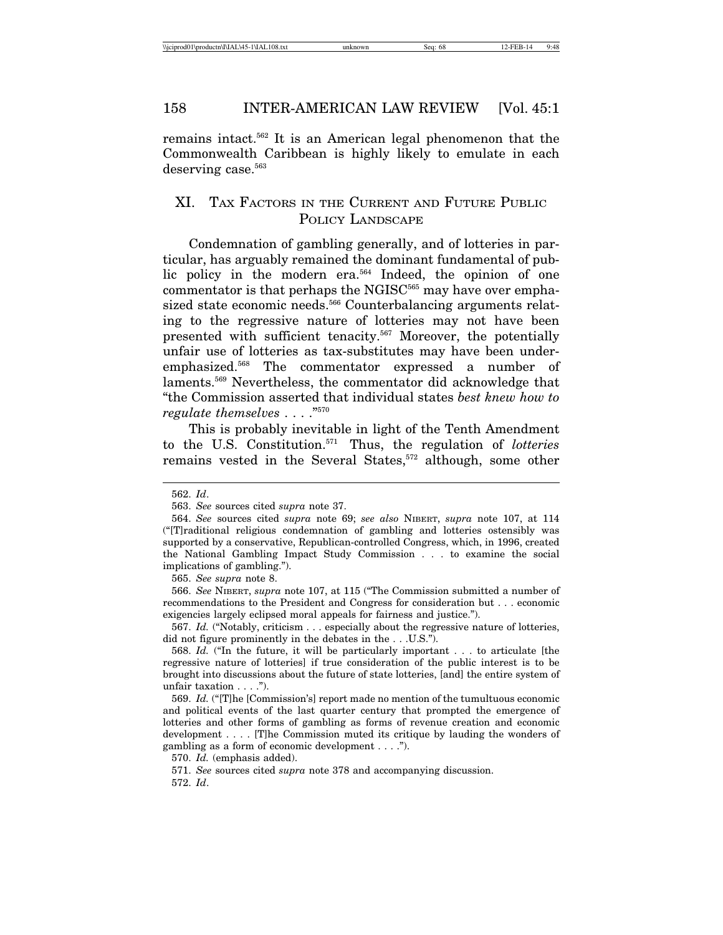remains intact.562 It is an American legal phenomenon that the Commonwealth Caribbean is highly likely to emulate in each deserving case.<sup>563</sup>

## XI. TAX FACTORS IN THE CURRENT AND FUTURE PUBLIC POLICY LANDSCAPE

Condemnation of gambling generally, and of lotteries in particular, has arguably remained the dominant fundamental of public policy in the modern era.<sup>564</sup> Indeed, the opinion of one commentator is that perhaps the NGISC $565$  may have over emphasized state economic needs.<sup>566</sup> Counterbalancing arguments relating to the regressive nature of lotteries may not have been presented with sufficient tenacity.567 Moreover, the potentially unfair use of lotteries as tax-substitutes may have been underemphasized.568 The commentator expressed a number of laments.569 Nevertheless, the commentator did acknowledge that "the Commission asserted that individual states *best knew how to regulate themselves* . . . ."570

This is probably inevitable in light of the Tenth Amendment to the U.S. Constitution.571 Thus, the regulation of *lotteries* remains vested in the Several States,<sup>572</sup> although, some other

565. *See supra* note 8.

570. *Id.* (emphasis added).

571. *See* sources cited *supra* note 378 and accompanying discussion.

<sup>562.</sup> *Id*.

<sup>563.</sup> *See* sources cited *supra* note 37.

<sup>564.</sup> *See* sources cited *supra* note 69; *see also* NIBERT, *supra* note 107, at 114 ("[T]raditional religious condemnation of gambling and lotteries ostensibly was supported by a conservative, Republican-controlled Congress, which, in 1996, created the National Gambling Impact Study Commission . . . to examine the social implications of gambling.").

<sup>566.</sup> *See* NIBERT, *supra* note 107, at 115 ("The Commission submitted a number of recommendations to the President and Congress for consideration but . . . economic exigencies largely eclipsed moral appeals for fairness and justice.").

<sup>567.</sup> *Id.* ("Notably, criticism . . . especially about the regressive nature of lotteries, did not figure prominently in the debates in the . . . U.S.").

<sup>568.</sup> *Id.* ("In the future, it will be particularly important . . . to articulate [the regressive nature of lotteries] if true consideration of the public interest is to be brought into discussions about the future of state lotteries, [and] the entire system of unfair taxation . . . .").

<sup>569.</sup> *Id.* ("[T]he [Commission's] report made no mention of the tumultuous economic and political events of the last quarter century that prompted the emergence of lotteries and other forms of gambling as forms of revenue creation and economic development . . . . [T]he Commission muted its critique by lauding the wonders of gambling as a form of economic development . . . .").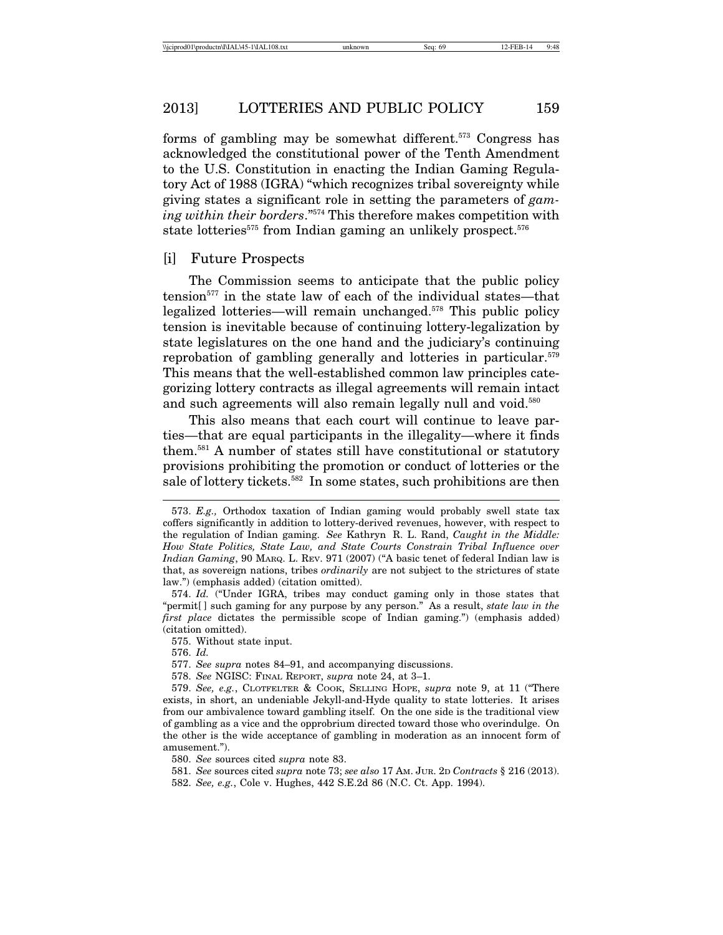forms of gambling may be somewhat different.573 Congress has acknowledged the constitutional power of the Tenth Amendment to the U.S. Constitution in enacting the Indian Gaming Regulatory Act of 1988 (IGRA) "which recognizes tribal sovereignty while giving states a significant role in setting the parameters of *gaming within their borders*."574 This therefore makes competition with state lotteries<sup> $575$ </sup> from Indian gaming an unlikely prospect.<sup> $576$ </sup>

## [i] Future Prospects

The Commission seems to anticipate that the public policy tension<sup> $577$ </sup> in the state law of each of the individual states—that legalized lotteries—will remain unchanged.578 This public policy tension is inevitable because of continuing lottery-legalization by state legislatures on the one hand and the judiciary's continuing reprobation of gambling generally and lotteries in particular.<sup>579</sup> This means that the well-established common law principles categorizing lottery contracts as illegal agreements will remain intact and such agreements will also remain legally null and void.<sup>580</sup>

This also means that each court will continue to leave parties—that are equal participants in the illegality—where it finds them.581 A number of states still have constitutional or statutory provisions prohibiting the promotion or conduct of lotteries or the sale of lottery tickets.<sup>582</sup> In some states, such prohibitions are then

576. *Id.*

- 577. *See supra* notes 84–91, and accompanying discussions.
- 578. *See* NGISC: FINAL REPORT, *supra* note 24, at 3–1.

580. *See* sources cited *supra* note 83.

581. *See* sources cited *supra* note 73; *see also* 17 AM. JUR. 2D *Contracts* § 216 (2013). 582. *See, e.g.*, Cole v. Hughes, 442 S.E.2d 86 (N.C. Ct. App. 1994).

<sup>573.</sup> *E.g.,* Orthodox taxation of Indian gaming would probably swell state tax coffers significantly in addition to lottery-derived revenues, however, with respect to the regulation of Indian gaming. *See* Kathryn R. L. Rand, *Caught in the Middle: How State Politics, State Law, and State Courts Constrain Tribal Influence over Indian Gaming*, 90 MARQ. L. REV. 971 (2007) ("A basic tenet of federal Indian law is that, as sovereign nations, tribes *ordinarily* are not subject to the strictures of state law.") (emphasis added) (citation omitted).

<sup>574.</sup> *Id.* ("Under IGRA, tribes may conduct gaming only in those states that "permit[ ] such gaming for any purpose by any person." As a result, *state law in the first place* dictates the permissible scope of Indian gaming.") (emphasis added) (citation omitted).

<sup>575.</sup> Without state input.

<sup>579.</sup> *See, e.g.*, CLOTFELTER & COOK, SELLING HOPE, *supra* note 9, at 11 ("There exists, in short, an undeniable Jekyll-and-Hyde quality to state lotteries. It arises from our ambivalence toward gambling itself. On the one side is the traditional view of gambling as a vice and the opprobrium directed toward those who overindulge. On the other is the wide acceptance of gambling in moderation as an innocent form of amusement.").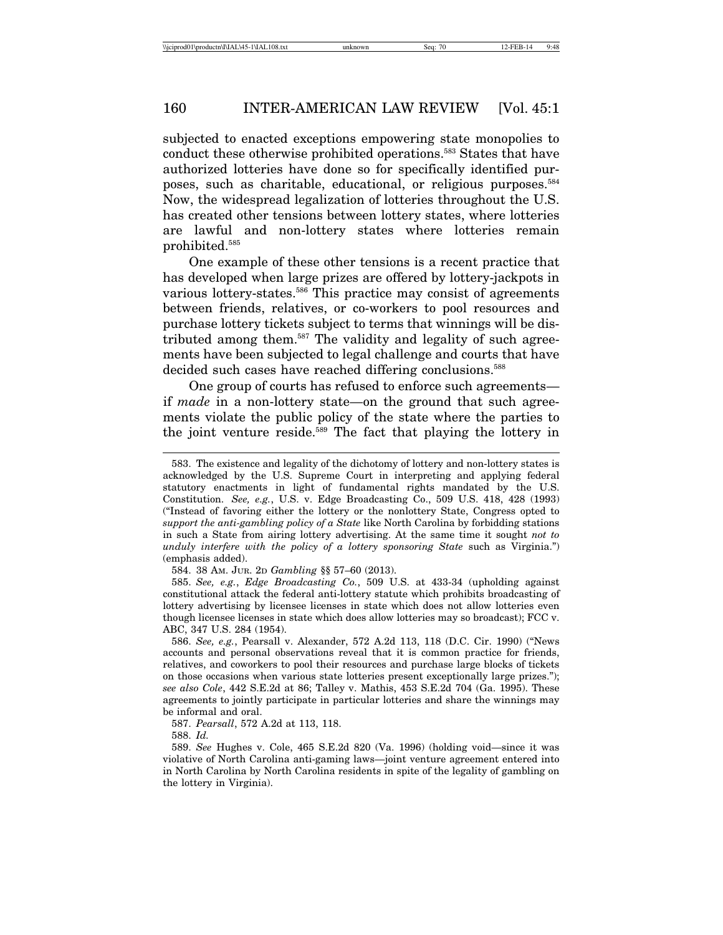subjected to enacted exceptions empowering state monopolies to conduct these otherwise prohibited operations.583 States that have authorized lotteries have done so for specifically identified purposes, such as charitable, educational, or religious purposes.584 Now, the widespread legalization of lotteries throughout the U.S. has created other tensions between lottery states, where lotteries are lawful and non-lottery states where lotteries remain prohibited.585

One example of these other tensions is a recent practice that has developed when large prizes are offered by lottery-jackpots in various lottery-states.<sup>586</sup> This practice may consist of agreements between friends, relatives, or co-workers to pool resources and purchase lottery tickets subject to terms that winnings will be distributed among them.587 The validity and legality of such agreements have been subjected to legal challenge and courts that have decided such cases have reached differing conclusions.<sup>588</sup>

One group of courts has refused to enforce such agreements if *made* in a non-lottery state—on the ground that such agreements violate the public policy of the state where the parties to the joint venture reside.<sup>589</sup> The fact that playing the lottery in

<sup>583.</sup> The existence and legality of the dichotomy of lottery and non-lottery states is acknowledged by the U.S. Supreme Court in interpreting and applying federal statutory enactments in light of fundamental rights mandated by the U.S. Constitution. *See, e.g.*, U.S. v. Edge Broadcasting Co., 509 U.S. 418, 428 (1993) ("Instead of favoring either the lottery or the nonlottery State, Congress opted to *support the anti-gambling policy of a State* like North Carolina by forbidding stations in such a State from airing lottery advertising. At the same time it sought *not to unduly interfere with the policy of a lottery sponsoring State* such as Virginia.") (emphasis added).

<sup>584. 38</sup> AM. JUR. 2D *Gambling* §§ 57–60 (2013).

<sup>585.</sup> *See, e.g.*, *Edge Broadcasting Co.*, 509 U.S. at 433-34 (upholding against constitutional attack the federal anti-lottery statute which prohibits broadcasting of lottery advertising by licensee licenses in state which does not allow lotteries even though licensee licenses in state which does allow lotteries may so broadcast); FCC v. ABC, 347 U.S. 284 (1954).

<sup>586.</sup> *See, e.g.*, Pearsall v. Alexander, 572 A.2d 113, 118 (D.C. Cir. 1990) ("News accounts and personal observations reveal that it is common practice for friends, relatives, and coworkers to pool their resources and purchase large blocks of tickets on those occasions when various state lotteries present exceptionally large prizes."); *see also Cole*, 442 S.E.2d at 86; Talley v. Mathis, 453 S.E.2d 704 (Ga. 1995). These agreements to jointly participate in particular lotteries and share the winnings may be informal and oral.

<sup>587.</sup> *Pearsall*, 572 A.2d at 113, 118.

<sup>589.</sup> *See* Hughes v. Cole, 465 S.E.2d 820 (Va. 1996) (holding void—since it was violative of North Carolina anti-gaming laws—joint venture agreement entered into in North Carolina by North Carolina residents in spite of the legality of gambling on the lottery in Virginia).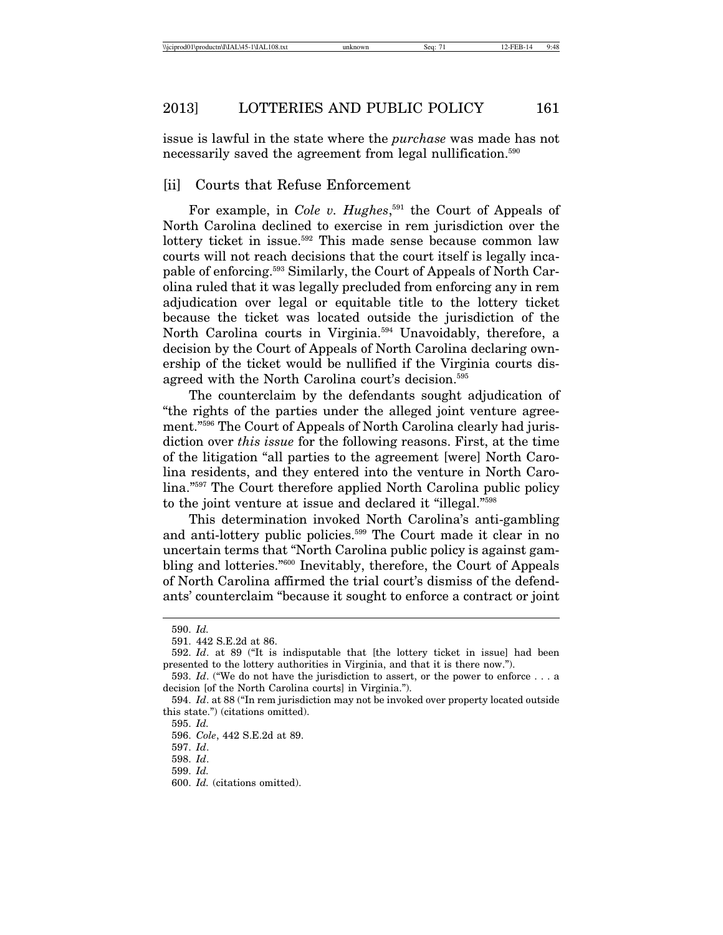issue is lawful in the state where the *purchase* was made has not necessarily saved the agreement from legal nullification.<sup>590</sup>

### [ii] Courts that Refuse Enforcement

For example, in *Cole v. Hughes*, <sup>591</sup> the Court of Appeals of North Carolina declined to exercise in rem jurisdiction over the lottery ticket in issue.<sup>592</sup> This made sense because common law courts will not reach decisions that the court itself is legally incapable of enforcing.593 Similarly, the Court of Appeals of North Carolina ruled that it was legally precluded from enforcing any in rem adjudication over legal or equitable title to the lottery ticket because the ticket was located outside the jurisdiction of the North Carolina courts in Virginia.<sup>594</sup> Unavoidably, therefore, a decision by the Court of Appeals of North Carolina declaring ownership of the ticket would be nullified if the Virginia courts disagreed with the North Carolina court's decision.595

The counterclaim by the defendants sought adjudication of "the rights of the parties under the alleged joint venture agreement."596 The Court of Appeals of North Carolina clearly had jurisdiction over *this issue* for the following reasons. First, at the time of the litigation "all parties to the agreement [were] North Carolina residents, and they entered into the venture in North Carolina."597 The Court therefore applied North Carolina public policy to the joint venture at issue and declared it "illegal."598

This determination invoked North Carolina's anti-gambling and anti-lottery public policies.<sup>599</sup> The Court made it clear in no uncertain terms that "North Carolina public policy is against gambling and lotteries."600 Inevitably, therefore, the Court of Appeals of North Carolina affirmed the trial court's dismiss of the defendants' counterclaim "because it sought to enforce a contract or joint

<sup>590.</sup> *Id.*

<sup>591. 442</sup> S.E.2d at 86.

<sup>592.</sup> *Id*. at 89 ("It is indisputable that [the lottery ticket in issue] had been presented to the lottery authorities in Virginia, and that it is there now.").

<sup>593.</sup> *Id*. ("We do not have the jurisdiction to assert, or the power to enforce . . . a decision [of the North Carolina courts] in Virginia.").

<sup>594.</sup> *Id*. at 88 ("In rem jurisdiction may not be invoked over property located outside this state.") (citations omitted).

<sup>595.</sup> *Id.*

<sup>596.</sup> *Cole*, 442 S.E.2d at 89.

<sup>597.</sup> *Id*.

<sup>598.</sup> *Id*.

<sup>599.</sup> *Id.*

<sup>600.</sup> *Id.* (citations omitted).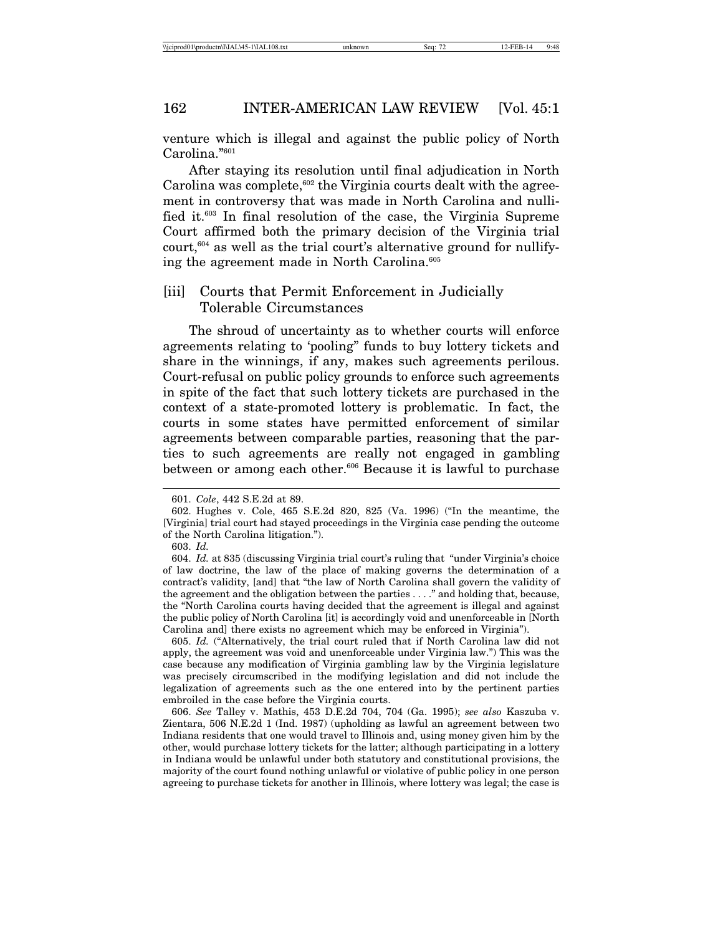venture which is illegal and against the public policy of North Carolina."601

After staying its resolution until final adjudication in North Carolina was complete, $602$  the Virginia courts dealt with the agreement in controversy that was made in North Carolina and nullified it.603 In final resolution of the case, the Virginia Supreme Court affirmed both the primary decision of the Virginia trial court,  $604$  as well as the trial court's alternative ground for nullifying the agreement made in North Carolina.<sup>605</sup>

## [iii] Courts that Permit Enforcement in Judicially Tolerable Circumstances

The shroud of uncertainty as to whether courts will enforce agreements relating to 'pooling" funds to buy lottery tickets and share in the winnings, if any, makes such agreements perilous. Court-refusal on public policy grounds to enforce such agreements in spite of the fact that such lottery tickets are purchased in the context of a state-promoted lottery is problematic. In fact, the courts in some states have permitted enforcement of similar agreements between comparable parties, reasoning that the parties to such agreements are really not engaged in gambling between or among each other.<sup>606</sup> Because it is lawful to purchase

605. *Id.* ("Alternatively, the trial court ruled that if North Carolina law did not apply, the agreement was void and unenforceable under Virginia law.") This was the case because any modification of Virginia gambling law by the Virginia legislature was precisely circumscribed in the modifying legislation and did not include the legalization of agreements such as the one entered into by the pertinent parties embroiled in the case before the Virginia courts.

606. *See* Talley v. Mathis, 453 D.E.2d 704, 704 (Ga. 1995); *see also* Kaszuba v. Zientara, 506 N.E.2d 1 (Ind. 1987) (upholding as lawful an agreement between two Indiana residents that one would travel to Illinois and, using money given him by the other, would purchase lottery tickets for the latter; although participating in a lottery in Indiana would be unlawful under both statutory and constitutional provisions, the majority of the court found nothing unlawful or violative of public policy in one person agreeing to purchase tickets for another in Illinois, where lottery was legal; the case is

<sup>601.</sup> *Cole*, 442 S.E.2d at 89.

<sup>602.</sup> Hughes v. Cole, 465 S.E.2d 820, 825 (Va. 1996) ("In the meantime, the [Virginia] trial court had stayed proceedings in the Virginia case pending the outcome of the North Carolina litigation.").

<sup>603.</sup> *Id.*

<sup>604.</sup> *Id.* at 835 (discussing Virginia trial court's ruling that "under Virginia's choice of law doctrine, the law of the place of making governs the determination of a contract's validity, [and] that "the law of North Carolina shall govern the validity of the agreement and the obligation between the parties . . . ." and holding that, because, the "North Carolina courts having decided that the agreement is illegal and against the public policy of North Carolina [it] is accordingly void and unenforceable in [North Carolina and] there exists no agreement which may be enforced in Virginia").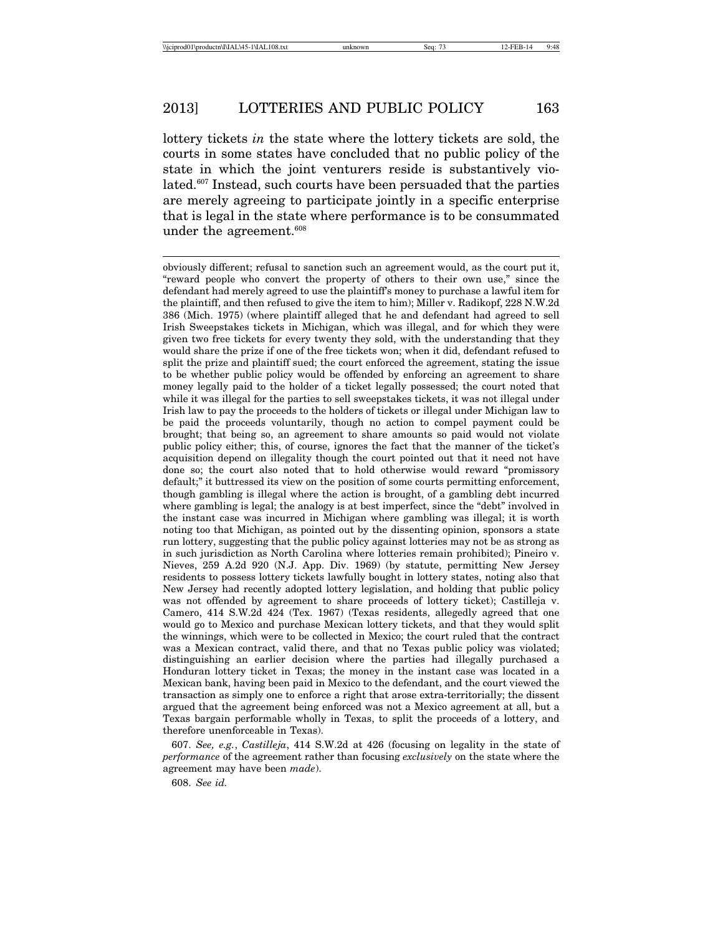lottery tickets *in* the state where the lottery tickets are sold, the courts in some states have concluded that no public policy of the state in which the joint venturers reside is substantively violated.607 Instead, such courts have been persuaded that the parties are merely agreeing to participate jointly in a specific enterprise that is legal in the state where performance is to be consummated under the agreement.<sup>608</sup>

607. *See, e.g.*, *Castilleja*, 414 S.W.2d at 426 (focusing on legality in the state of *performance* of the agreement rather than focusing *exclusively* on the state where the agreement may have been *made*).

608. *See id.*

obviously different; refusal to sanction such an agreement would, as the court put it, "reward people who convert the property of others to their own use," since the defendant had merely agreed to use the plaintiff's money to purchase a lawful item for the plaintiff, and then refused to give the item to him); Miller v. Radikopf, 228 N.W.2d 386 (Mich. 1975) (where plaintiff alleged that he and defendant had agreed to sell Irish Sweepstakes tickets in Michigan, which was illegal, and for which they were given two free tickets for every twenty they sold, with the understanding that they would share the prize if one of the free tickets won; when it did, defendant refused to split the prize and plaintiff sued; the court enforced the agreement, stating the issue to be whether public policy would be offended by enforcing an agreement to share money legally paid to the holder of a ticket legally possessed; the court noted that while it was illegal for the parties to sell sweepstakes tickets, it was not illegal under Irish law to pay the proceeds to the holders of tickets or illegal under Michigan law to be paid the proceeds voluntarily, though no action to compel payment could be brought; that being so, an agreement to share amounts so paid would not violate public policy either; this, of course, ignores the fact that the manner of the ticket's acquisition depend on illegality though the court pointed out that it need not have done so; the court also noted that to hold otherwise would reward "promissory default;" it buttressed its view on the position of some courts permitting enforcement, though gambling is illegal where the action is brought, of a gambling debt incurred where gambling is legal; the analogy is at best imperfect, since the "debt" involved in the instant case was incurred in Michigan where gambling was illegal; it is worth noting too that Michigan, as pointed out by the dissenting opinion, sponsors a state run lottery, suggesting that the public policy against lotteries may not be as strong as in such jurisdiction as North Carolina where lotteries remain prohibited); Pineiro v. Nieves, 259 A.2d 920 (N.J. App. Div. 1969) (by statute, permitting New Jersey residents to possess lottery tickets lawfully bought in lottery states, noting also that New Jersey had recently adopted lottery legislation, and holding that public policy was not offended by agreement to share proceeds of lottery ticket); Castilleja v. Camero, 414 S.W.2d 424 (Tex. 1967) (Texas residents, allegedly agreed that one would go to Mexico and purchase Mexican lottery tickets, and that they would split the winnings, which were to be collected in Mexico; the court ruled that the contract was a Mexican contract, valid there, and that no Texas public policy was violated; distinguishing an earlier decision where the parties had illegally purchased a Honduran lottery ticket in Texas; the money in the instant case was located in a Mexican bank, having been paid in Mexico to the defendant, and the court viewed the transaction as simply one to enforce a right that arose extra-territorially; the dissent argued that the agreement being enforced was not a Mexico agreement at all, but a Texas bargain performable wholly in Texas, to split the proceeds of a lottery, and therefore unenforceable in Texas).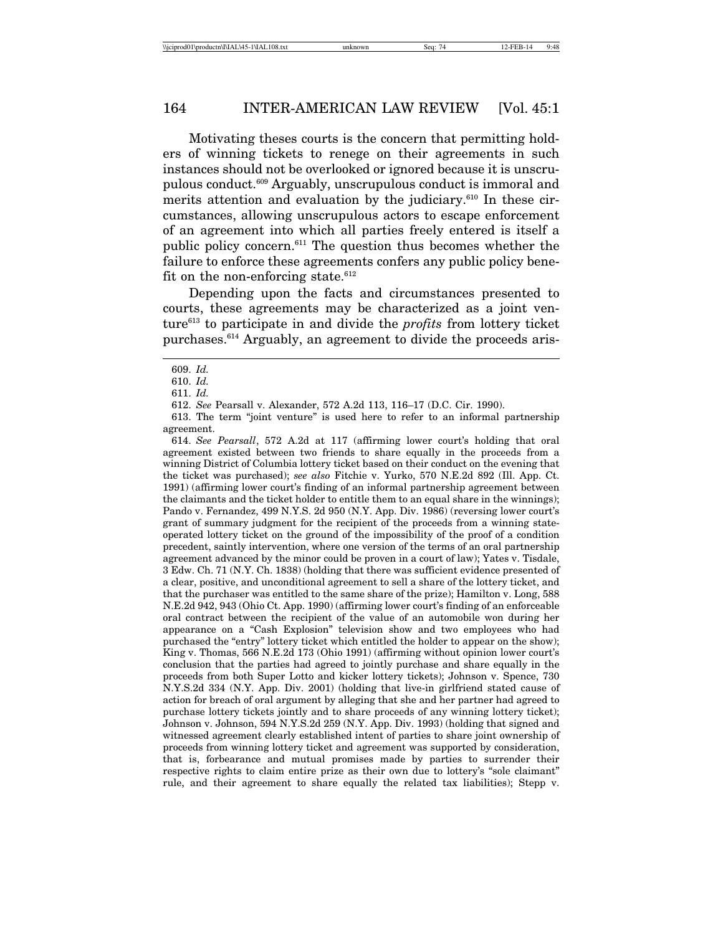#### 164 INTER-AMERICAN LAW REVIEW [Vol. 45:1

Motivating theses courts is the concern that permitting holders of winning tickets to renege on their agreements in such instances should not be overlooked or ignored because it is unscrupulous conduct.609 Arguably, unscrupulous conduct is immoral and merits attention and evaluation by the judiciary.<sup>610</sup> In these circumstances, allowing unscrupulous actors to escape enforcement of an agreement into which all parties freely entered is itself a public policy concern.611 The question thus becomes whether the failure to enforce these agreements confers any public policy benefit on the non-enforcing state.<sup>612</sup>

Depending upon the facts and circumstances presented to courts, these agreements may be characterized as a joint venture613 to participate in and divide the *profits* from lottery ticket purchases.614 Arguably, an agreement to divide the proceeds aris-

613. The term "joint venture" is used here to refer to an informal partnership agreement.

614. *See Pearsall*, 572 A.2d at 117 (affirming lower court's holding that oral agreement existed between two friends to share equally in the proceeds from a winning District of Columbia lottery ticket based on their conduct on the evening that the ticket was purchased); *see also* Fitchie v. Yurko, 570 N.E.2d 892 (Ill. App. Ct. 1991) (affirming lower court's finding of an informal partnership agreement between the claimants and the ticket holder to entitle them to an equal share in the winnings); Pando v. Fernandez, 499 N.Y.S. 2d 950 (N.Y. App. Div. 1986) (reversing lower court's grant of summary judgment for the recipient of the proceeds from a winning stateoperated lottery ticket on the ground of the impossibility of the proof of a condition precedent, saintly intervention, where one version of the terms of an oral partnership agreement advanced by the minor could be proven in a court of law); Yates v. Tisdale, 3 Edw. Ch. 71 (N.Y. Ch. 1838) (holding that there was sufficient evidence presented of a clear, positive, and unconditional agreement to sell a share of the lottery ticket, and that the purchaser was entitled to the same share of the prize); Hamilton v. Long, 588 N.E.2d 942, 943 (Ohio Ct. App. 1990) (affirming lower court's finding of an enforceable oral contract between the recipient of the value of an automobile won during her appearance on a "Cash Explosion" television show and two employees who had purchased the "entry" lottery ticket which entitled the holder to appear on the show); King v. Thomas, 566 N.E.2d 173 (Ohio 1991) (affirming without opinion lower court's conclusion that the parties had agreed to jointly purchase and share equally in the proceeds from both Super Lotto and kicker lottery tickets); Johnson v. Spence, 730 N.Y.S.2d 334 (N.Y. App. Div. 2001) (holding that live-in girlfriend stated cause of action for breach of oral argument by alleging that she and her partner had agreed to purchase lottery tickets jointly and to share proceeds of any winning lottery ticket); Johnson v. Johnson, 594 N.Y.S.2d 259 (N.Y. App. Div. 1993) (holding that signed and witnessed agreement clearly established intent of parties to share joint ownership of proceeds from winning lottery ticket and agreement was supported by consideration, that is, forbearance and mutual promises made by parties to surrender their respective rights to claim entire prize as their own due to lottery's "sole claimant" rule, and their agreement to share equally the related tax liabilities); Stepp v.

<sup>609.</sup> *Id.*

<sup>610.</sup> *Id.*

<sup>611.</sup> *Id.*

<sup>612.</sup> *See* Pearsall v. Alexander, 572 A.2d 113, 116–17 (D.C. Cir. 1990).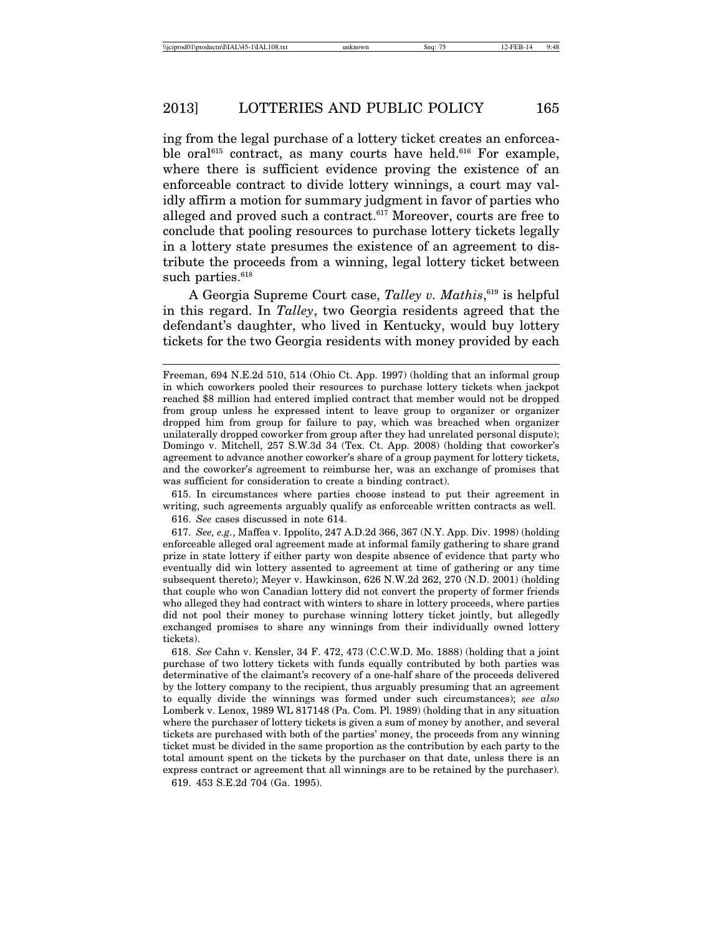ing from the legal purchase of a lottery ticket creates an enforceable oral $615$  contract, as many courts have held.<sup>616</sup> For example, where there is sufficient evidence proving the existence of an enforceable contract to divide lottery winnings, a court may validly affirm a motion for summary judgment in favor of parties who alleged and proved such a contract.<sup>617</sup> Moreover, courts are free to conclude that pooling resources to purchase lottery tickets legally in a lottery state presumes the existence of an agreement to distribute the proceeds from a winning, legal lottery ticket between such parties.<sup>618</sup>

A Georgia Supreme Court case, *Talley v. Mathis*, 619 is helpful in this regard. In *Talley*, two Georgia residents agreed that the defendant's daughter, who lived in Kentucky, would buy lottery tickets for the two Georgia residents with money provided by each

615. In circumstances where parties choose instead to put their agreement in writing, such agreements arguably qualify as enforceable written contracts as well. 616. *See* cases discussed in note 614.

617. *See, e.g.*, Maffea v. Ippolito, 247 A.D.2d 366, 367 (N.Y. App. Div. 1998) (holding enforceable alleged oral agreement made at informal family gathering to share grand prize in state lottery if either party won despite absence of evidence that party who eventually did win lottery assented to agreement at time of gathering or any time subsequent thereto); Meyer v. Hawkinson, 626 N.W.2d 262, 270 (N.D. 2001) (holding that couple who won Canadian lottery did not convert the property of former friends who alleged they had contract with winters to share in lottery proceeds, where parties did not pool their money to purchase winning lottery ticket jointly, but allegedly exchanged promises to share any winnings from their individually owned lottery tickets).

618. *See* Cahn v. Kensler, 34 F. 472, 473 (C.C.W.D. Mo. 1888) (holding that a joint purchase of two lottery tickets with funds equally contributed by both parties was determinative of the claimant's recovery of a one-half share of the proceeds delivered by the lottery company to the recipient, thus arguably presuming that an agreement to equally divide the winnings was formed under such circumstances); *see also* Lomberk v. Lenox, 1989 WL 817148 (Pa. Com. Pl. 1989) (holding that in any situation where the purchaser of lottery tickets is given a sum of money by another, and several tickets are purchased with both of the parties' money, the proceeds from any winning ticket must be divided in the same proportion as the contribution by each party to the total amount spent on the tickets by the purchaser on that date, unless there is an express contract or agreement that all winnings are to be retained by the purchaser). 619. 453 S.E.2d 704 (Ga. 1995).

Freeman, 694 N.E.2d 510, 514 (Ohio Ct. App. 1997) (holding that an informal group in which coworkers pooled their resources to purchase lottery tickets when jackpot reached \$8 million had entered implied contract that member would not be dropped from group unless he expressed intent to leave group to organizer or organizer dropped him from group for failure to pay, which was breached when organizer unilaterally dropped coworker from group after they had unrelated personal dispute); Domingo v. Mitchell, 257 S.W.3d 34 (Tex. Ct. App. 2008) (holding that coworker's agreement to advance another coworker's share of a group payment for lottery tickets, and the coworker's agreement to reimburse her, was an exchange of promises that was sufficient for consideration to create a binding contract).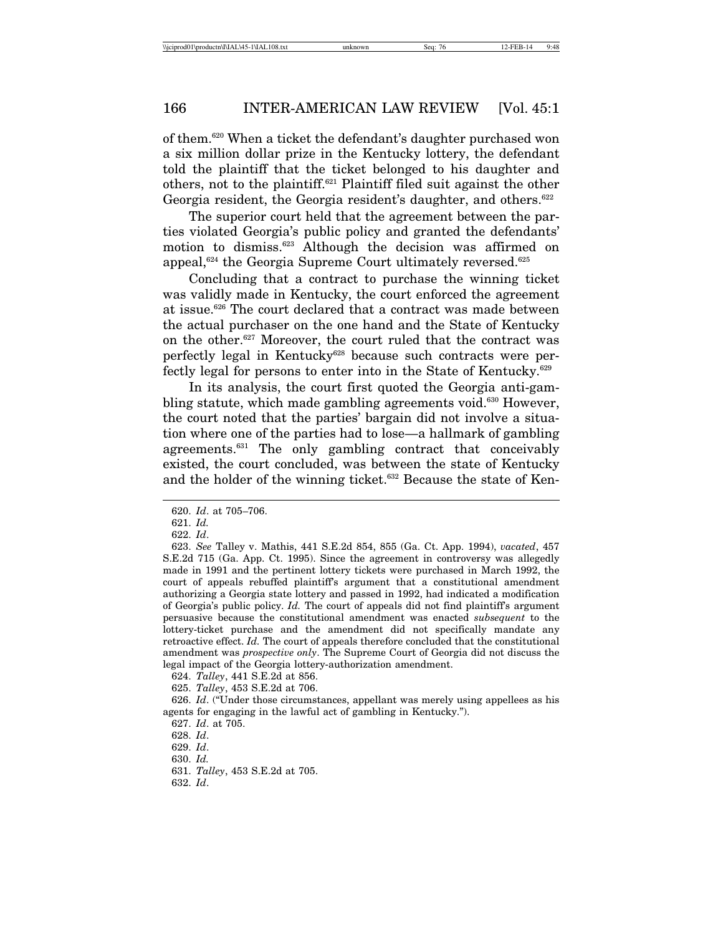## 166 INTER-AMERICAN LAW REVIEW [Vol. 45:1

of them.620 When a ticket the defendant's daughter purchased won a six million dollar prize in the Kentucky lottery, the defendant told the plaintiff that the ticket belonged to his daughter and others, not to the plaintiff.621 Plaintiff filed suit against the other Georgia resident, the Georgia resident's daughter, and others.<sup>622</sup>

The superior court held that the agreement between the parties violated Georgia's public policy and granted the defendants' motion to dismiss.623 Although the decision was affirmed on appeal, $624$  the Georgia Supreme Court ultimately reversed. $625$ 

Concluding that a contract to purchase the winning ticket was validly made in Kentucky, the court enforced the agreement at issue.626 The court declared that a contract was made between the actual purchaser on the one hand and the State of Kentucky on the other.627 Moreover, the court ruled that the contract was perfectly legal in Kentucky<sup>628</sup> because such contracts were perfectly legal for persons to enter into in the State of Kentucky.<sup>629</sup>

In its analysis, the court first quoted the Georgia anti-gambling statute, which made gambling agreements void.<sup>630</sup> However, the court noted that the parties' bargain did not involve a situation where one of the parties had to lose—a hallmark of gambling agreements.631 The only gambling contract that conceivably existed, the court concluded, was between the state of Kentucky and the holder of the winning ticket.<sup>632</sup> Because the state of Ken-

<sup>620.</sup> *Id*. at 705–706.

<sup>621.</sup> *Id.*

<sup>622.</sup> *Id*.

<sup>623.</sup> *See* Talley v. Mathis, 441 S.E.2d 854, 855 (Ga. Ct. App. 1994), *vacated*, 457 S.E.2d 715 (Ga. App. Ct. 1995). Since the agreement in controversy was allegedly made in 1991 and the pertinent lottery tickets were purchased in March 1992, the court of appeals rebuffed plaintiff's argument that a constitutional amendment authorizing a Georgia state lottery and passed in 1992, had indicated a modification of Georgia's public policy. *Id.* The court of appeals did not find plaintiff's argument persuasive because the constitutional amendment was enacted *subsequent* to the lottery-ticket purchase and the amendment did not specifically mandate any retroactive effect. *Id.* The court of appeals therefore concluded that the constitutional amendment was *prospective only*. The Supreme Court of Georgia did not discuss the legal impact of the Georgia lottery-authorization amendment.

<sup>624.</sup> *Talley*, 441 S.E.2d at 856.

<sup>625.</sup> *Talley*, 453 S.E.2d at 706.

<sup>626.</sup> *Id*. ("Under those circumstances, appellant was merely using appellees as his agents for engaging in the lawful act of gambling in Kentucky.").

<sup>627.</sup> *Id*. at 705.

<sup>628.</sup> *Id*.

<sup>629.</sup> *Id*.

<sup>630.</sup> *Id.*

<sup>631.</sup> *Talley*, 453 S.E.2d at 705.

<sup>632.</sup> *Id*.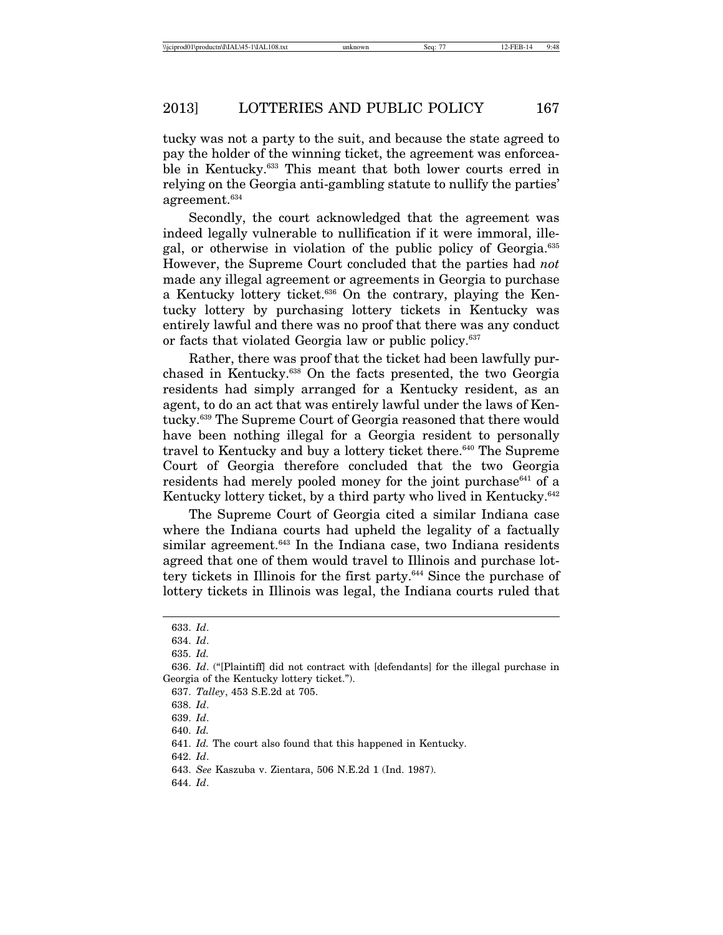tucky was not a party to the suit, and because the state agreed to pay the holder of the winning ticket, the agreement was enforceable in Kentucky.633 This meant that both lower courts erred in relying on the Georgia anti-gambling statute to nullify the parties' agreement.634

Secondly, the court acknowledged that the agreement was indeed legally vulnerable to nullification if it were immoral, illegal, or otherwise in violation of the public policy of Georgia.635 However, the Supreme Court concluded that the parties had *not* made any illegal agreement or agreements in Georgia to purchase a Kentucky lottery ticket.636 On the contrary, playing the Kentucky lottery by purchasing lottery tickets in Kentucky was entirely lawful and there was no proof that there was any conduct or facts that violated Georgia law or public policy.<sup>637</sup>

Rather, there was proof that the ticket had been lawfully purchased in Kentucky.638 On the facts presented, the two Georgia residents had simply arranged for a Kentucky resident, as an agent, to do an act that was entirely lawful under the laws of Kentucky.639 The Supreme Court of Georgia reasoned that there would have been nothing illegal for a Georgia resident to personally travel to Kentucky and buy a lottery ticket there.<sup>640</sup> The Supreme Court of Georgia therefore concluded that the two Georgia residents had merely pooled money for the joint purchase $641$  of a Kentucky lottery ticket, by a third party who lived in Kentucky.<sup>642</sup>

The Supreme Court of Georgia cited a similar Indiana case where the Indiana courts had upheld the legality of a factually similar agreement.<sup>643</sup> In the Indiana case, two Indiana residents agreed that one of them would travel to Illinois and purchase lottery tickets in Illinois for the first party.<sup>644</sup> Since the purchase of lottery tickets in Illinois was legal, the Indiana courts ruled that

642. *Id*.

<sup>633.</sup> *Id*.

<sup>634.</sup> *Id*.

<sup>635.</sup> *Id.*

<sup>636.</sup> *Id*. ("[Plaintiff] did not contract with [defendants] for the illegal purchase in Georgia of the Kentucky lottery ticket.").

<sup>637.</sup> *Talley*, 453 S.E.2d at 705.

<sup>638.</sup> *Id*.

<sup>639.</sup> *Id*.

<sup>640.</sup> *Id.*

<sup>641.</sup> *Id.* The court also found that this happened in Kentucky.

<sup>643.</sup> *See* Kaszuba v. Zientara, 506 N.E.2d 1 (Ind. 1987).

<sup>644.</sup> *Id*.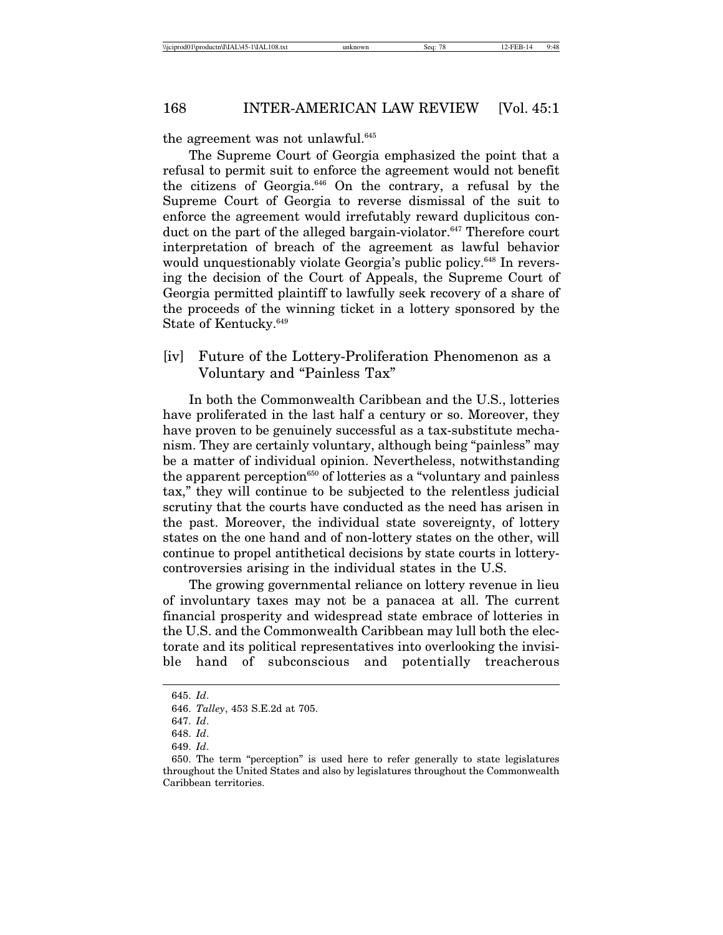# 168 INTER-AMERICAN LAW REVIEW [Vol. 45:1]

the agreement was not unlawful.<sup>645</sup>

The Supreme Court of Georgia emphasized the point that a refusal to permit suit to enforce the agreement would not benefit the citizens of Georgia.646 On the contrary, a refusal by the Supreme Court of Georgia to reverse dismissal of the suit to enforce the agreement would irrefutably reward duplicitous conduct on the part of the alleged bargain-violator.647 Therefore court interpretation of breach of the agreement as lawful behavior would unquestionably violate Georgia's public policy.<sup>648</sup> In reversing the decision of the Court of Appeals, the Supreme Court of Georgia permitted plaintiff to lawfully seek recovery of a share of the proceeds of the winning ticket in a lottery sponsored by the State of Kentucky.649

[iv] Future of the Lottery-Proliferation Phenomenon as a Voluntary and "Painless Tax"

In both the Commonwealth Caribbean and the U.S., lotteries have proliferated in the last half a century or so. Moreover, they have proven to be genuinely successful as a tax-substitute mechanism. They are certainly voluntary, although being "painless" may be a matter of individual opinion. Nevertheless, notwithstanding the apparent perception<sup>650</sup> of lotteries as a "voluntary and painless" tax," they will continue to be subjected to the relentless judicial scrutiny that the courts have conducted as the need has arisen in the past. Moreover, the individual state sovereignty, of lottery states on the one hand and of non-lottery states on the other, will continue to propel antithetical decisions by state courts in lotterycontroversies arising in the individual states in the U.S.

The growing governmental reliance on lottery revenue in lieu of involuntary taxes may not be a panacea at all. The current financial prosperity and widespread state embrace of lotteries in the U.S. and the Commonwealth Caribbean may lull both the electorate and its political representatives into overlooking the invisible hand of subconscious and potentially treacherous

<sup>645.</sup> *Id*.

<sup>646.</sup> *Talley*, 453 S.E.2d at 705.

<sup>647.</sup> *Id*.

<sup>648.</sup> *Id*.

<sup>649.</sup> *Id*.

<sup>650.</sup> The term "perception" is used here to refer generally to state legislatures throughout the United States and also by legislatures throughout the Commonwealth Caribbean territories.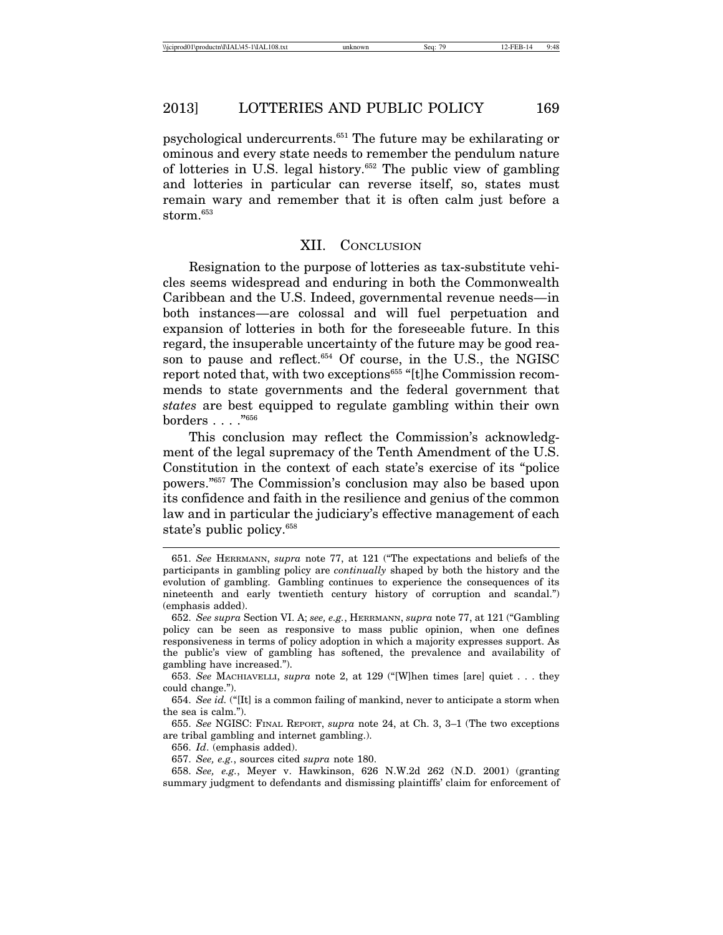psychological undercurrents.651 The future may be exhilarating or ominous and every state needs to remember the pendulum nature of lotteries in U.S. legal history.652 The public view of gambling and lotteries in particular can reverse itself, so, states must remain wary and remember that it is often calm just before a storm.<sup>653</sup>

#### XII. CONCLUSION

Resignation to the purpose of lotteries as tax-substitute vehicles seems widespread and enduring in both the Commonwealth Caribbean and the U.S. Indeed, governmental revenue needs—in both instances—are colossal and will fuel perpetuation and expansion of lotteries in both for the foreseeable future. In this regard, the insuperable uncertainty of the future may be good reason to pause and reflect.<sup>654</sup> Of course, in the U.S., the NGISC report noted that, with two exceptions<sup>655</sup> "[t]he Commission recommends to state governments and the federal government that *states* are best equipped to regulate gambling within their own borders  $\ldots$ ."<sup>656</sup>

This conclusion may reflect the Commission's acknowledgment of the legal supremacy of the Tenth Amendment of the U.S. Constitution in the context of each state's exercise of its "police powers."657 The Commission's conclusion may also be based upon its confidence and faith in the resilience and genius of the common law and in particular the judiciary's effective management of each state's public policy.<sup>658</sup>

657. *See, e.g.*, sources cited *supra* note 180.

<sup>651.</sup> *See* HERRMANN, *supra* note 77, at 121 ("The expectations and beliefs of the participants in gambling policy are *continually* shaped by both the history and the evolution of gambling. Gambling continues to experience the consequences of its nineteenth and early twentieth century history of corruption and scandal.") (emphasis added).

<sup>652.</sup> *See supra* Section VI. A; *see, e.g.*, HERRMANN, *supra* note 77, at 121 ("Gambling policy can be seen as responsive to mass public opinion, when one defines responsiveness in terms of policy adoption in which a majority expresses support. As the public's view of gambling has softened, the prevalence and availability of gambling have increased.").

<sup>653.</sup> *See* MACHIAVELLI, *supra* note 2, at 129 ("[W]hen times [are] quiet . . . they could change.").

<sup>654.</sup> *See id.* ("[It] is a common failing of mankind, never to anticipate a storm when the sea is calm.").

<sup>655.</sup> *See* NGISC: FINAL REPORT, *supra* note 24, at Ch. 3, 3–1 (The two exceptions are tribal gambling and internet gambling.).

<sup>656.</sup> *Id*. (emphasis added).

<sup>658.</sup> *See, e.g.*, Meyer v. Hawkinson, 626 N.W.2d 262 (N.D. 2001) (granting summary judgment to defendants and dismissing plaintiffs' claim for enforcement of